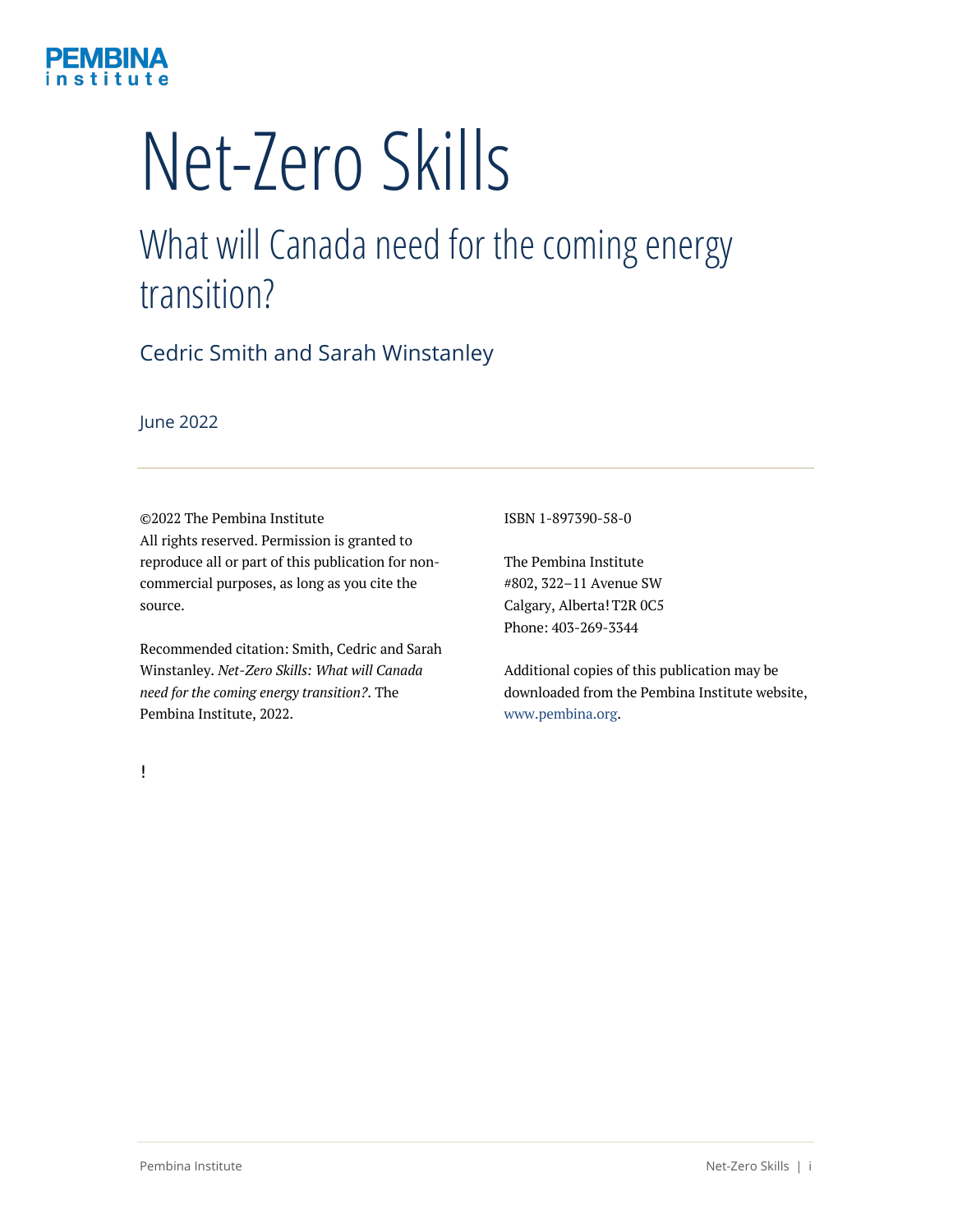

# Net-Zero Skills

# What will Canada need for the coming energy transition?

Cedric Smith and Sarah Winstanley

June 2022

©2022 The Pembina Institute All rights reserved. Permission is granted to reproduce all or part of this publication for noncommercial purposes, as long as you cite the source.

Recommended citation: Smith, Cedric and Sarah Winstanley. *Net-Zero Skills: What will Canada need for the coming energy transition?*. The Pembina Institute, 2022.

ISBN 1-897390-58-0

The Pembina Institute #802, 322–11 Avenue SW Calgary, Alberta! T2R 0C5 Phone: 403-269-3344

Additional copies of this publication may be downloaded from the Pembina Institute website, www.pembina.org.

 $\mathbf{I}$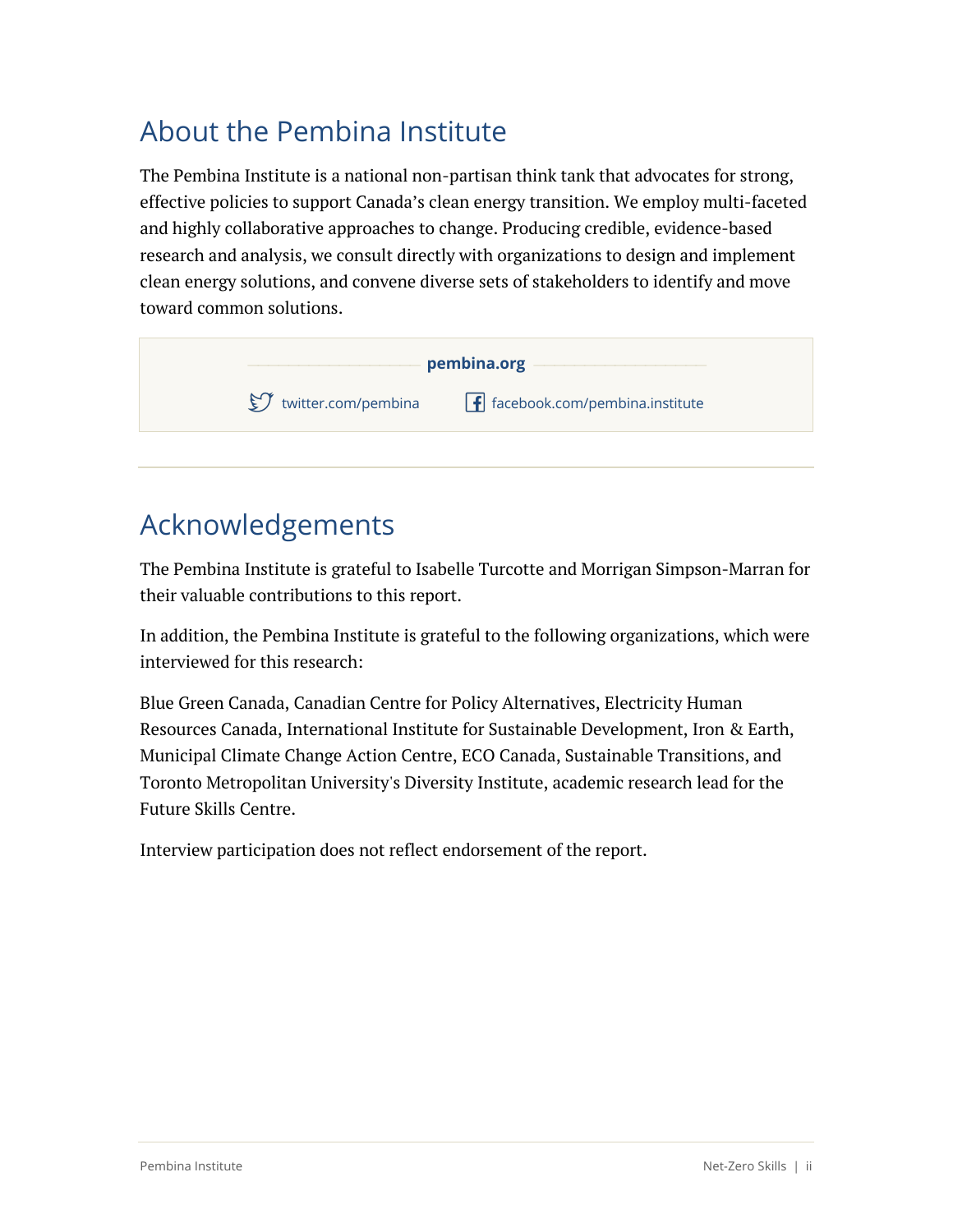# About the Pembina Institute

The Pembina Institute is a national non-partisan think tank that advocates for strong, effective policies to support Canada's clean energy transition. We employ multi-faceted and highly collaborative approaches to change. Producing credible, evidence-based research and analysis, we consult directly with organizations to design and implement clean energy solutions, and convene diverse sets of stakeholders to identify and move toward common solutions.



# Acknowledgements

The Pembina Institute is grateful to Isabelle Turcotte and Morrigan Simpson-Marran for their valuable contributions to this report.

In addition, the Pembina Institute is grateful to the following organizations, which were interviewed for this research:

Blue Green Canada, Canadian Centre for Policy Alternatives, Electricity Human Resources Canada, International Institute for Sustainable Development, Iron & Earth, Municipal Climate Change Action Centre, ECO Canada, Sustainable Transitions, and Toronto Metropolitan University's Diversity Institute, academic research lead for the Future Skills Centre.

Interview participation does not reflect endorsement of the report.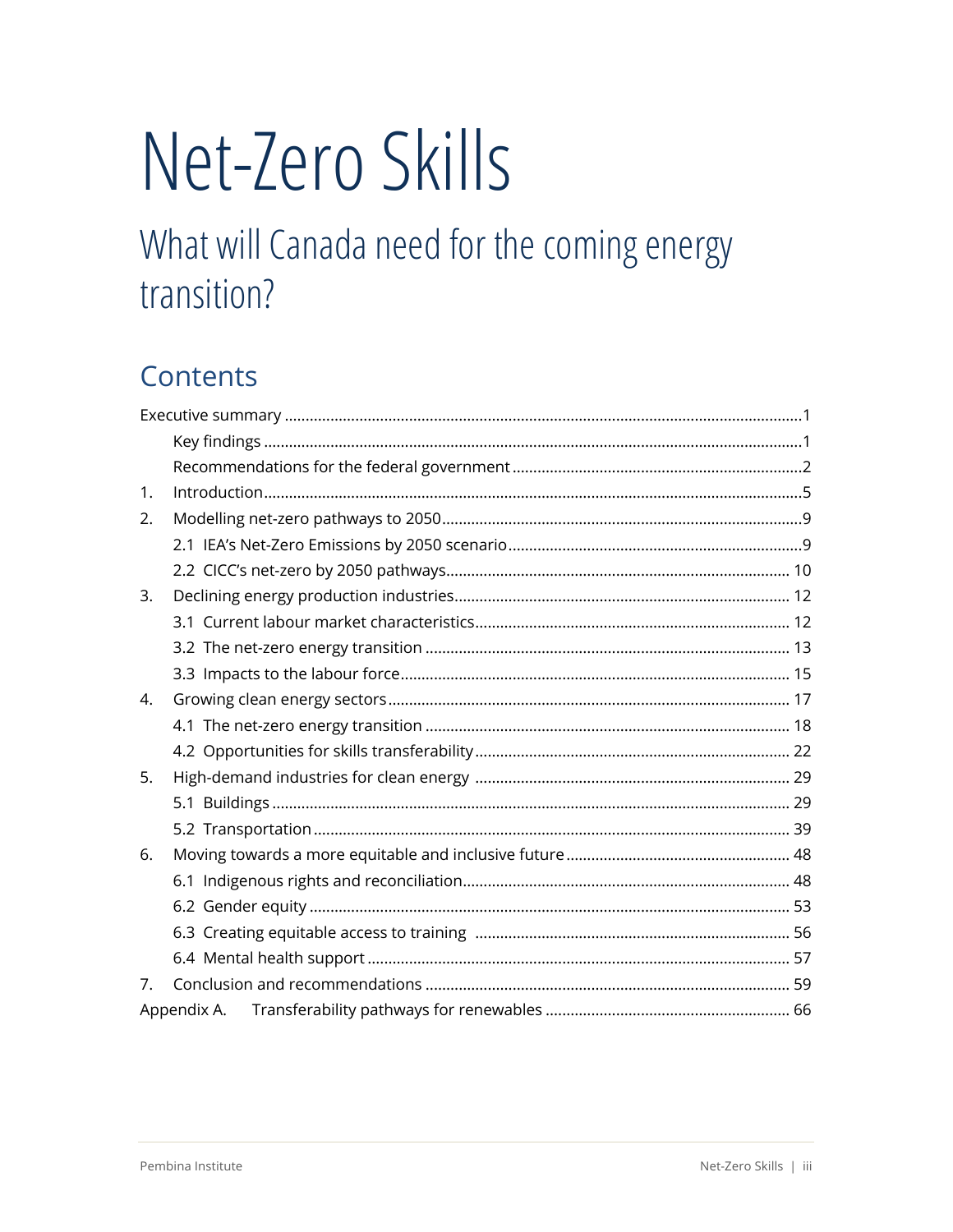# Net-Zero Skills

# What will Canada need for the coming energy transition?

# Contents

| 1. |  |
|----|--|
| 2. |  |
|    |  |
|    |  |
| 3. |  |
|    |  |
|    |  |
|    |  |
| 4. |  |
|    |  |
|    |  |
| 5. |  |
|    |  |
|    |  |
| 6. |  |
|    |  |
|    |  |
|    |  |
|    |  |
| 7. |  |
|    |  |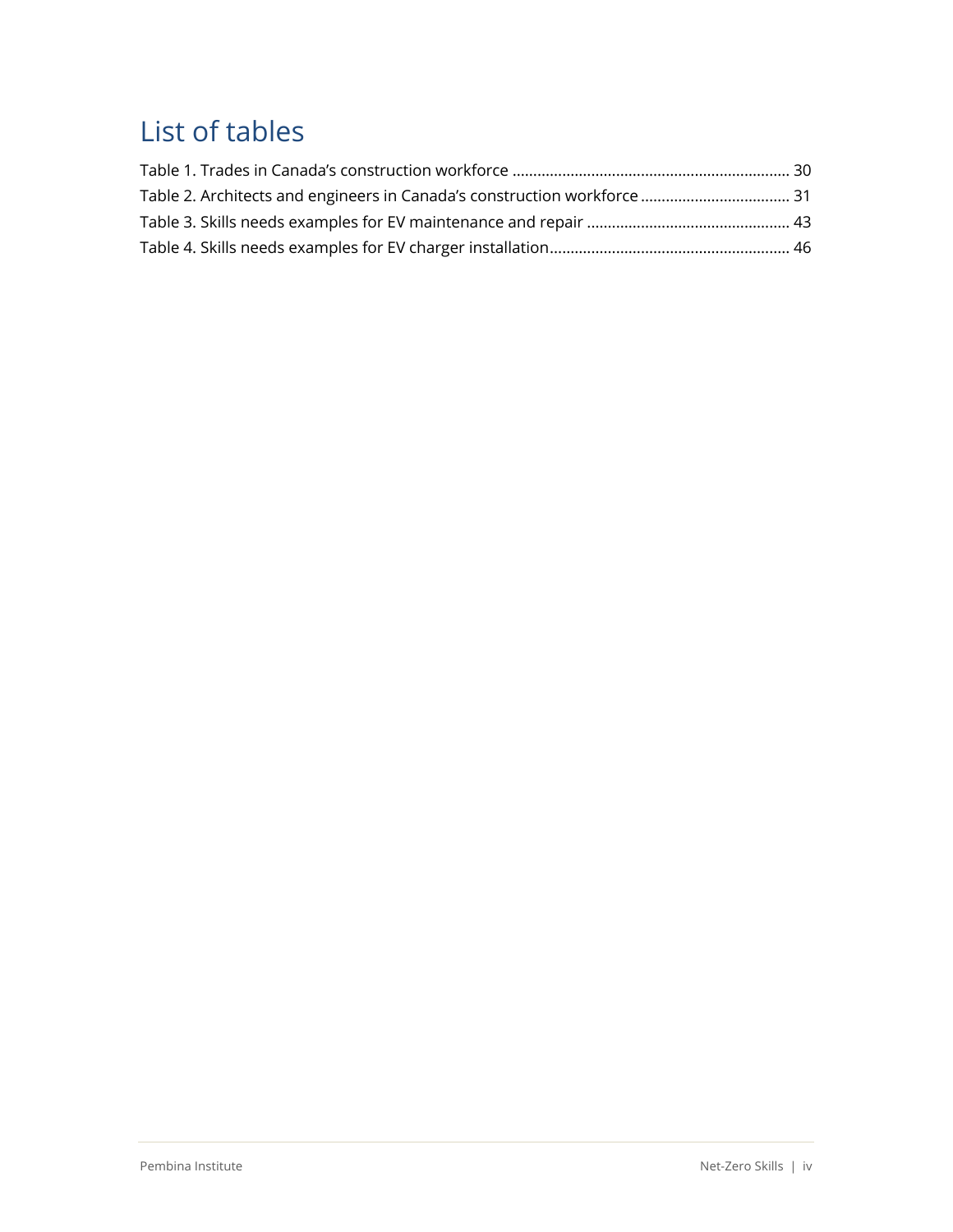# List of tables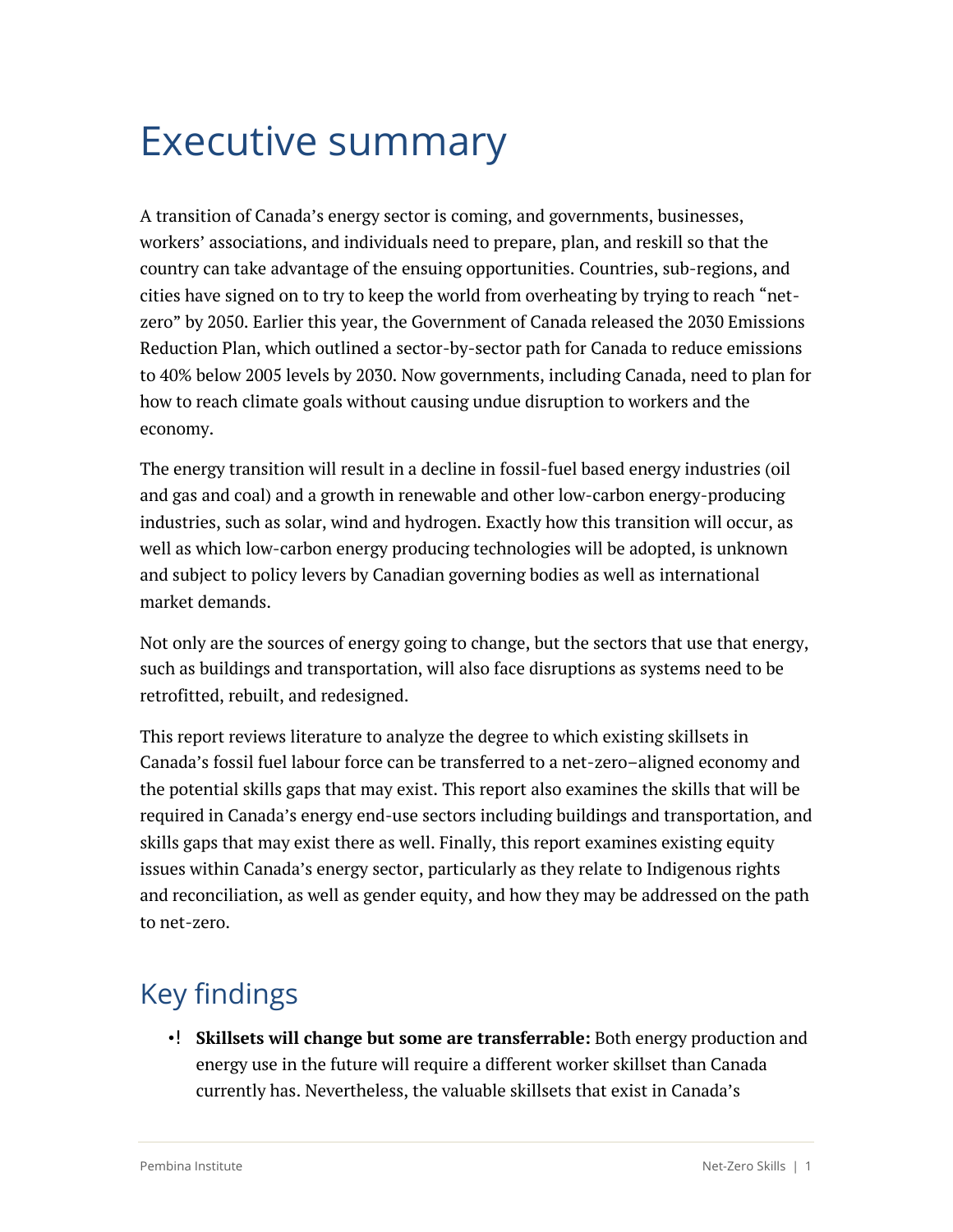# Executive summary

A transition of Canada's energy sector is coming, and governments, businesses, workers' associations, and individuals need to prepare, plan, and reskill so that the country can take advantage of the ensuing opportunities. Countries, sub-regions, and cities have signed on to try to keep the world from overheating by trying to reach "netzero" by 2050. Earlier this year, the Government of Canada released the 2030 Emissions Reduction Plan, which outlined a sector-by-sector path for Canada to reduce emissions to 40% below 2005 levels by 2030. Now governments, including Canada, need to plan for how to reach climate goals without causing undue disruption to workers and the economy.

The energy transition will result in a decline in fossil-fuel based energy industries (oil and gas and coal) and a growth in renewable and other low-carbon energy-producing industries, such as solar, wind and hydrogen. Exactly how this transition will occur, as well as which low-carbon energy producing technologies will be adopted, is unknown and subject to policy levers by Canadian governing bodies as well as international market demands.

Not only are the sources of energy going to change, but the sectors that use that energy, such as buildings and transportation, will also face disruptions as systems need to be retrofitted, rebuilt, and redesigned.

This report reviews literature to analyze the degree to which existing skillsets in Canada's fossil fuel labour force can be transferred to a net-zero–aligned economy and the potential skills gaps that may exist. This report also examines the skills that will be required in Canada's energy end-use sectors including buildings and transportation, and skills gaps that may exist there as well. Finally, this report examines existing equity issues within Canada's energy sector, particularly as they relate to Indigenous rights and reconciliation, as well as gender equity, and how they may be addressed on the path to net-zero.

# Key findings

• **Skillsets will change but some are transferrable:** Both energy production and energy use in the future will require a different worker skillset than Canada currently has. Nevertheless, the valuable skillsets that exist in Canada's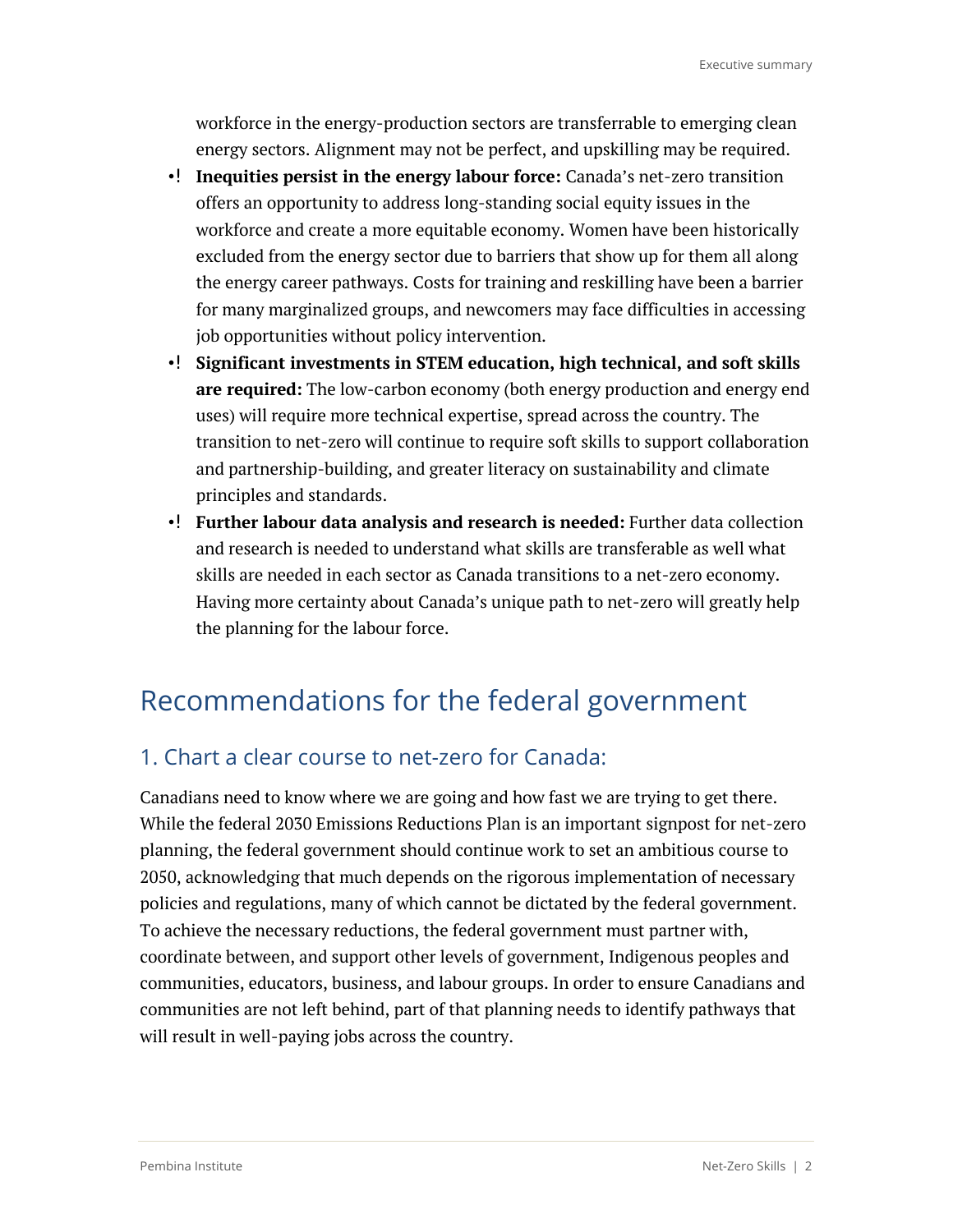workforce in the energy-production sectors are transferrable to emerging clean energy sectors. Alignment may not be perfect, and upskilling may be required.

- •! Inequities persist in the energy labour force: Canada's net-zero transition offers an opportunity to address long-standing social equity issues in the workforce and create a more equitable economy. Women have been historically excluded from the energy sector due to barriers that show up for them all along the energy career pathways. Costs for training and reskilling have been a barrier for many marginalized groups, and newcomers may face difficulties in accessing job opportunities without policy intervention.
- **Significant investments in STEM education, high technical, and soft skills are required:** The low-carbon economy (both energy production and energy end uses) will require more technical expertise, spread across the country. The transition to net-zero will continue to require soft skills to support collaboration and partnership-building, and greater literacy on sustainability and climate principles and standards.
- **Further labour data analysis and research is needed:** Further data collection and research is needed to understand what skills are transferable as well what skills are needed in each sector as Canada transitions to a net-zero economy. Having more certainty about Canada's unique path to net-zero will greatly help the planning for the labour force.

# Recommendations for the federal government

#### 1. Chart a clear course to net-zero for Canada:

Canadians need to know where we are going and how fast we are trying to get there. While the federal 2030 Emissions Reductions Plan is an important signpost for net-zero planning, the federal government should continue work to set an ambitious course to 2050, acknowledging that much depends on the rigorous implementation of necessary policies and regulations, many of which cannot be dictated by the federal government. To achieve the necessary reductions, the federal government must partner with, coordinate between, and support other levels of government, Indigenous peoples and communities, educators, business, and labour groups. In order to ensure Canadians and communities are not left behind, part of that planning needs to identify pathways that will result in well-paying jobs across the country.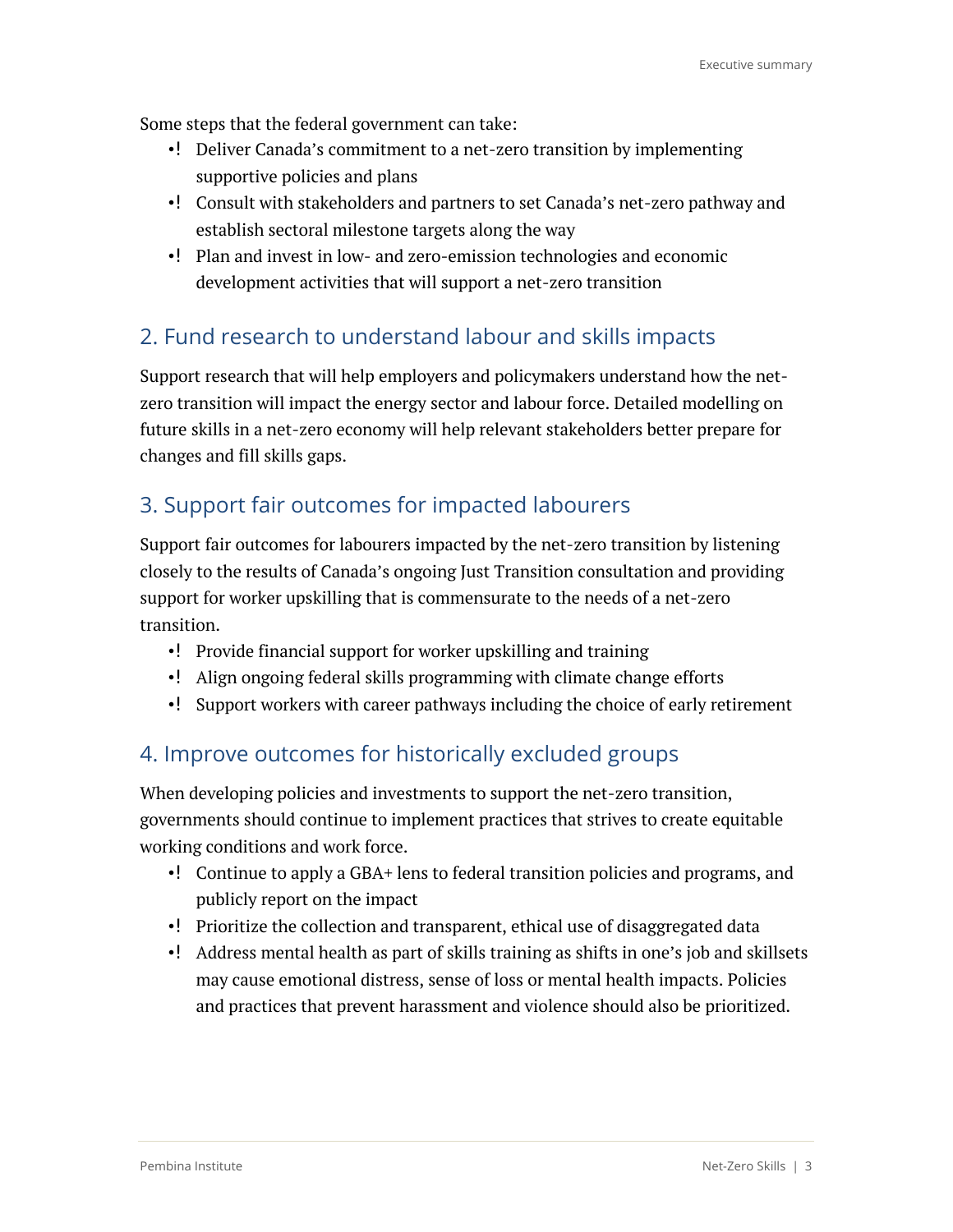Some steps that the federal government can take:

- •! Deliver Canada's commitment to a net-zero transition by implementing supportive policies and plans
- •! Consult with stakeholders and partners to set Canada's net-zero pathway and establish sectoral milestone targets along the way
- Plan and invest in low- and zero-emission technologies and economic development activities that will support a net-zero transition

#### 2. Fund research to understand labour and skills impacts

Support research that will help employers and policymakers understand how the netzero transition will impact the energy sector and labour force. Detailed modelling on future skills in a net-zero economy will help relevant stakeholders better prepare for changes and fill skills gaps.

#### 3. Support fair outcomes for impacted labourers

Support fair outcomes for labourers impacted by the net-zero transition by listening closely to the results of Canada's ongoing Just Transition consultation and providing support for worker upskilling that is commensurate to the needs of a net-zero transition.

- •! Provide financial support for worker upskilling and training
- •! Align ongoing federal skills programming with climate change efforts
- •! Support workers with career pathways including the choice of early retirement

#### 4. Improve outcomes for historically excluded groups

When developing policies and investments to support the net-zero transition, governments should continue to implement practices that strives to create equitable working conditions and work force.

- •! Continue to apply a GBA+ lens to federal transition policies and programs, and publicly report on the impact
- •! Prioritize the collection and transparent, ethical use of disaggregated data
- •! Address mental health as part of skills training as shifts in one's job and skillsets may cause emotional distress, sense of loss or mental health impacts. Policies and practices that prevent harassment and violence should also be prioritized.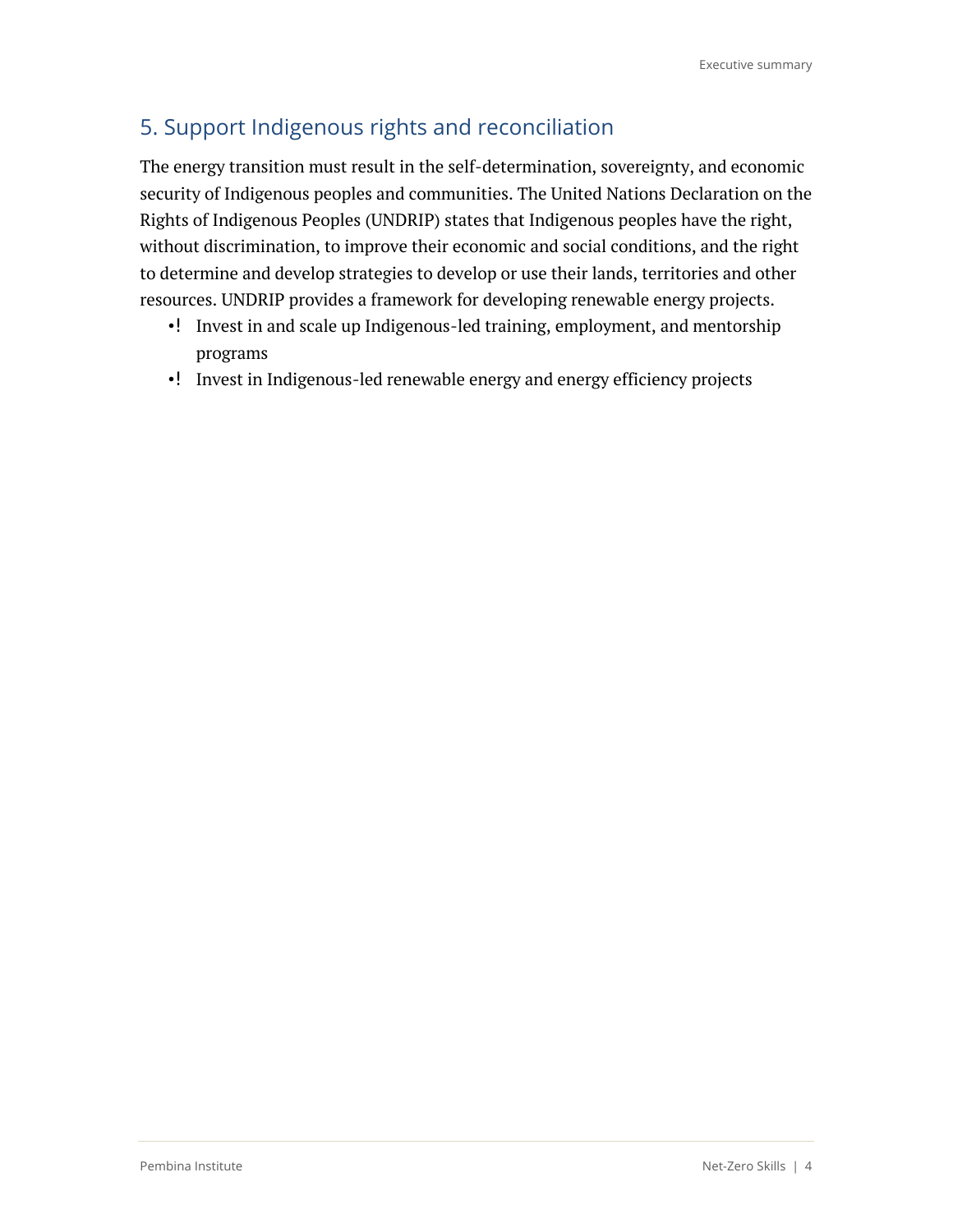# 5. Support Indigenous rights and reconciliation

The energy transition must result in the self-determination, sovereignty, and economic security of Indigenous peoples and communities. The United Nations Declaration on the Rights of Indigenous Peoples (UNDRIP) states that Indigenous peoples have the right, without discrimination, to improve their economic and social conditions, and the right to determine and develop strategies to develop or use their lands, territories and other resources. UNDRIP provides a framework for developing renewable energy projects.

- •! Invest in and scale up Indigenous-led training, employment, and mentorship programs
- •! Invest in Indigenous-led renewable energy and energy efficiency projects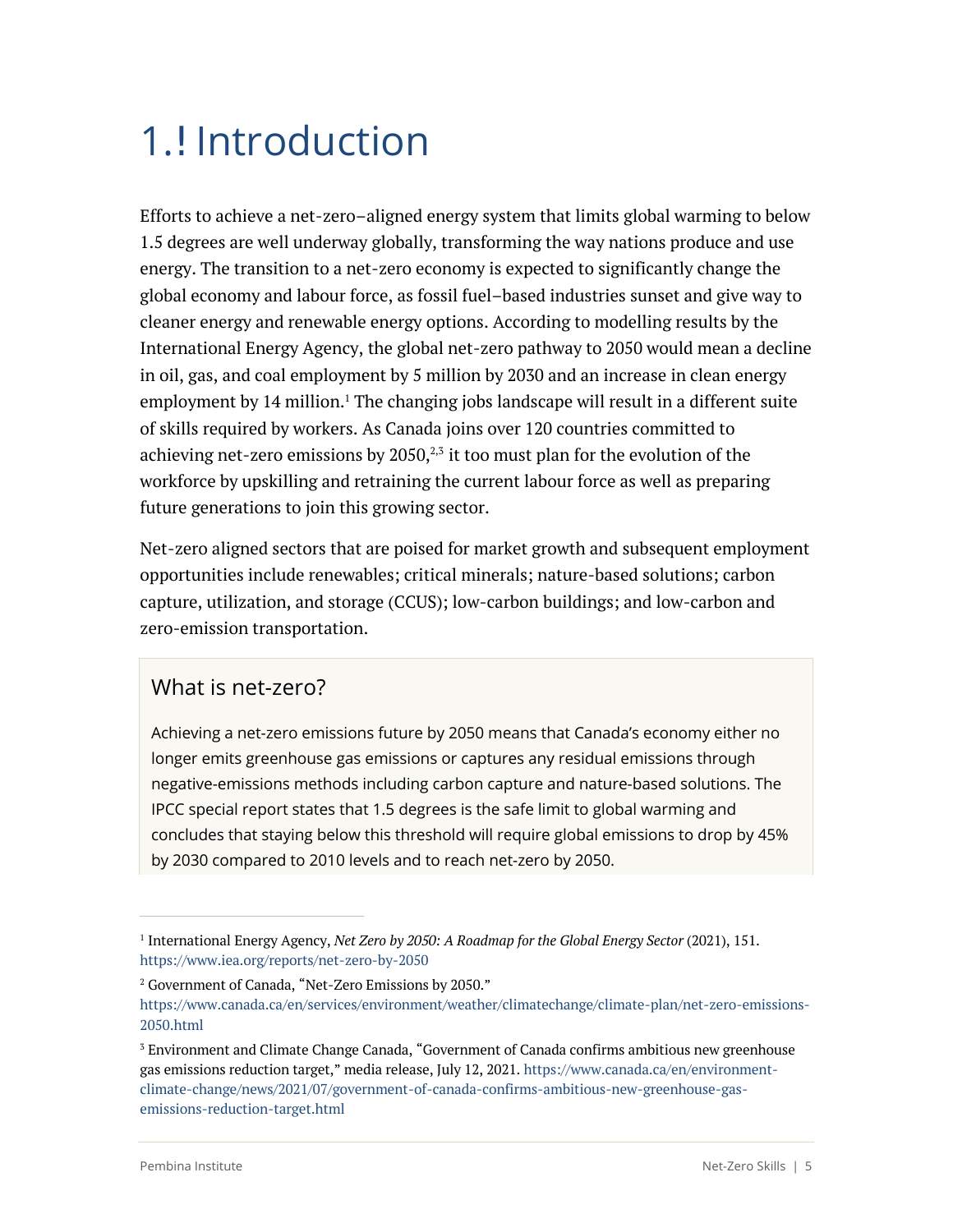# 1. Introduction

Efforts to achieve a net-zero–aligned energy system that limits global warming to below 1.5 degrees are well underway globally, transforming the way nations produce and use energy. The transition to a net-zero economy is expected to significantly change the global economy and labour force, as fossil fuel–based industries sunset and give way to cleaner energy and renewable energy options. According to modelling results by the International Energy Agency, the global net-zero pathway to 2050 would mean a decline in oil, gas, and coal employment by 5 million by 2030 and an increase in clean energy employment by 14 million.<sup>1</sup> The changing jobs landscape will result in a different suite of skills required by workers. As Canada joins over 120 countries committed to achieving net-zero emissions by  $2050<sup>2,3</sup>$  it too must plan for the evolution of the workforce by upskilling and retraining the current labour force as well as preparing future generations to join this growing sector.

Net-zero aligned sectors that are poised for market growth and subsequent employment opportunities include renewables; critical minerals; nature-based solutions; carbon capture, utilization, and storage (CCUS); low-carbon buildings; and low-carbon and zero-emission transportation.

## What is net-zero?

Achieving a net-zero emissions future by 2050 means that Canada's economy either no longer emits greenhouse gas emissions or captures any residual emissions through negative-emissions methods including carbon capture and nature-based solutions. The IPCC special report states that 1.5 degrees is the safe limit to global warming and concludes that staying below this threshold will require global emissions to drop by 45% by 2030 compared to 2010 levels and to reach net-zero by 2050.

<sup>&</sup>lt;sup>1</sup> International Energy Agency, *Net Zero by 2050: A Roadmap for the Global Energy Sector* (2021), 151. https://www.iea.org/reports/net-zero-by-2050

<sup>&</sup>lt;sup>2</sup> Government of Canada, "Net-Zero Emissions by 2050."

https://www.canada.ca/en/services/environment/weather/climatechange/climate-plan/net-zero-emissions-2050.html

<sup>&</sup>lt;sup>3</sup> Environment and Climate Change Canada, "Government of Canada confirms ambitious new greenhouse gas emissions reduction target," media release, July 12, 2021. https://www.canada.ca/en/environmentclimate-change/news/2021/07/government-of-canada-confirms-ambitious-new-greenhouse-gasemissions-reduction-target.html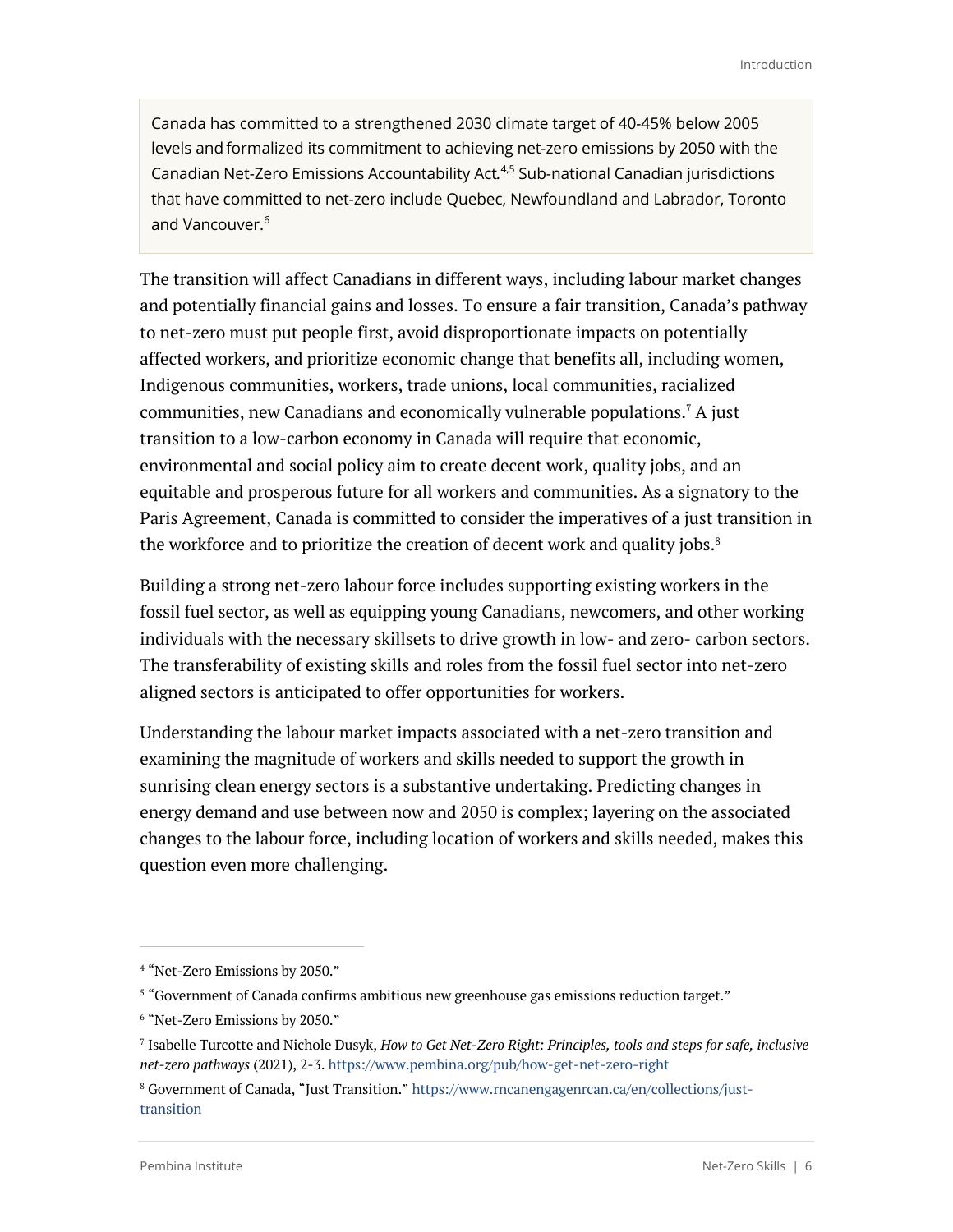Canada has committed to a strengthened 2030 climate target of 40-45% below 2005 levels and formalized its commitment to achieving net-zero emissions by 2050 with the Canadian Net-Zero Emissions Accountability Act*.* 4,5 Sub-national Canadian jurisdictions that have committed to net-zero include Quebec, Newfoundland and Labrador, Toronto and Vancouver.<sup>6</sup>

The transition will affect Canadians in different ways, including labour market changes and potentially financial gains and losses. To ensure a fair transition, Canada's pathway to net-zero must put people first, avoid disproportionate impacts on potentially affected workers, and prioritize economic change that benefits all, including women, Indigenous communities, workers, trade unions, local communities, racialized communities, new Canadians and economically vulnerable populations.7 A just transition to a low-carbon economy in Canada will require that economic, environmental and social policy aim to create decent work, quality jobs, and an equitable and prosperous future for all workers and communities. As a signatory to the Paris Agreement, Canada is committed to consider the imperatives of a just transition in the workforce and to prioritize the creation of decent work and quality jobs. $^8$ 

Building a strong net-zero labour force includes supporting existing workers in the fossil fuel sector, as well as equipping young Canadians, newcomers, and other working individuals with the necessary skillsets to drive growth in low- and zero- carbon sectors. The transferability of existing skills and roles from the fossil fuel sector into net-zero aligned sectors is anticipated to offer opportunities for workers.

Understanding the labour market impacts associated with a net-zero transition and examining the magnitude of workers and skills needed to support the growth in sunrising clean energy sectors is a substantive undertaking. Predicting changes in energy demand and use between now and 2050 is complex; layering on the associated changes to the labour force, including location of workers and skills needed, makes this question even more challenging.

<sup>4</sup> "Net-Zero Emissions by 2050."

<sup>5</sup> "Government of Canada confirms ambitious new greenhouse gas emissions reduction target."

<sup>6</sup> "Net-Zero Emissions by 2050."

<sup>7</sup> Isabelle Turcotte and Nichole Dusyk, *How to Get Net-Zero Right: Principles, tools and steps for safe, inclusive net-zero pathways* (2021), 2-3. https://www.pembina.org/pub/how-get-net-zero-right

<sup>8</sup> Government of Canada, "Just Transition." https://www.rncanengagenrcan.ca/en/collections/justtransition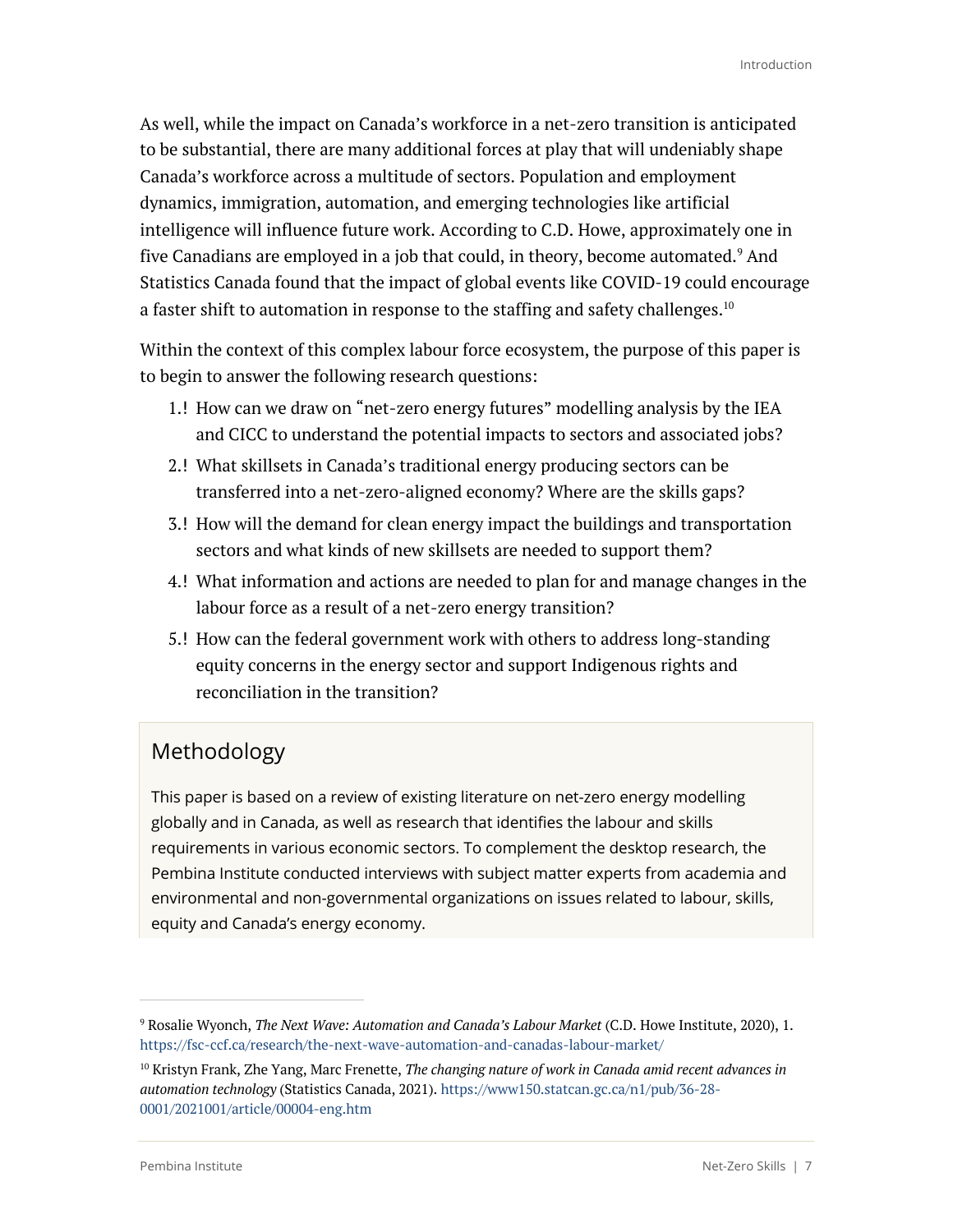As well, while the impact on Canada's workforce in a net-zero transition is anticipated to be substantial, there are many additional forces at play that will undeniably shape Canada's workforce across a multitude of sectors. Population and employment dynamics, immigration, automation, and emerging technologies like artificial intelligence will influence future work. According to C.D. Howe, approximately one in five Canadians are employed in a job that could, in theory, become automated.<sup>9</sup> And Statistics Canada found that the impact of global events like COVID-19 could encourage a faster shift to automation in response to the staffing and safety challenges.<sup>10</sup>

Within the context of this complex labour force ecosystem, the purpose of this paper is to begin to answer the following research questions:

- 1. How can we draw on "net-zero energy futures" modelling analysis by the IEA and CICC to understand the potential impacts to sectors and associated jobs?
- 2.! What skillsets in Canada's traditional energy producing sectors can be transferred into a net-zero-aligned economy? Where are the skills gaps?
- 3. How will the demand for clean energy impact the buildings and transportation sectors and what kinds of new skillsets are needed to support them?
- 4. What information and actions are needed to plan for and manage changes in the labour force as a result of a net-zero energy transition?
- 5.! How can the federal government work with others to address long-standing equity concerns in the energy sector and support Indigenous rights and reconciliation in the transition?

#### Methodology

This paper is based on a review of existing literature on net-zero energy modelling globally and in Canada, as well as research that identifies the labour and skills requirements in various economic sectors. To complement the desktop research, the Pembina Institute conducted interviews with subject matter experts from academia and environmental and non-governmental organizations on issues related to labour, skills, equity and Canada's energy economy.

<sup>&</sup>lt;sup>9</sup> Rosalie Wyonch, *The Next Wave: Automation and Canada's Labour Market* (C.D. Howe Institute, 2020), 1. https://fsc-ccf.ca/research/the-next-wave-automation-and-canadas-labour-market/

<sup>10</sup> Kristyn Frank, Zhe Yang, Marc Frenette, *The changing nature of work in Canada amid recent advances in automation technology* (Statistics Canada, 2021). https://www150.statcan.gc.ca/n1/pub/36-28- 0001/2021001/article/00004-eng.htm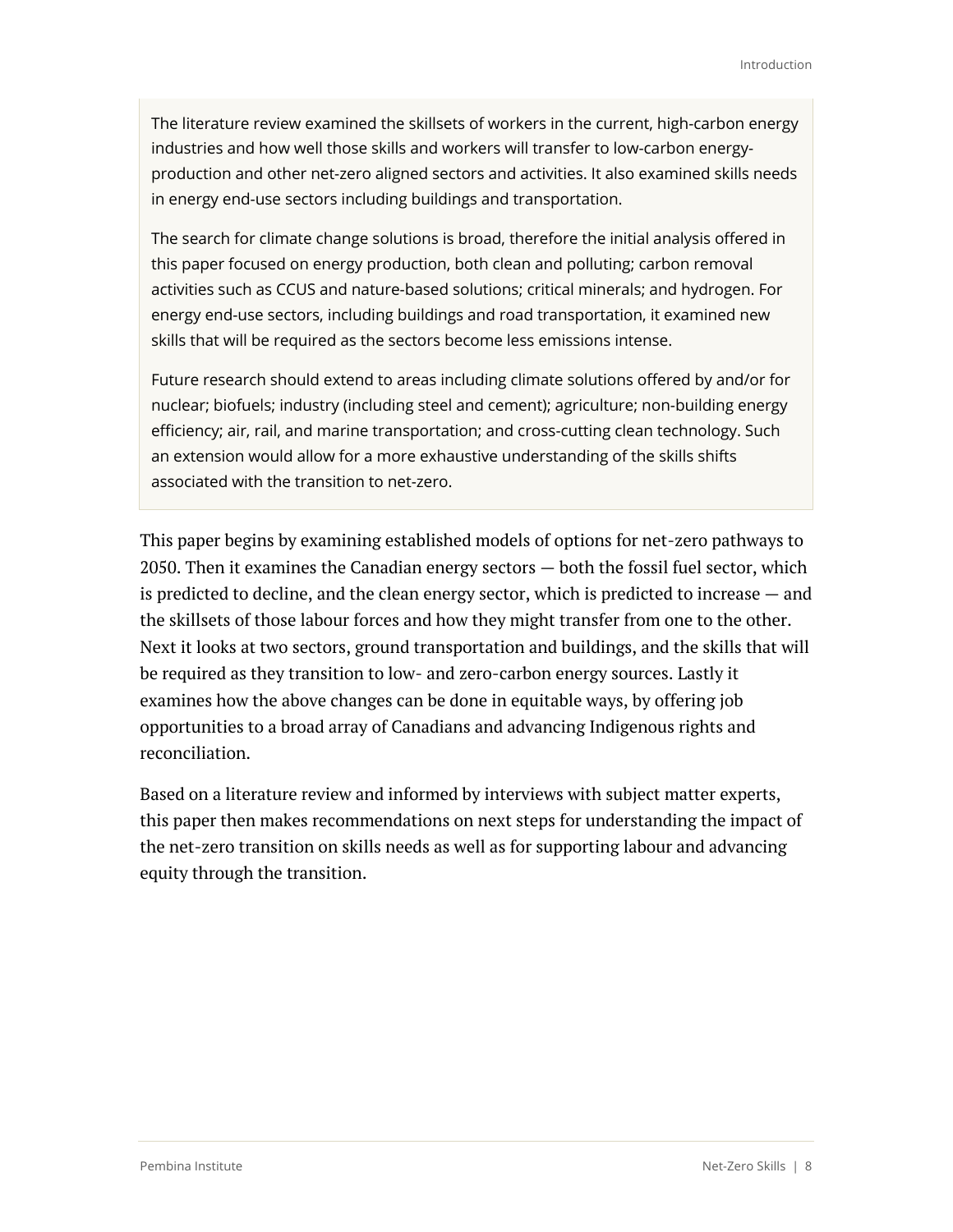The literature review examined the skillsets of workers in the current, high-carbon energy industries and how well those skills and workers will transfer to low-carbon energyproduction and other net-zero aligned sectors and activities. It also examined skills needs in energy end-use sectors including buildings and transportation.

The search for climate change solutions is broad, therefore the initial analysis offered in this paper focused on energy production, both clean and polluting; carbon removal activities such as CCUS and nature-based solutions; critical minerals; and hydrogen. For energy end-use sectors, including buildings and road transportation, it examined new skills that will be required as the sectors become less emissions intense.

Future research should extend to areas including climate solutions offered by and/or for nuclear; biofuels; industry (including steel and cement); agriculture; non-building energy efficiency; air, rail, and marine transportation; and cross-cutting clean technology. Such an extension would allow for a more exhaustive understanding of the skills shifts associated with the transition to net-zero.

This paper begins by examining established models of options for net-zero pathways to 2050. Then it examines the Canadian energy sectors — both the fossil fuel sector, which is predicted to decline, and the clean energy sector, which is predicted to increase — and the skillsets of those labour forces and how they might transfer from one to the other. Next it looks at two sectors, ground transportation and buildings, and the skills that will be required as they transition to low- and zero-carbon energy sources. Lastly it examines how the above changes can be done in equitable ways, by offering job opportunities to a broad array of Canadians and advancing Indigenous rights and reconciliation.

Based on a literature review and informed by interviews with subject matter experts, this paper then makes recommendations on next steps for understanding the impact of the net-zero transition on skills needs as well as for supporting labour and advancing equity through the transition.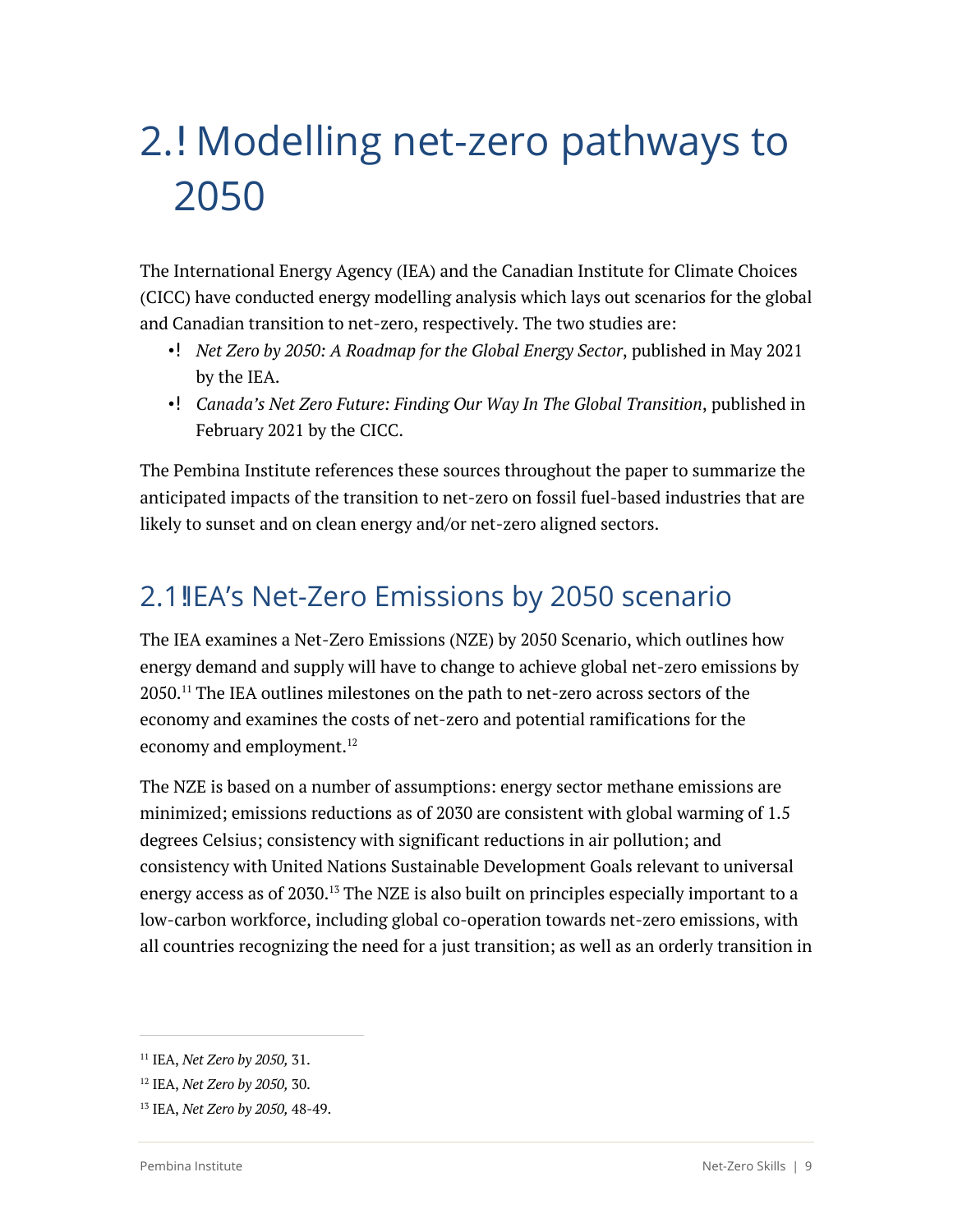# 2.! Modelling net-zero pathways to 2050

The International Energy Agency (IEA) and the Canadian Institute for Climate Choices (CICC) have conducted energy modelling analysis which lays out scenarios for the global and Canadian transition to net-zero, respectively. The two studies are:

- *Net Zero by 2050: A Roadmap for the Global Energy Sector*, published in May 2021 by the IEA.
- *Canada's Net Zero Future: Finding Our Way In The Global Transition*, published in February 2021 by the CICC.

The Pembina Institute references these sources throughout the paper to summarize the anticipated impacts of the transition to net-zero on fossil fuel-based industries that are likely to sunset and on clean energy and/or net-zero aligned sectors.

# 2.1 IEA's Net-Zero Emissions by 2050 scenario

The IEA examines a Net-Zero Emissions (NZE) by 2050 Scenario, which outlines how energy demand and supply will have to change to achieve global net-zero emissions by 2050.11 The IEA outlines milestones on the path to net-zero across sectors of the economy and examines the costs of net-zero and potential ramifications for the economy and employment.<sup>12</sup>

The NZE is based on a number of assumptions: energy sector methane emissions are minimized; emissions reductions as of 2030 are consistent with global warming of 1.5 degrees Celsius; consistency with significant reductions in air pollution; and consistency with United Nations Sustainable Development Goals relevant to universal energy access as of 2030.<sup>13</sup> The NZE is also built on principles especially important to a low-carbon workforce, including global co-operation towards net-zero emissions, with all countries recognizing the need for a just transition; as well as an orderly transition in

<sup>11</sup> IEA, *Net Zero by 2050,* 31.

<sup>12</sup> IEA, *Net Zero by 2050,* 30.

<sup>13</sup> IEA, *Net Zero by 2050,* 48-49.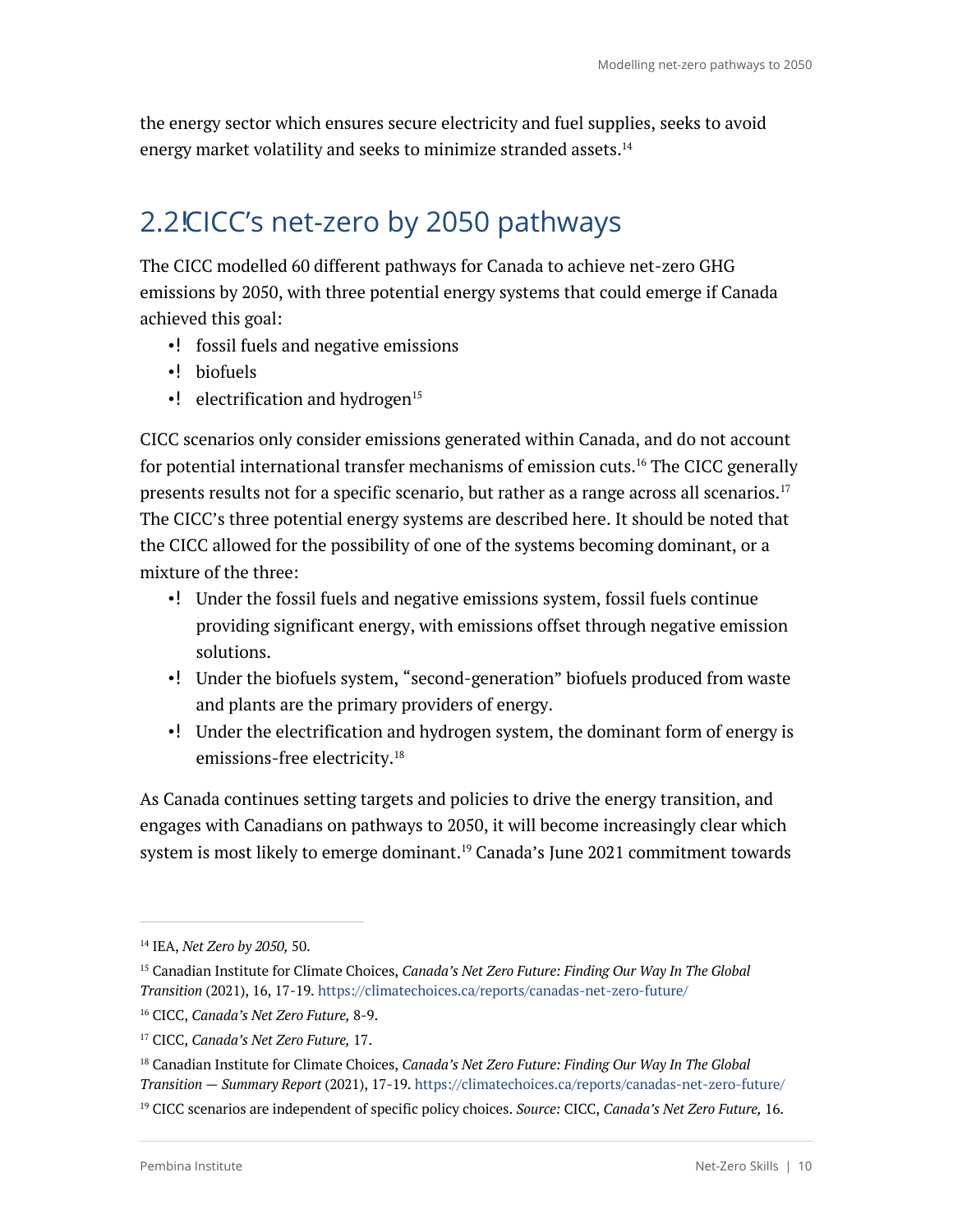the energy sector which ensures secure electricity and fuel supplies, seeks to avoid energy market volatility and seeks to minimize stranded assets.<sup>14</sup>

# 2.2!CICC's net-zero by 2050 pathways

The CICC modelled 60 different pathways for Canada to achieve net-zero GHG emissions by 2050, with three potential energy systems that could emerge if Canada achieved this goal:

- •! fossil fuels and negative emissions
- •! biofuels
- •! electrification and hydrogen<sup>15</sup>

CICC scenarios only consider emissions generated within Canada, and do not account for potential international transfer mechanisms of emission cuts.<sup>16</sup> The CICC generally presents results not for a specific scenario, but rather as a range across all scenarios.<sup>17</sup> The CICC's three potential energy systems are described here. It should be noted that the CICC allowed for the possibility of one of the systems becoming dominant, or a mixture of the three:

- •! Under the fossil fuels and negative emissions system, fossil fuels continue providing significant energy, with emissions offset through negative emission solutions.
- •! Under the biofuels system, "second-generation" biofuels produced from waste and plants are the primary providers of energy.
- •! Under the electrification and hydrogen system, the dominant form of energy is emissions-free electricity.<sup>18</sup>

As Canada continues setting targets and policies to drive the energy transition, and engages with Canadians on pathways to 2050, it will become increasingly clear which system is most likely to emerge dominant. <sup>19</sup> Canada's June 2021 commitment towards

<sup>14</sup> IEA, *Net Zero by 2050,* 50.

<sup>15</sup> Canadian Institute for Climate Choices, *Canada's Net Zero Future: Finding Our Way In The Global Transition* (2021), 16, 17-19. https://climatechoices.ca/reports/canadas-net-zero-future/

<sup>16</sup> CICC, *Canada's Net Zero Future,* 8-9.

<sup>17</sup> CICC, *Canada's Net Zero Future,* 17.

<sup>18</sup> Canadian Institute for Climate Choices, *Canada's Net Zero Future: Finding Our Way In The Global Transition — Summary Report* (2021), 17-19. https://climatechoices.ca/reports/canadas-net-zero-future/

<sup>19</sup> CICC scenarios are independent of specific policy choices. *Source:* CICC, *Canada's Net Zero Future,* 16.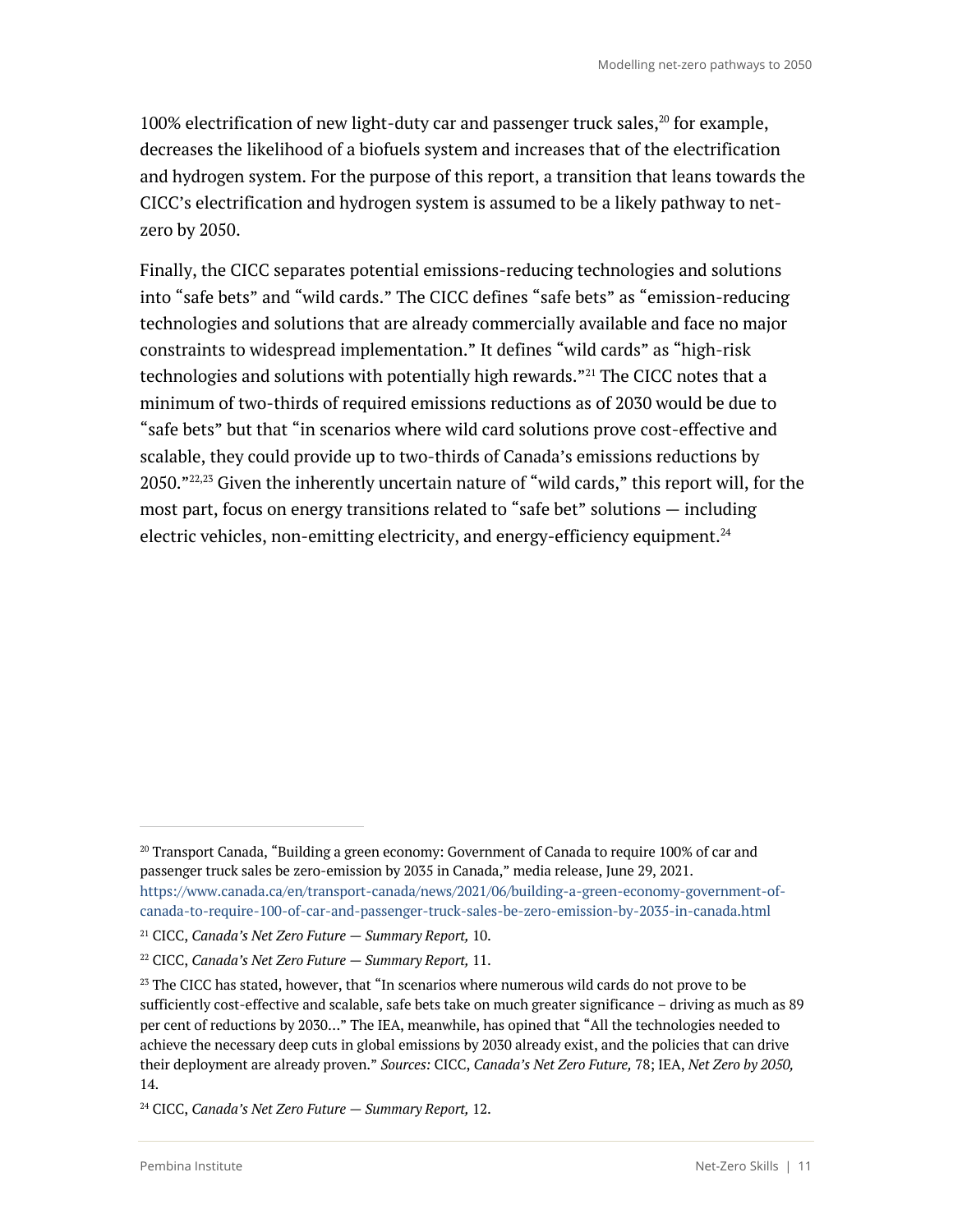100% electrification of new light-duty car and passenger truck sales, <sup>20</sup> for example, decreases the likelihood of a biofuels system and increases that of the electrification and hydrogen system. For the purpose of this report, a transition that leans towards the CICC's electrification and hydrogen system is assumed to be a likely pathway to netzero by 2050.

Finally, the CICC separates potential emissions-reducing technologies and solutions into "safe bets" and "wild cards." The CICC defines "safe bets" as "emission-reducing technologies and solutions that are already commercially available and face no major constraints to widespread implementation." It defines "wild cards" as "high-risk technologies and solutions with potentially high rewards."<sup>21</sup> The CICC notes that a minimum of two-thirds of required emissions reductions as of 2030 would be due to "safe bets" but that "in scenarios where wild card solutions prove cost-effective and scalable, they could provide up to two-thirds of Canada's emissions reductions by 2050."22,23 Given the inherently uncertain nature of "wild cards," this report will, for the most part, focus on energy transitions related to "safe bet" solutions — including electric vehicles, non-emitting electricity, and energy-efficiency equipment.<sup>24</sup>

 $20$  Transport Canada, "Building a green economy: Government of Canada to require 100% of car and passenger truck sales be zero-emission by 2035 in Canada," media release, June 29, 2021. https://www.canada.ca/en/transport-canada/news/2021/06/building-a-green-economy-government-ofcanada-to-require-100-of-car-and-passenger-truck-sales-be-zero-emission-by-2035-in-canada.html

<sup>21</sup> CICC, *Canada's Net Zero Future — Summary Report,* 10.

<sup>22</sup> CICC, *Canada's Net Zero Future — Summary Report,* 11.

 $25$  The CICC has stated, however, that "In scenarios where numerous wild cards do not prove to be sufficiently cost-effective and scalable, safe bets take on much greater significance – driving as much as 89 per cent of reductions by 2030…" The IEA, meanwhile, has opined that "All the technologies needed to achieve the necessary deep cuts in global emissions by 2030 already exist, and the policies that can drive their deployment are already proven." *Sources:* CICC, *Canada's Net Zero Future,* 78; IEA, *Net Zero by 2050,*  14.

<sup>24</sup> CICC, *Canada's Net Zero Future — Summary Report,* 12.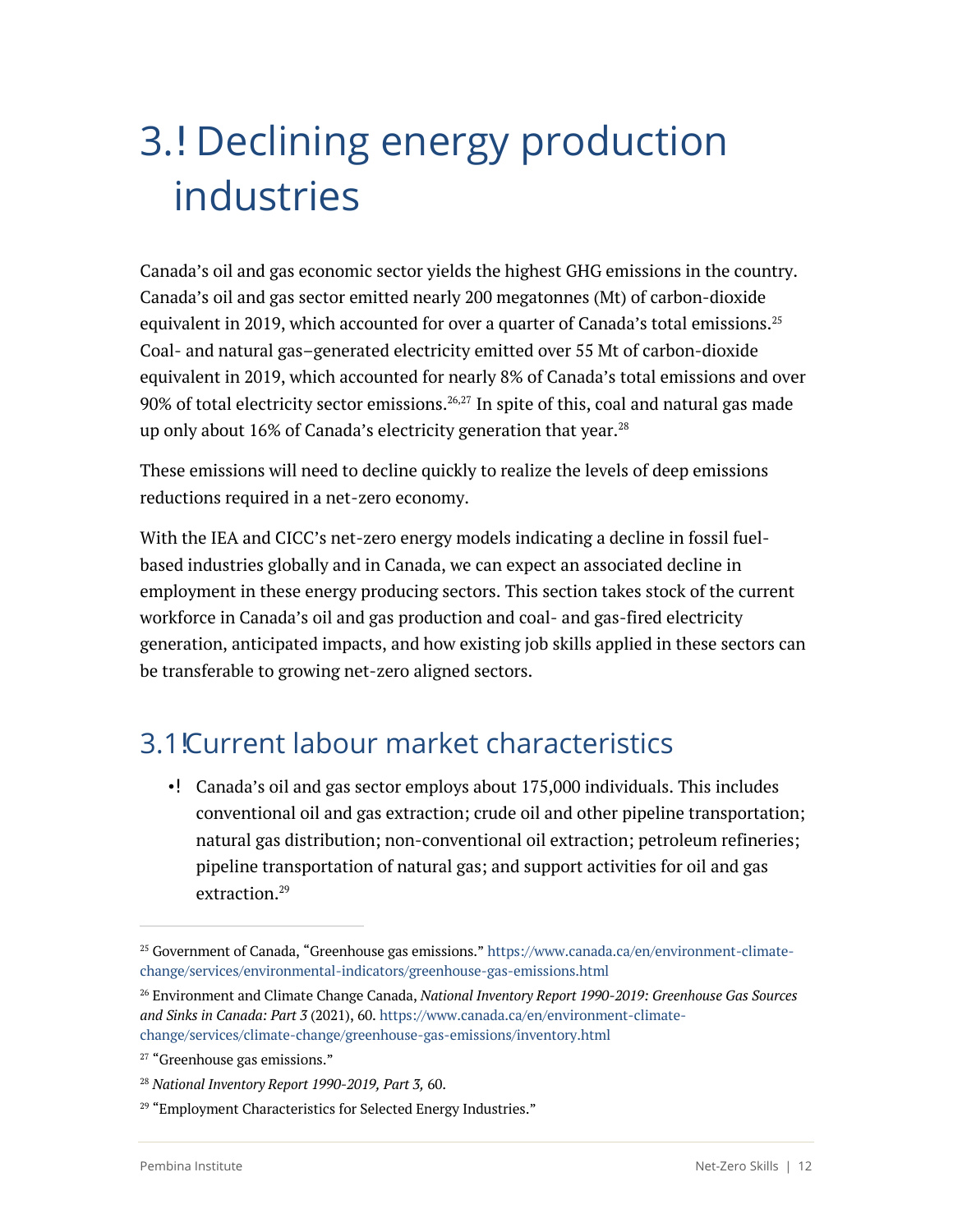# 3.! Declining energy production industries

Canada's oil and gas economic sector yields the highest GHG emissions in the country. Canada's oil and gas sector emitted nearly 200 megatonnes (Mt) of carbon-dioxide equivalent in 2019, which accounted for over a quarter of Canada's total emissions.<sup>25</sup> Coal- and natural gas–generated electricity emitted over 55 Mt of carbon-dioxide equivalent in 2019, which accounted for nearly 8% of Canada's total emissions and over 90% of total electricity sector emissions.<sup>26,27</sup> In spite of this, coal and natural gas made up only about  $16\%$  of Canada's electricity generation that year. $^{28}$ 

These emissions will need to decline quickly to realize the levels of deep emissions reductions required in a net-zero economy.

With the IEA and CICC's net-zero energy models indicating a decline in fossil fuelbased industries globally and in Canada, we can expect an associated decline in employment in these energy producing sectors. This section takes stock of the current workforce in Canada's oil and gas production and coal- and gas-fired electricity generation, anticipated impacts, and how existing job skills applied in these sectors can be transferable to growing net-zero aligned sectors.

# 3.1 Current labour market characteristics

•! Canada's oil and gas sector employs about 175,000 individuals. This includes conventional oil and gas extraction; crude oil and other pipeline transportation; natural gas distribution; non-conventional oil extraction; petroleum refineries; pipeline transportation of natural gas; and support activities for oil and gas extraction.<sup>29</sup>

<sup>&</sup>lt;sup>25</sup> Government of Canada, "Greenhouse gas emissions." https://www.canada.ca/en/environment-climatechange/services/environmental-indicators/greenhouse-gas-emissions.html

<sup>26</sup> Environment and Climate Change Canada, *National Inventory Report 1990-2019: Greenhouse Gas Sources and Sinks in Canada: Part 3* (2021), 60. https://www.canada.ca/en/environment-climatechange/services/climate-change/greenhouse-gas-emissions/inventory.html

<sup>&</sup>lt;sup>27</sup> "Greenhouse gas emissions."

<sup>28</sup> *National Inventory Report 1990-2019, Part 3,* 60.

<sup>&</sup>lt;sup>29</sup> "Employment Characteristics for Selected Energy Industries."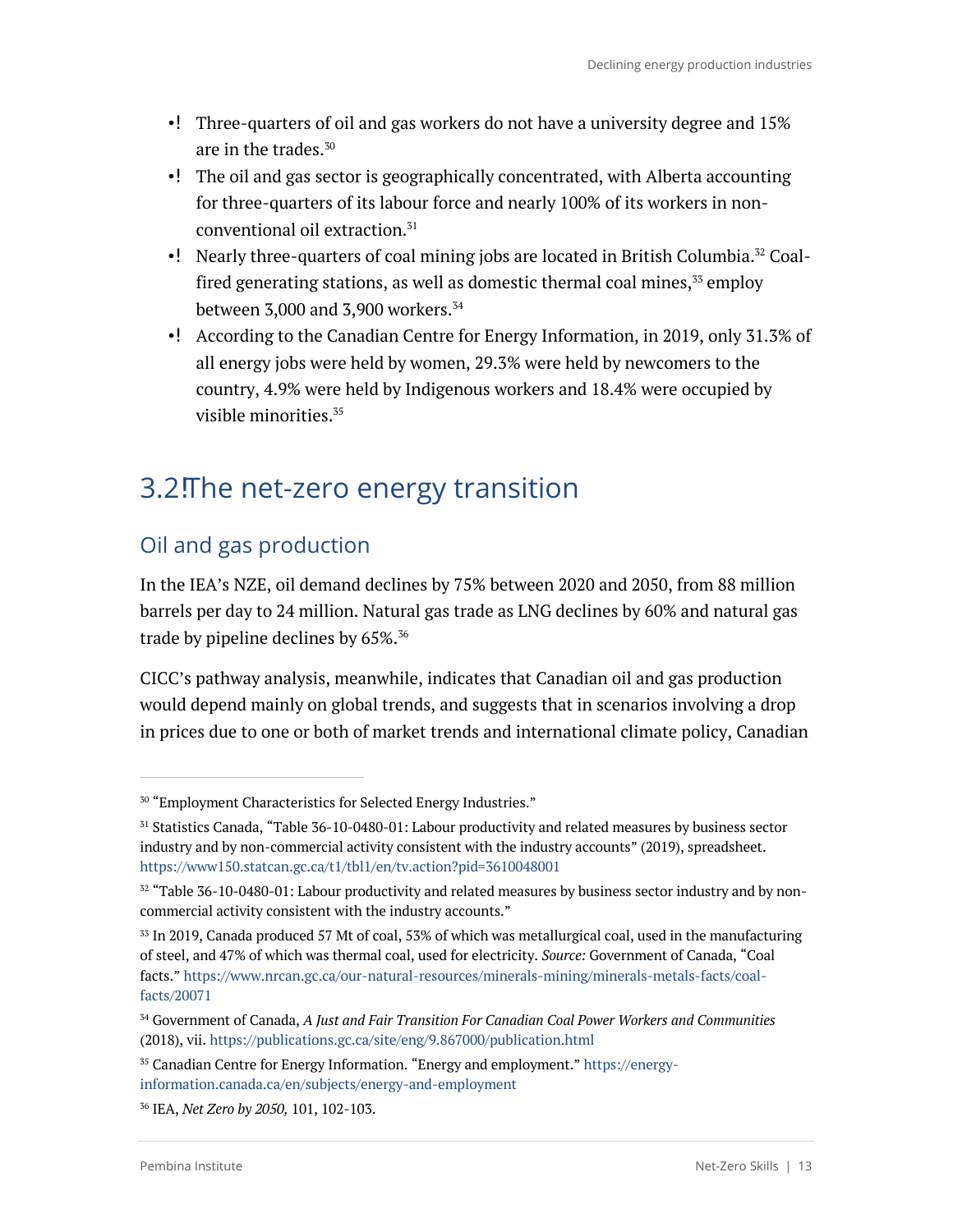- •! Three-quarters of oil and gas workers do not have a university degree and 15% are in the trades.<sup>30</sup>
- •! The oil and gas sector is geographically concentrated, with Alberta accounting for three-quarters of its labour force and nearly 100% of its workers in nonconventional oil extraction.31
- •! Nearly three-quarters of coal mining jobs are located in British Columbia.<sup>32</sup> Coalfired generating stations, as well as domestic thermal coal mines,<sup>33</sup> employ between  $3,000$  and  $3,900$  workers.<sup>34</sup>
- •! According to the Canadian Centre for Energy Information, in 2019, only 31.3% of all energy jobs were held by women, 29.3% were held by newcomers to the country, 4.9% were held by Indigenous workers and 18.4% were occupied by visible minorities.35

# 3.2 The net-zero energy transition

## Oil and gas production

In the IEA's NZE, oil demand declines by 75% between 2020 and 2050, from 88 million barrels per day to 24 million. Natural gas trade as LNG declines by 60% and natural gas trade by pipeline declines by 65%.<sup>36</sup>

CICC's pathway analysis, meanwhile, indicates that Canadian oil and gas production would depend mainly on global trends, and suggests that in scenarios involving a drop in prices due to one or both of market trends and international climate policy, Canadian

<sup>&</sup>lt;sup>30</sup> "Employment Characteristics for Selected Energy Industries."

<sup>31</sup> Statistics Canada, "Table 36-10-0480-01: Labour productivity and related measures by business sector industry and by non-commercial activity consistent with the industry accounts" (2019), spreadsheet. https://www150.statcan.gc.ca/t1/tbl1/en/tv.action?pid=3610048001

<sup>&</sup>lt;sup>32</sup> "Table 36-10-0480-01: Labour productivity and related measures by business sector industry and by noncommercial activity consistent with the industry accounts."

<sup>33</sup> In 2019, Canada produced 57 Mt of coal, 53% of which was metallurgical coal, used in the manufacturing of steel, and 47% of which was thermal coal, used for electricity. *Source:* Government of Canada, "Coal facts." https://www.nrcan.gc.ca/our-natural-resources/minerals-mining/minerals-metals-facts/coalfacts/20071

<sup>34</sup> Government of Canada, *A Just and Fair Transition For Canadian Coal Power Workers and Communities*  (2018), vii. https://publications.gc.ca/site/eng/9.867000/publication.html

<sup>35</sup> Canadian Centre for Energy Information. "Energy and employment." https://energyinformation.canada.ca/en/subjects/energy-and-employment

<sup>36</sup> IEA, *Net Zero by 2050,* 101, 102-103.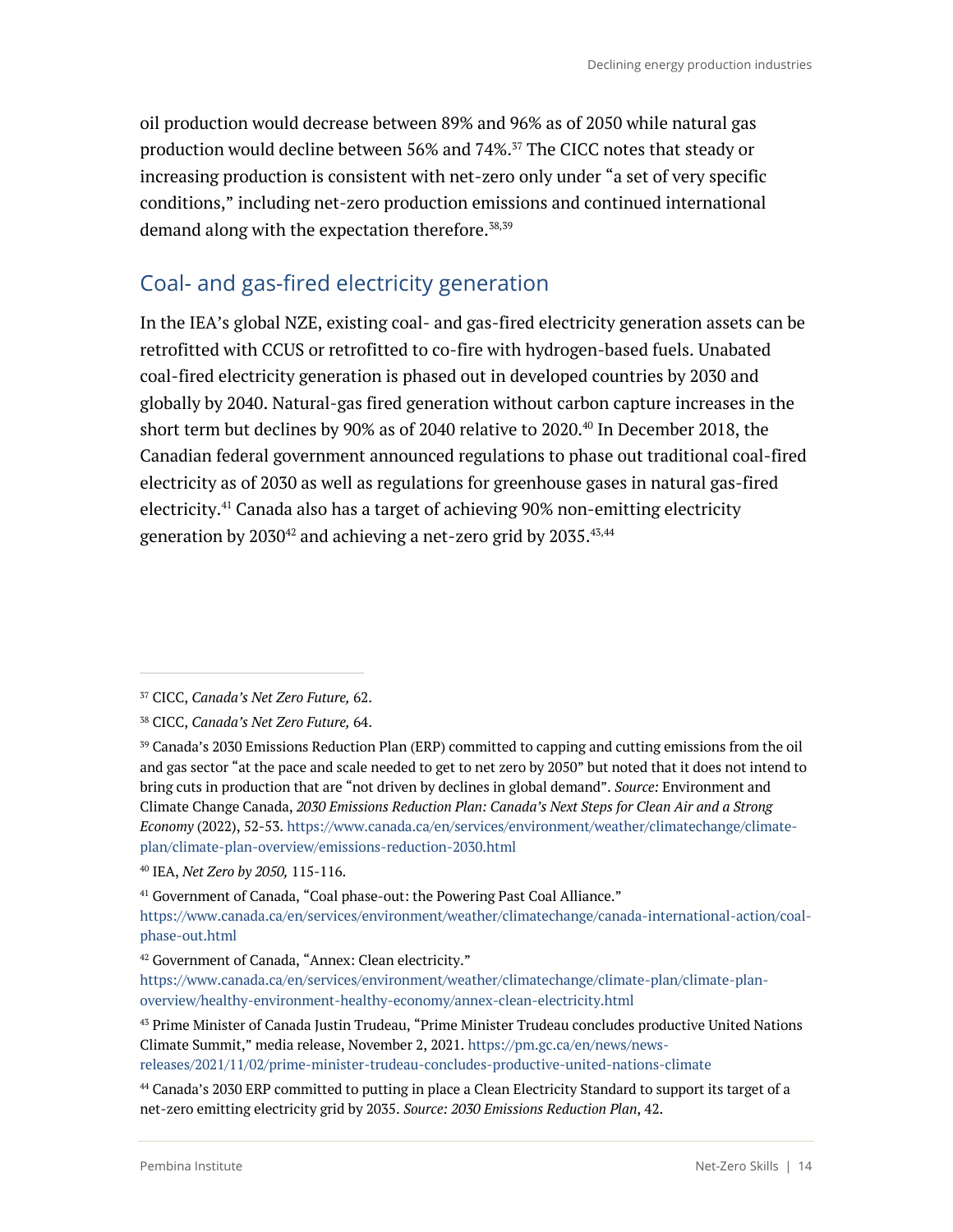oil production would decrease between 89% and 96% as of 2050 while natural gas production would decline between 56% and 74%. <sup>37</sup> The CICC notes that steady or increasing production is consistent with net-zero only under "a set of very specific conditions," including net-zero production emissions and continued international demand along with the expectation therefore. 38,39

# Coal- and gas-fired electricity generation

In the IEA's global NZE, existing coal- and gas-fired electricity generation assets can be retrofitted with CCUS or retrofitted to co-fire with hydrogen-based fuels. Unabated coal-fired electricity generation is phased out in developed countries by 2030 and globally by 2040. Natural-gas fired generation without carbon capture increases in the short term but declines by 90% as of 2040 relative to 2020.<sup>40</sup> In December 2018, the Canadian federal government announced regulations to phase out traditional coal-fired electricity as of 2030 as well as regulations for greenhouse gases in natural gas-fired electricity.<sup>41</sup> Canada also has a target of achieving 90% non-emitting electricity generation by  $2030^{42}$  and achieving a net-zero grid by  $2035.^{\scriptstyle 43,44}$ 

<sup>40</sup> IEA, *Net Zero by 2050,* 115-116.

<sup>41</sup> Government of Canada, "Coal phase-out: the Powering Past Coal Alliance."

releases/2021/11/02/prime-minister-trudeau-concludes-productive-united-nations-climate

<sup>37</sup> CICC, *Canada's Net Zero Future,* 62.

<sup>38</sup> CICC, *Canada's Net Zero Future,* 64.

<sup>39</sup> Canada's 2030 Emissions Reduction Plan (ERP) committed to capping and cutting emissions from the oil and gas sector "at the pace and scale needed to get to net zero by 2050" but noted that it does not intend to bring cuts in production that are "not driven by declines in global demand". *Source:* Environment and Climate Change Canada, *2030 Emissions Reduction Plan: Canada's Next Steps for Clean Air and a Strong Economy* (2022), 52-53. https://www.canada.ca/en/services/environment/weather/climatechange/climateplan/climate-plan-overview/emissions-reduction-2030.html

https://www.canada.ca/en/services/environment/weather/climatechange/canada-international-action/coalphase-out.html

<sup>42</sup> Government of Canada, "Annex: Clean electricity."

https://www.canada.ca/en/services/environment/weather/climatechange/climate-plan/climate-planoverview/healthy-environment-healthy-economy/annex-clean-electricity.html

<sup>43</sup> Prime Minister of Canada Justin Trudeau, "Prime Minister Trudeau concludes productive United Nations Climate Summit," media release, November 2, 2021. https://pm.gc.ca/en/news/news-

<sup>44</sup> Canada's 2030 ERP committed to putting in place a Clean Electricity Standard to support its target of a net-zero emitting electricity grid by 2035. *Source: 2030 Emissions Reduction Plan*, 42.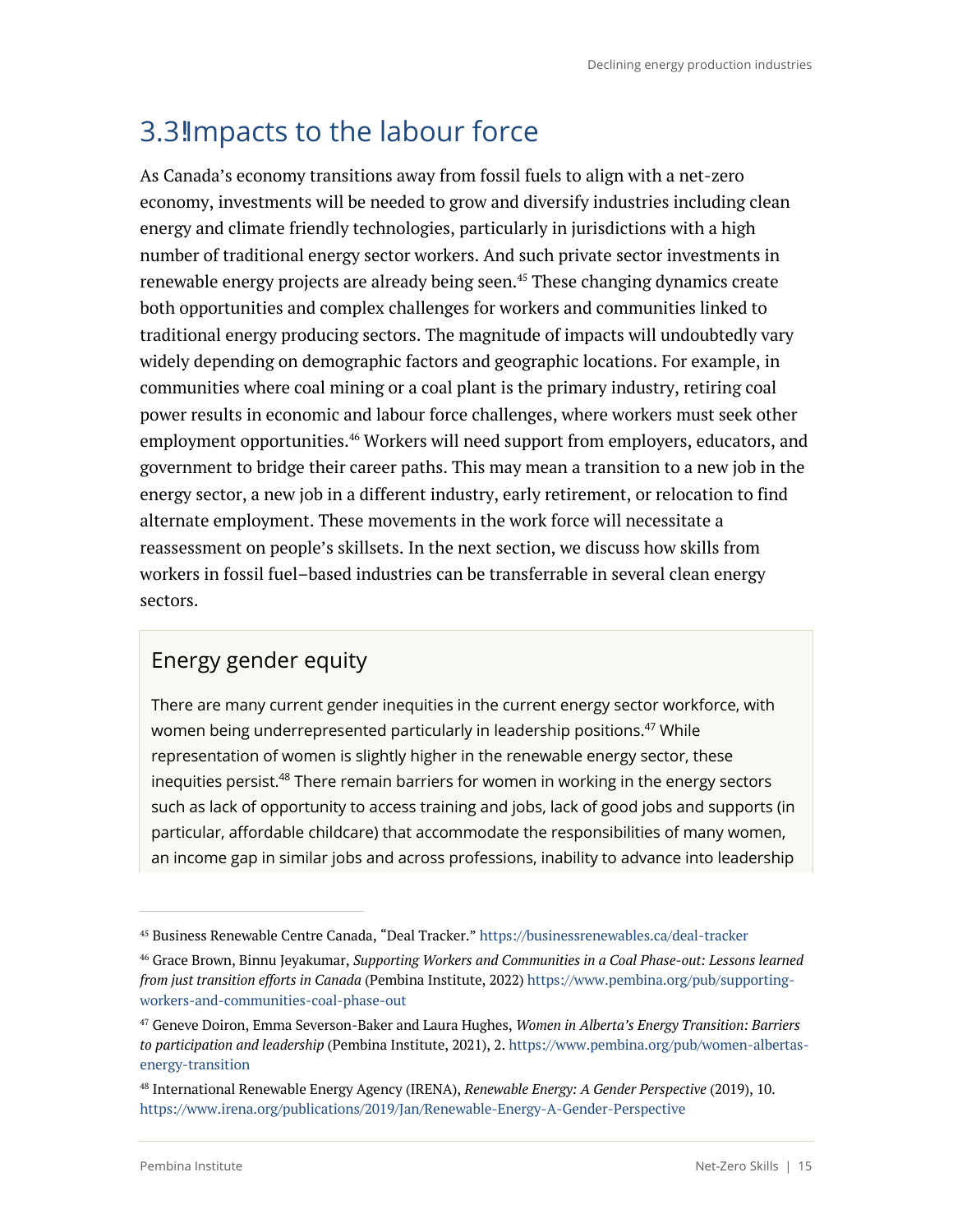# 3.3 Impacts to the labour force

As Canada's economy transitions away from fossil fuels to align with a net-zero economy, investments will be needed to grow and diversify industries including clean energy and climate friendly technologies, particularly in jurisdictions with a high number of traditional energy sector workers. And such private sector investments in renewable energy projects are already being seen.<sup>45</sup> These changing dynamics create both opportunities and complex challenges for workers and communities linked to traditional energy producing sectors. The magnitude of impacts will undoubtedly vary widely depending on demographic factors and geographic locations. For example, in communities where coal mining or a coal plant is the primary industry, retiring coal power results in economic and labour force challenges, where workers must seek other employment opportunities.<sup>46</sup> Workers will need support from employers, educators, and government to bridge their career paths. This may mean a transition to a new job in the energy sector, a new job in a different industry, early retirement, or relocation to find alternate employment. These movements in the work force will necessitate a reassessment on people's skillsets. In the next section, we discuss how skills from workers in fossil fuel–based industries can be transferrable in several clean energy sectors.

#### Energy gender equity

There are many current gender inequities in the current energy sector workforce, with women being underrepresented particularly in leadership positions.<sup>47</sup> While representation of women is slightly higher in the renewable energy sector, these inequities persist.<sup>48</sup> There remain barriers for women in working in the energy sectors such as lack of opportunity to access training and jobs, lack of good jobs and supports (in particular, affordable childcare) that accommodate the responsibilities of many women, an income gap in similar jobs and across professions, inability to advance into leadership

<sup>45</sup> Business Renewable Centre Canada, "Deal Tracker." https://businessrenewables.ca/deal-tracker

<sup>46</sup> Grace Brown, Binnu Jeyakumar, *Supporting Workers and Communities in a Coal Phase-out: Lessons learned from just transition efforts in Canada* (Pembina Institute, 2022) https://www.pembina.org/pub/supportingworkers-and-communities-coal-phase-out

<sup>47</sup> Geneve Doiron, Emma Severson-Baker and Laura Hughes, *Women in Alberta's Energy Transition: Barriers to participation and leadership* (Pembina Institute, 2021), 2. https://www.pembina.org/pub/women-albertasenergy-transition

<sup>48</sup> International Renewable Energy Agency (IRENA), *Renewable Energy: A Gender Perspective* (2019), 10. https://www.irena.org/publications/2019/Jan/Renewable-Energy-A-Gender-Perspective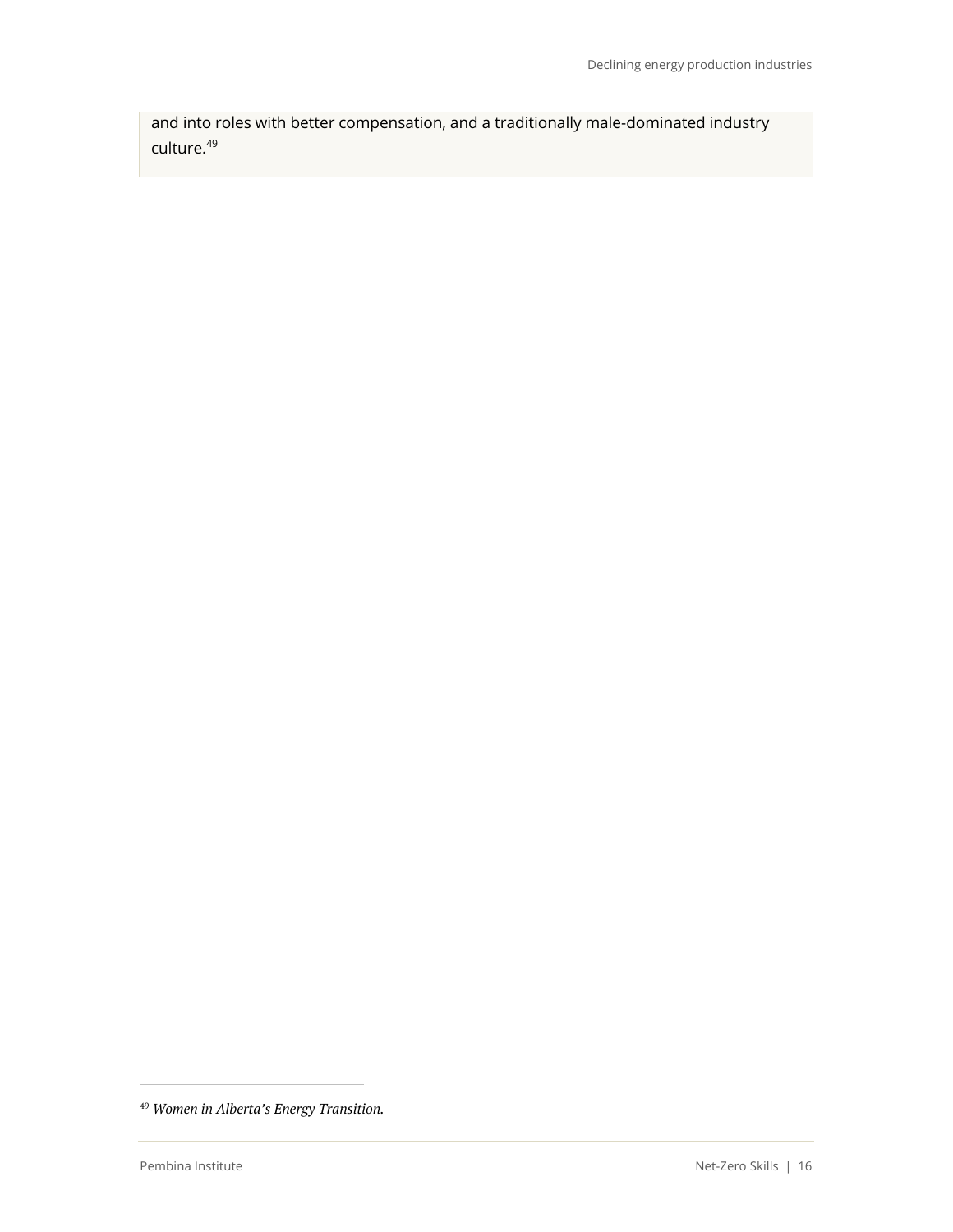and into roles with better compensation, and a traditionally male-dominated industry culture.<sup>49</sup>

<sup>49</sup> *Women in Alberta's Energy Transition.*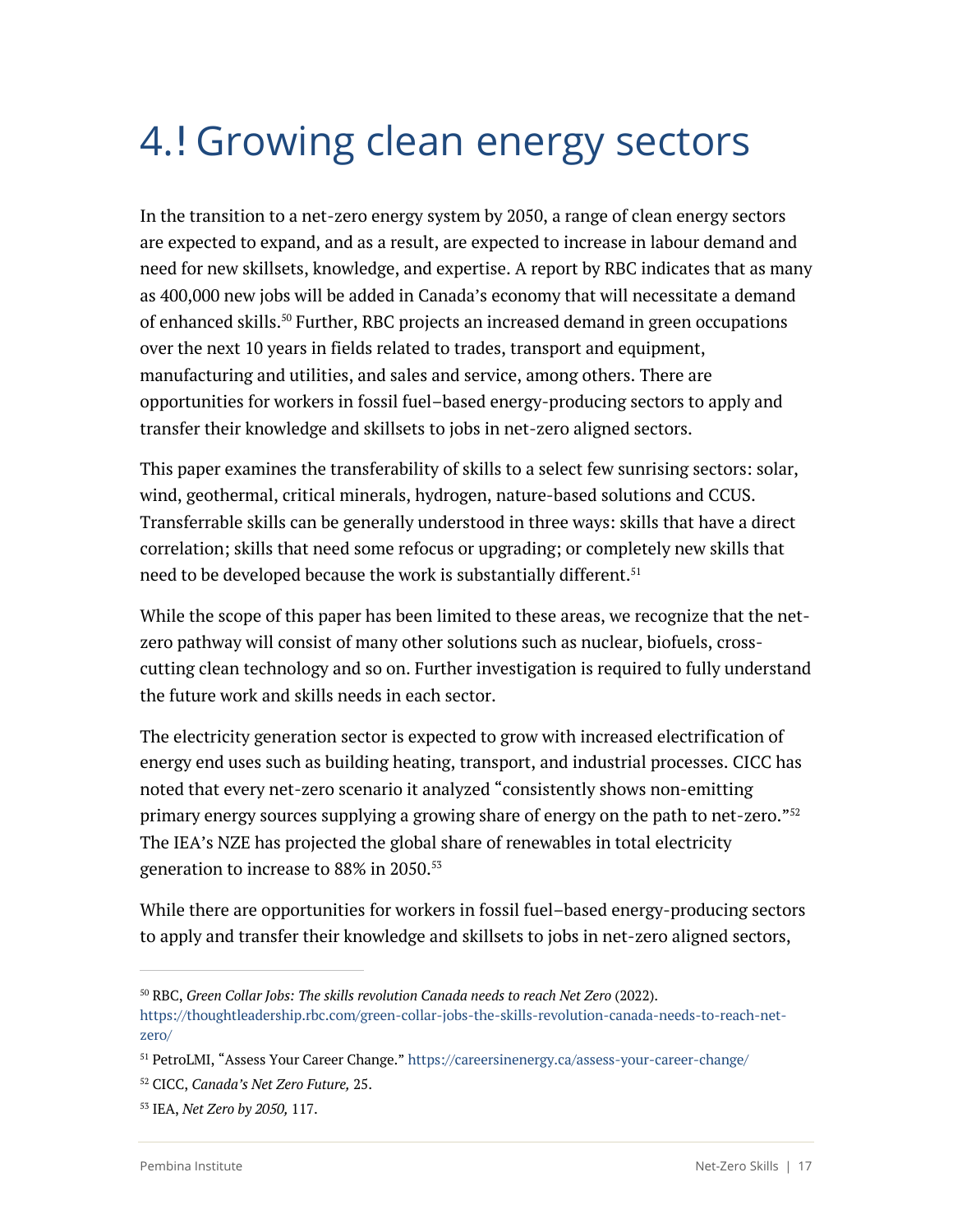# 4.! Growing clean energy sectors

In the transition to a net-zero energy system by 2050, a range of clean energy sectors are expected to expand, and as a result, are expected to increase in labour demand and need for new skillsets, knowledge, and expertise. A report by RBC indicates that as many as 400,000 new jobs will be added in Canada's economy that will necessitate a demand of enhanced skills.50 Further, RBC projects an increased demand in green occupations over the next 10 years in fields related to trades, transport and equipment, manufacturing and utilities, and sales and service, among others. There are opportunities for workers in fossil fuel–based energy-producing sectors to apply and transfer their knowledge and skillsets to jobs in net-zero aligned sectors.

This paper examines the transferability of skills to a select few sunrising sectors: solar, wind, geothermal, critical minerals, hydrogen, nature-based solutions and CCUS. Transferrable skills can be generally understood in three ways: skills that have a direct correlation; skills that need some refocus or upgrading; or completely new skills that need to be developed because the work is substantially different.<sup>51</sup>

While the scope of this paper has been limited to these areas, we recognize that the netzero pathway will consist of many other solutions such as nuclear, biofuels, crosscutting clean technology and so on. Further investigation is required to fully understand the future work and skills needs in each sector.

The electricity generation sector is expected to grow with increased electrification of energy end uses such as building heating, transport, and industrial processes. CICC has noted that every net-zero scenario it analyzed "consistently shows non-emitting primary energy sources supplying a growing share of energy on the path to net-zero."<sup>52</sup> The IEA's NZE has projected the global share of renewables in total electricity generation to increase to 88% in 2050.53

While there are opportunities for workers in fossil fuel–based energy-producing sectors to apply and transfer their knowledge and skillsets to jobs in net-zero aligned sectors,

<sup>53</sup> IEA, *Net Zero by 2050,* 117.

<sup>50</sup> RBC, *Green Collar Jobs: The skills revolution Canada needs to reach Net Zero* (2022). https://thoughtleadership.rbc.com/green-collar-jobs-the-skills-revolution-canada-needs-to-reach-netzero/

<sup>51</sup> PetroLMI, "Assess Your Career Change." https://careersinenergy.ca/assess-your-career-change/

<sup>52</sup> CICC, *Canada's Net Zero Future,* 25.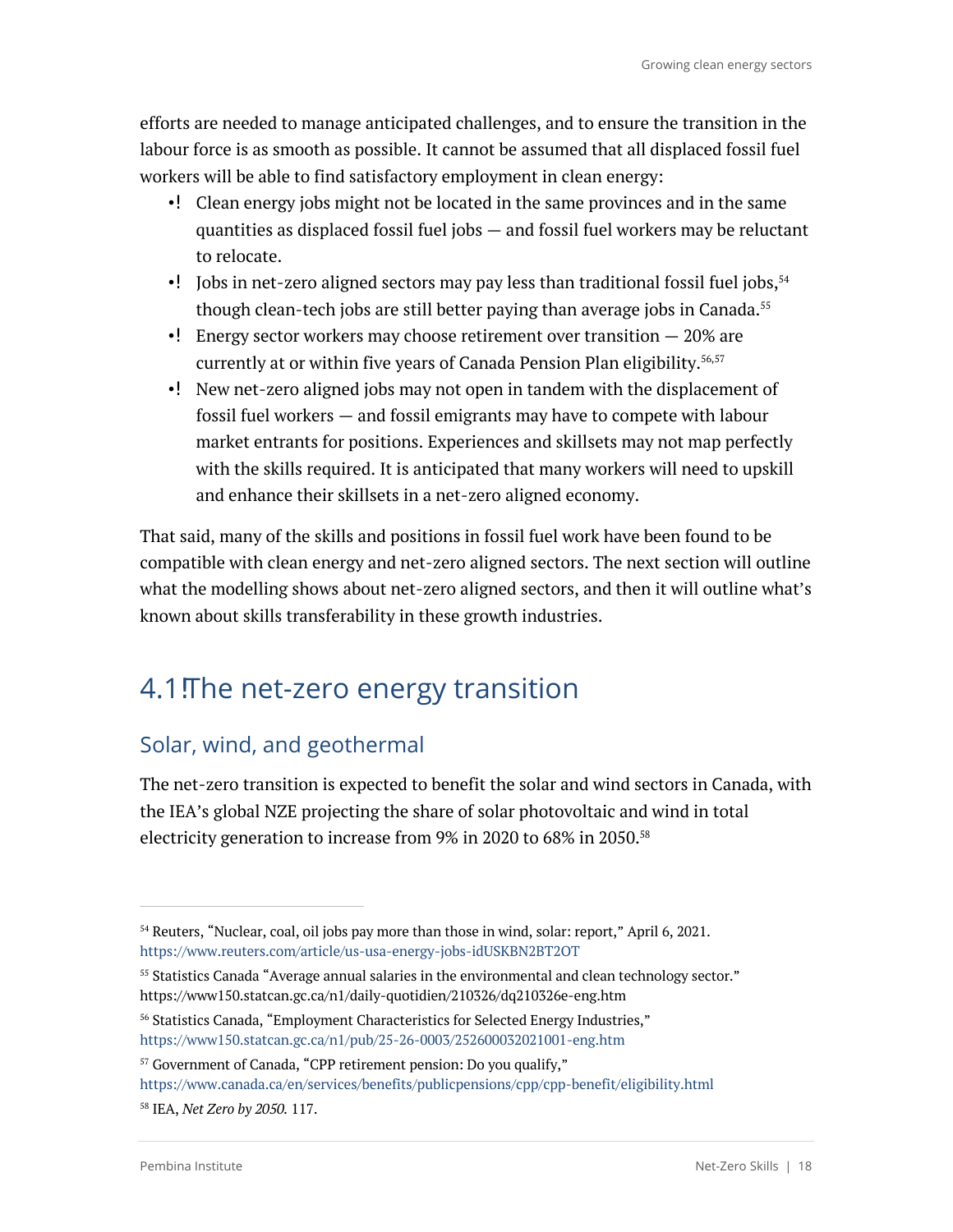efforts are needed to manage anticipated challenges, and to ensure the transition in the labour force is as smooth as possible. It cannot be assumed that all displaced fossil fuel workers will be able to find satisfactory employment in clean energy:

- Clean energy jobs might not be located in the same provinces and in the same quantities as displaced fossil fuel jobs — and fossil fuel workers may be reluctant to relocate.
- •! Jobs in net-zero aligned sectors may pay less than traditional fossil fuel jobs,  $54$ though clean-tech jobs are still better paying than average jobs in Canada.<sup>55</sup>
- Energy sector workers may choose retirement over transition  $-20\%$  are currently at or within five years of Canada Pension Plan eligibility.<sup>56,57</sup>
- •! New net-zero aligned jobs may not open in tandem with the displacement of fossil fuel workers — and fossil emigrants may have to compete with labour market entrants for positions. Experiences and skillsets may not map perfectly with the skills required. It is anticipated that many workers will need to upskill and enhance their skillsets in a net-zero aligned economy.

That said, many of the skills and positions in fossil fuel work have been found to be compatible with clean energy and net-zero aligned sectors. The next section will outline what the modelling shows about net-zero aligned sectors, and then it will outline what's known about skills transferability in these growth industries.

# 4.1 The net-zero energy transition

# Solar, wind, and geothermal

The net-zero transition is expected to benefit the solar and wind sectors in Canada, with the IEA's global NZE projecting the share of solar photovoltaic and wind in total electricity generation to increase from 9% in 2020 to 68% in 2050.<sup>58</sup>

<sup>54</sup> Reuters, "Nuclear, coal, oil jobs pay more than those in wind, solar: report," April 6, 2021. https://www.reuters.com/article/us-usa-energy-jobs-idUSKBN2BT2OT

<sup>&</sup>lt;sup>55</sup> Statistics Canada "Average annual salaries in the environmental and clean technology sector." https://www150.statcan.gc.ca/n1/daily-quotidien/210326/dq210326e-eng.htm

<sup>56</sup> Statistics Canada, "Employment Characteristics for Selected Energy Industries," https://www150.statcan.gc.ca/n1/pub/25-26-0003/252600032021001-eng.htm

<sup>57</sup> Government of Canada, "CPP retirement pension: Do you qualify," https://www.canada.ca/en/services/benefits/publicpensions/cpp/cpp-benefit/eligibility.html <sup>58</sup> IEA, *Net Zero by 2050.* 117.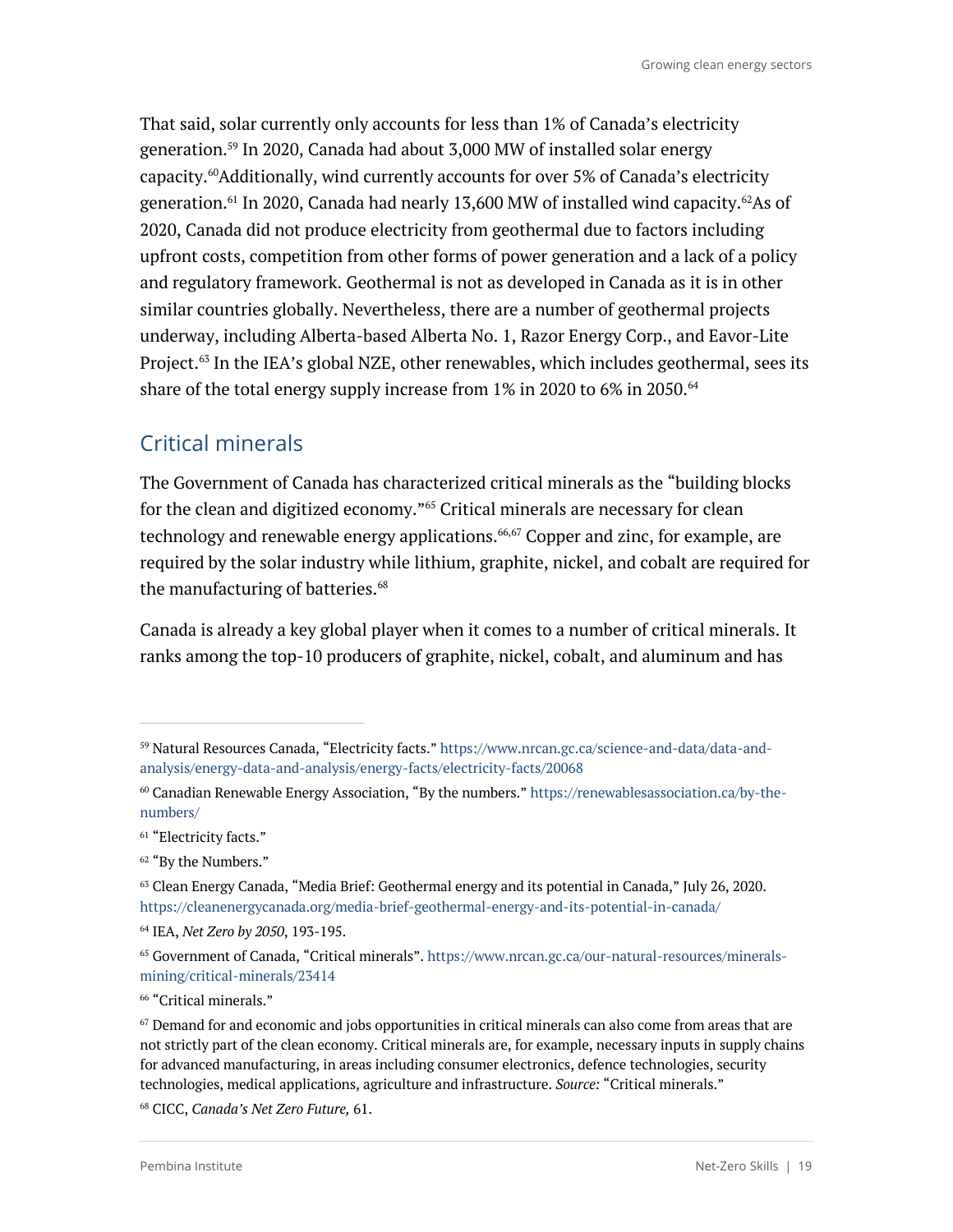That said, solar currently only accounts for less than 1% of Canada's electricity generation.59 In 2020, Canada had about 3,000 MW of installed solar energy capacity.<sup>60</sup>Additionally, wind currently accounts for over 5% of Canada's electricity generation.<sup>61</sup> In 2020, Canada had nearly 13,600 MW of installed wind capacity.<sup>62</sup>As of 2020, Canada did not produce electricity from geothermal due to factors including upfront costs, competition from other forms of power generation and a lack of a policy and regulatory framework. Geothermal is not as developed in Canada as it is in other similar countries globally. Nevertheless, there are a number of geothermal projects underway, including Alberta-based Alberta No. 1, Razor Energy Corp., and Eavor-Lite Project.<sup>63</sup> In the IEA's global NZE, other renewables, which includes geothermal, sees its share of the total energy supply increase from  $1\%$  in 2020 to 6% in 2050. $64$ 

#### Critical minerals

The Government of Canada has characterized critical minerals as the "building blocks for the clean and digitized economy."<sup>65</sup> Critical minerals are necessary for clean technology and renewable energy applications.<sup>66,67</sup> Copper and zinc, for example, are required by the solar industry while lithium, graphite, nickel, and cobalt are required for the manufacturing of batteries.<sup>68</sup>

Canada is already a key global player when it comes to a number of critical minerals. It ranks among the top-10 producers of graphite, nickel, cobalt, and aluminum and has

<sup>59</sup> Natural Resources Canada, "Electricity facts." https://www.nrcan.gc.ca/science-and-data/data-andanalysis/energy-data-and-analysis/energy-facts/electricity-facts/20068

 $60$  Canadian Renewable Energy Association, "By the numbers." https://renewablesassociation.ca/by-thenumbers/

<sup>&</sup>lt;sup>61</sup> "Electricity facts."

<sup>&</sup>lt;sup>62</sup> "By the Numbers."

 $63$  Clean Energy Canada, "Media Brief: Geothermal energy and its potential in Canada," July 26, 2020. https://cleanenergycanada.org/media-brief-geothermal-energy-and-its-potential-in-canada/

<sup>64</sup> IEA, *Net Zero by 2050*, 193-195.

<sup>65</sup> Government of Canada, "Critical minerals". https://www.nrcan.gc.ca/our-natural-resources/mineralsmining/critical-minerals/23414

<sup>&</sup>lt;sup>66</sup> "Critical minerals."

 $67$  Demand for and economic and jobs opportunities in critical minerals can also come from areas that are not strictly part of the clean economy. Critical minerals are, for example, necessary inputs in supply chains for advanced manufacturing, in areas including consumer electronics, defence technologies, security technologies, medical applications, agriculture and infrastructure. *Source:* "Critical minerals."

<sup>68</sup> CICC, *Canada's Net Zero Future,* 61.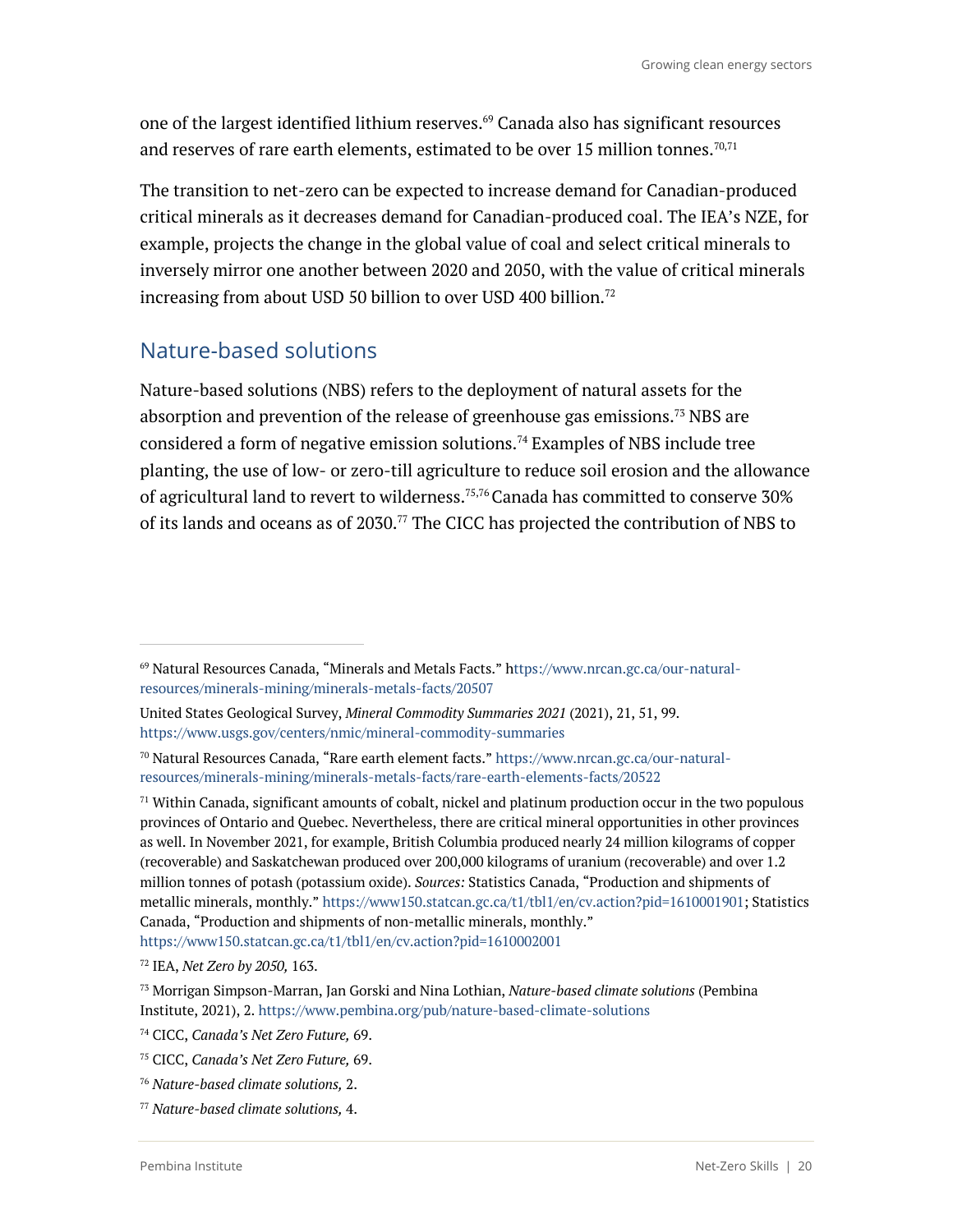one of the largest identified lithium reserves.<sup>69</sup> Canada also has significant resources and reserves of rare earth elements, estimated to be over 15 million tonnes.<sup>70,71</sup>

The transition to net-zero can be expected to increase demand for Canadian-produced critical minerals as it decreases demand for Canadian-produced coal. The IEA's NZE, for example, projects the change in the global value of coal and select critical minerals to inversely mirror one another between 2020 and 2050, with the value of critical minerals increasing from about USD 50 billion to over USD 400 billion. $72$ 

## Nature-based solutions

Nature-based solutions (NBS) refers to the deployment of natural assets for the absorption and prevention of the release of greenhouse gas emissions.<sup>73</sup> NBS are considered a form of negative emission solutions.74 Examples of NBS include tree planting, the use of low- or zero-till agriculture to reduce soil erosion and the allowance of agricultural land to revert to wilderness.<sup>75,76</sup> Canada has committed to conserve 30% of its lands and oceans as of 2030.<sup>77</sup> The CICC has projected the contribution of NBS to

<sup>69</sup> Natural Resources Canada, "Minerals and Metals Facts." https://www.nrcan.gc.ca/our-naturalresources/minerals-mining/minerals-metals-facts/20507

United States Geological Survey, *Mineral Commodity Summaries 2021* (2021), 21, 51, 99. https://www.usgs.gov/centers/nmic/mineral-commodity-summaries

<sup>70</sup> Natural Resources Canada, "Rare earth element facts." https://www.nrcan.gc.ca/our-naturalresources/minerals-mining/minerals-metals-facts/rare-earth-elements-facts/20522

 $71$  Within Canada, significant amounts of cobalt, nickel and platinum production occur in the two populous provinces of Ontario and Quebec. Nevertheless, there are critical mineral opportunities in other provinces as well. In November 2021, for example, British Columbia produced nearly 24 million kilograms of copper (recoverable) and Saskatchewan produced over 200,000 kilograms of uranium (recoverable) and over 1.2 million tonnes of potash (potassium oxide). *Sources:* Statistics Canada, "Production and shipments of metallic minerals, monthly." https://www150.statcan.gc.ca/t1/tbl1/en/cv.action?pid=1610001901; Statistics Canada, "Production and shipments of non-metallic minerals, monthly." https://www150.statcan.gc.ca/t1/tbl1/en/cv.action?pid=1610002001

<sup>72</sup> IEA, *Net Zero by 2050,* 163.

<sup>73</sup> Morrigan Simpson-Marran, Jan Gorski and Nina Lothian, *Nature-based climate solutions* (Pembina Institute, 2021), 2. https://www.pembina.org/pub/nature-based-climate-solutions

<sup>74</sup> CICC, *Canada's Net Zero Future,* 69.

<sup>75</sup> CICC, *Canada's Net Zero Future,* 69.

<sup>76</sup> *Nature-based climate solutions,* 2.

<sup>77</sup> *Nature-based climate solutions,* 4.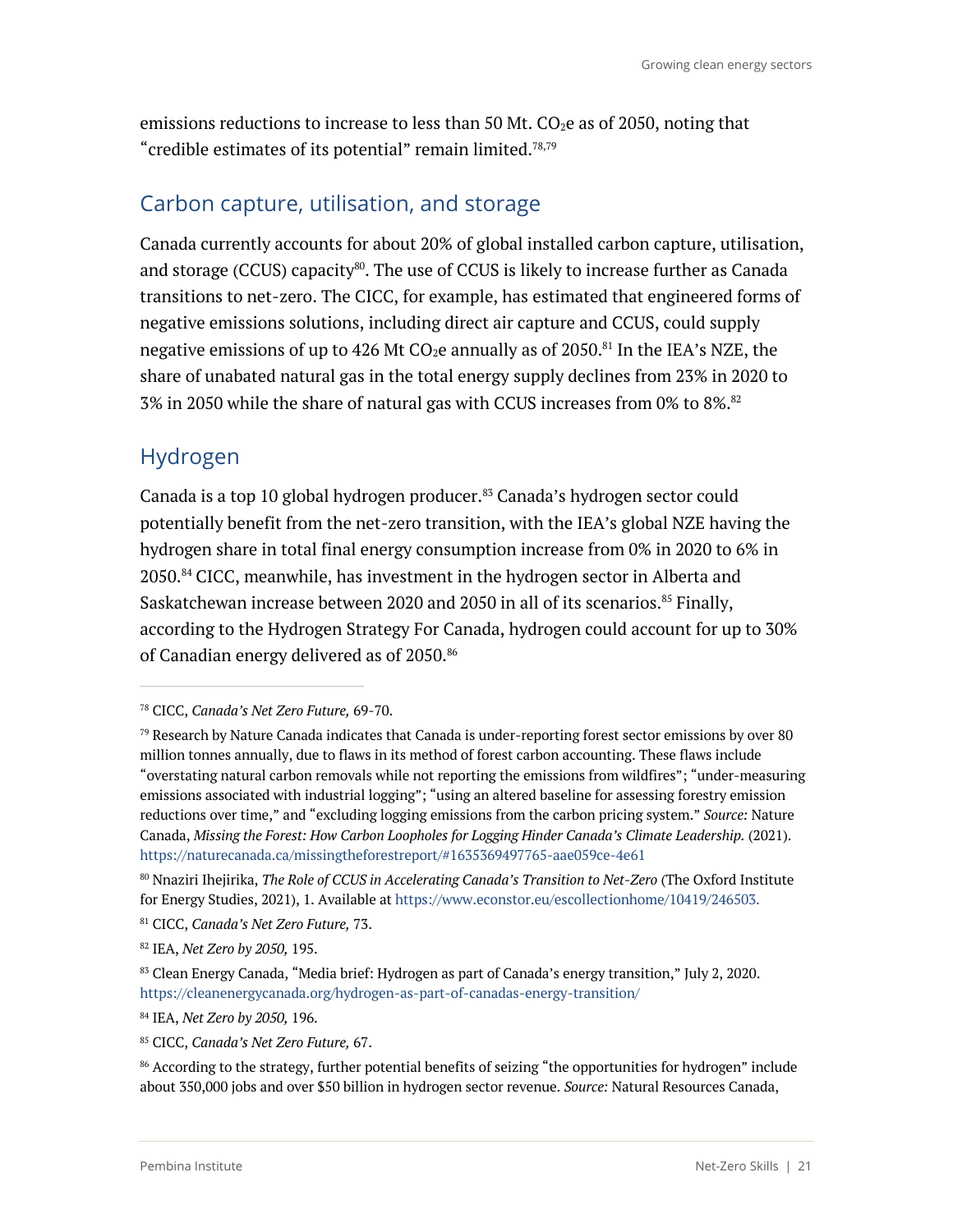emissions reductions to increase to less than 50 Mt.  $CO<sub>2</sub>e$  as of 2050, noting that "credible estimates of its potential" remain limited.<sup>78,79</sup>

#### Carbon capture, utilisation, and storage

Canada currently accounts for about 20% of global installed carbon capture, utilisation, and storage (CCUS) capacity $80$ . The use of CCUS is likely to increase further as Canada transitions to net-zero. The CICC, for example, has estimated that engineered forms of negative emissions solutions, including direct air capture and CCUS, could supply negative emissions of up to 426 Mt  $CO<sub>2</sub>e$  annually as of 2050.<sup>81</sup> In the IEA's NZE, the share of unabated natural gas in the total energy supply declines from 23% in 2020 to 3% in 2050 while the share of natural gas with CCUS increases from 0% to 8%.82

## Hydrogen

Canada is a top 10 global hydrogen producer.<sup>83</sup> Canada's hydrogen sector could potentially benefit from the net-zero transition, with the IEA's global NZE having the hydrogen share in total final energy consumption increase from 0% in 2020 to 6% in 2050.84 CICC, meanwhile, has investment in the hydrogen sector in Alberta and Saskatchewan increase between 2020 and 2050 in all of its scenarios.<sup>85</sup> Finally, according to the Hydrogen Strategy For Canada, hydrogen could account for up to 30% of Canadian energy delivered as of 2050.<sup>86</sup>

<sup>78</sup> CICC, *Canada's Net Zero Future,* 69-70.

 $79$  Research by Nature Canada indicates that Canada is under-reporting forest sector emissions by over 80 million tonnes annually, due to flaws in its method of forest carbon accounting. These flaws include "overstating natural carbon removals while not reporting the emissions from wildfires"; "under-measuring emissions associated with industrial logging"; "using an altered baseline for assessing forestry emission reductions over time," and "excluding logging emissions from the carbon pricing system." *Source:* Nature Canada, *Missing the Forest: How Carbon Loopholes for Logging Hinder Canada's Climate Leadership.* (2021). https://naturecanada.ca/missingtheforestreport/#1635369497765-aae059ce-4e61

<sup>80</sup> Nnaziri Ihejirika, *The Role of CCUS in Accelerating Canada's Transition to Net-Zero* (The Oxford Institute for Energy Studies, 2021), 1. Available at https://www.econstor.eu/escollectionhome/10419/246503.

<sup>81</sup> CICC, *Canada's Net Zero Future,* 73.

<sup>82</sup> IEA, *Net Zero by 2050,* 195.

<sup>83</sup> Clean Energy Canada, "Media brief: Hydrogen as part of Canada's energy transition," July 2, 2020. https://cleanenergycanada.org/hydrogen-as-part-of-canadas-energy-transition/

<sup>84</sup> IEA, *Net Zero by 2050,* 196.

<sup>85</sup> CICC, *Canada's Net Zero Future,* 67.

<sup>86</sup> According to the strategy, further potential benefits of seizing "the opportunities for hydrogen" include about 350,000 jobs and over \$50 billion in hydrogen sector revenue. *Source:* Natural Resources Canada,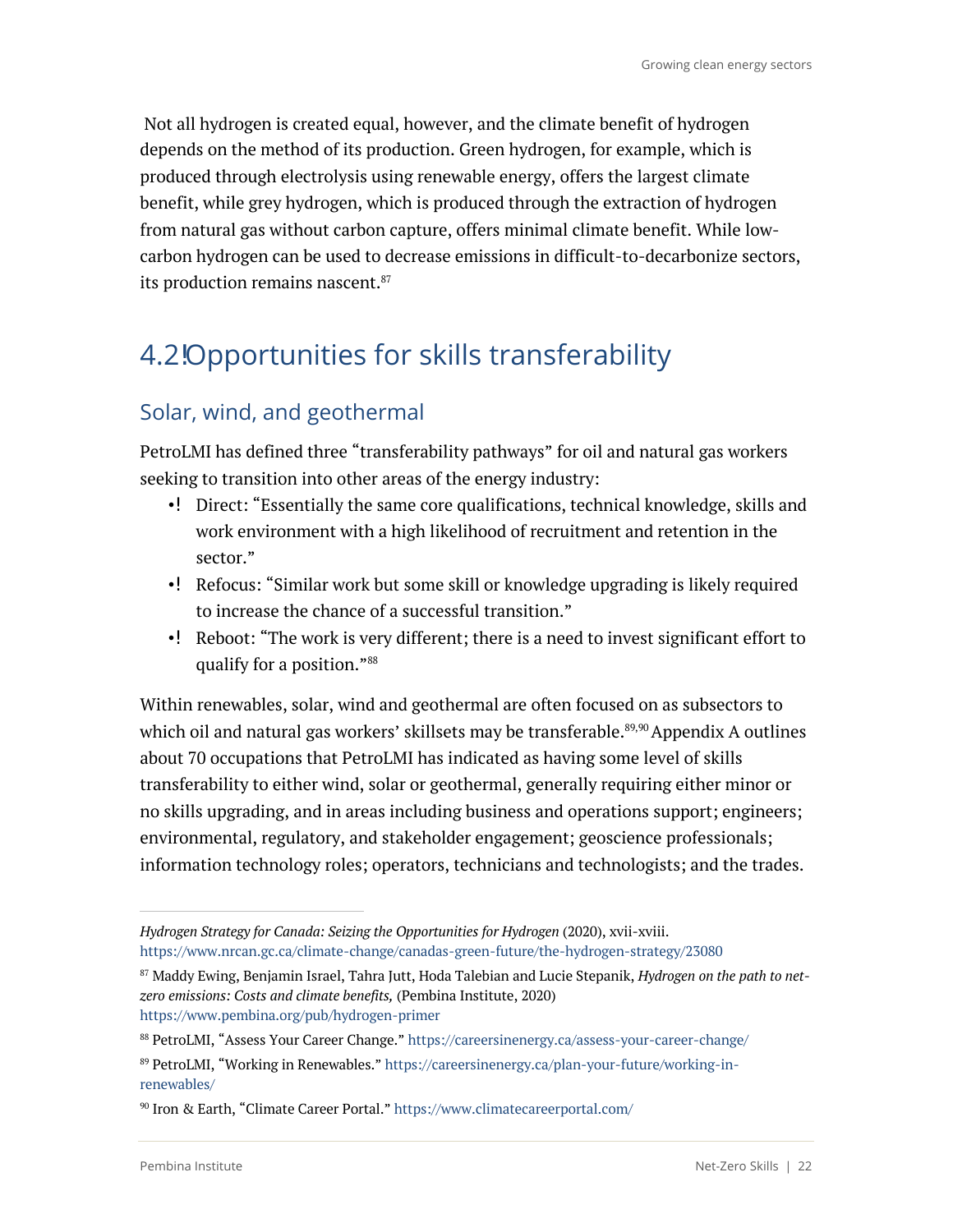Not all hydrogen is created equal, however, and the climate benefit of hydrogen depends on the method of its production. Green hydrogen, for example, which is produced through electrolysis using renewable energy, offers the largest climate benefit, while grey hydrogen, which is produced through the extraction of hydrogen from natural gas without carbon capture, offers minimal climate benefit. While lowcarbon hydrogen can be used to decrease emissions in difficult-to-decarbonize sectors, its production remains nascent.<sup>87</sup>

# 4.2 Opportunities for skills transferability

# Solar, wind, and geothermal

PetroLMI has defined three "transferability pathways" for oil and natural gas workers seeking to transition into other areas of the energy industry:

- •! Direct: "Essentially the same core qualifications, technical knowledge, skills and work environment with a high likelihood of recruitment and retention in the sector."
- •! Refocus: "Similar work but some skill or knowledge upgrading is likely required to increase the chance of a successful transition."
- •! Reboot: "The work is very different; there is a need to invest significant effort to qualify for a position."88

Within renewables, solar, wind and geothermal are often focused on as subsectors to which oil and natural gas workers' skillsets may be transferable.<sup>89,90</sup> Appendix A outlines about 70 occupations that PetroLMI has indicated as having some level of skills transferability to either wind, solar or geothermal, generally requiring either minor or no skills upgrading, and in areas including business and operations support; engineers; environmental, regulatory, and stakeholder engagement; geoscience professionals; information technology roles; operators, technicians and technologists; and the trades.

*Hydrogen Strategy for Canada: Seizing the Opportunities for Hydrogen* (2020), xvii-xviii. https://www.nrcan.gc.ca/climate-change/canadas-green-future/the-hydrogen-strategy/23080

<sup>87</sup> Maddy Ewing, Benjamin Israel, Tahra Jutt, Hoda Talebian and Lucie Stepanik, *Hydrogen on the path to netzero emissions: Costs and climate benefits,* (Pembina Institute, 2020) https://www.pembina.org/pub/hydrogen-primer

<sup>88</sup> PetroLMI, "Assess Your Career Change." https://careersinenergy.ca/assess-your-career-change/

<sup>89</sup> PetroLMI, "Working in Renewables." https://careersinenergy.ca/plan-your-future/working-inrenewables/

<sup>90</sup> Iron & Earth, "Climate Career Portal." https://www.climatecareerportal.com/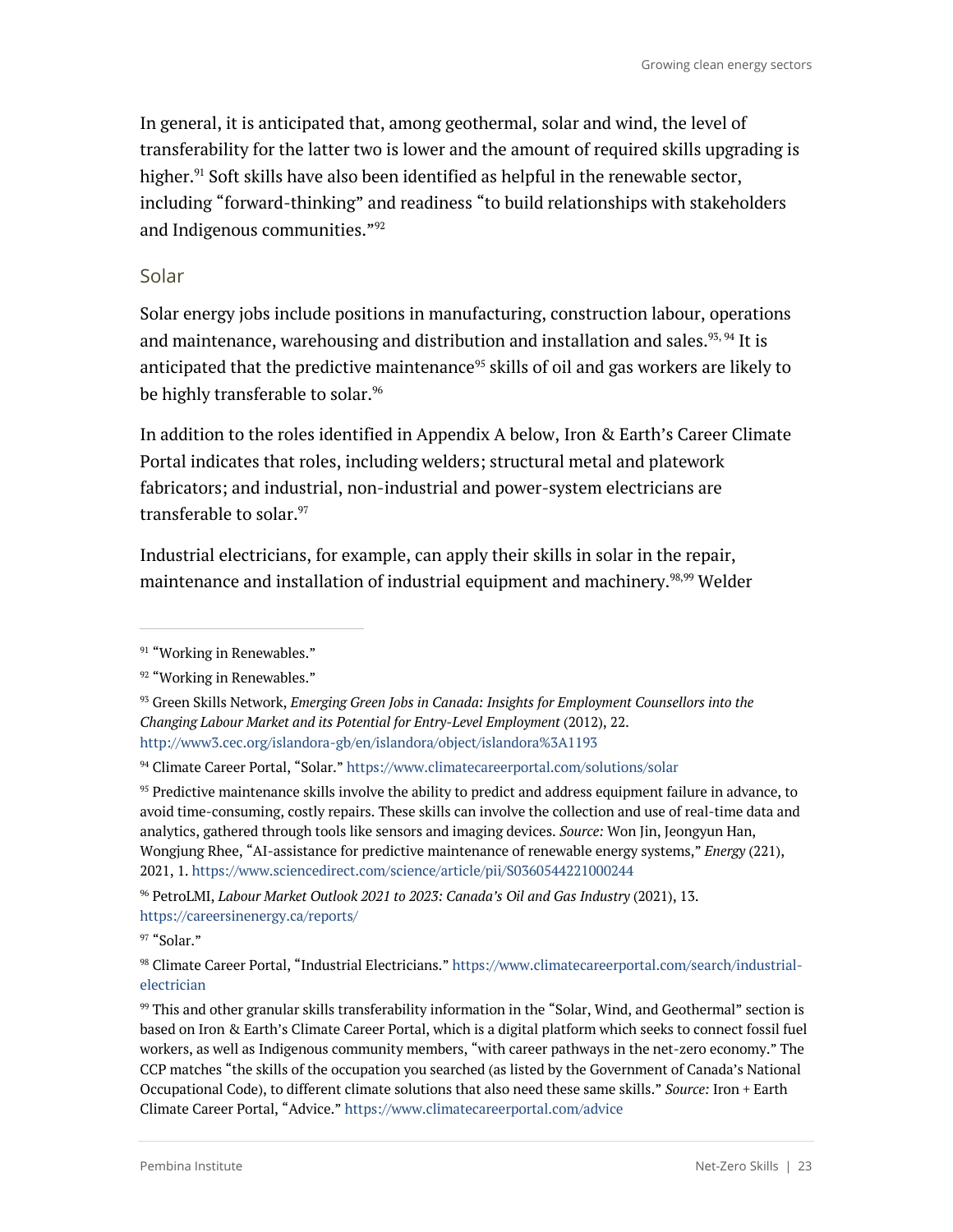In general, it is anticipated that, among geothermal, solar and wind, the level of transferability for the latter two is lower and the amount of required skills upgrading is higher.<sup>91</sup> Soft skills have also been identified as helpful in the renewable sector, including "forward-thinking" and readiness "to build relationships with stakeholders and Indigenous communities."92

#### Solar

Solar energy jobs include positions in manufacturing, construction labour, operations and maintenance, warehousing and distribution and installation and sales.<sup>93, 94</sup> It is anticipated that the predictive maintenance<sup>95</sup> skills of oil and gas workers are likely to be highly transferable to solar.<sup>96</sup>

In addition to the roles identified in Appendix A below, Iron & Earth's Career Climate Portal indicates that roles, including welders; structural metal and platework fabricators; and industrial, non-industrial and power-system electricians are transferable to solar.<sup>97</sup>

Industrial electricians, for example, can apply their skills in solar in the repair, maintenance and installation of industrial equipment and machinery. 98,99 Welder

<sup>&</sup>lt;sup>91</sup> "Working in Renewables."

<sup>92 &</sup>quot;Working in Renewables."

<sup>93</sup> Green Skills Network, *Emerging Green Jobs in Canada: Insights for Employment Counsellors into the Changing Labour Market and its Potential for Entry-Level Employment* (2012), 22. http://www3.cec.org/islandora-gb/en/islandora/object/islandora%3A1193

<sup>94</sup> Climate Career Portal, "Solar." https://www.climatecareerportal.com/solutions/solar

<sup>&</sup>lt;sup>95</sup> Predictive maintenance skills involve the ability to predict and address equipment failure in advance, to avoid time-consuming, costly repairs. These skills can involve the collection and use of real-time data and analytics, gathered through tools like sensors and imaging devices. *Source:* Won Jin, Jeongyun Han, Wongjung Rhee, "AI-assistance for predictive maintenance of renewable energy systems," *Energy* (221), 2021, 1. https://www.sciencedirect.com/science/article/pii/S0360544221000244

<sup>&</sup>lt;sup>96</sup> PetroLMI, *Labour Market Outlook 2021 to 2023: Canada's Oil and Gas Industry (2021), 13.* https://careersinenergy.ca/reports/

<sup>97 &</sup>quot;Solar."

<sup>98</sup> Climate Career Portal, "Industrial Electricians." https://www.climatecareerportal.com/search/industrialelectrician

<sup>99</sup> This and other granular skills transferability information in the "Solar, Wind, and Geothermal" section is based on Iron & Earth's Climate Career Portal, which is a digital platform which seeks to connect fossil fuel workers, as well as Indigenous community members, "with career pathways in the net-zero economy." The CCP matches "the skills of the occupation you searched (as listed by the Government of Canada's National Occupational Code), to different climate solutions that also need these same skills." *Source:* Iron + Earth Climate Career Portal, "Advice." https://www.climatecareerportal.com/advice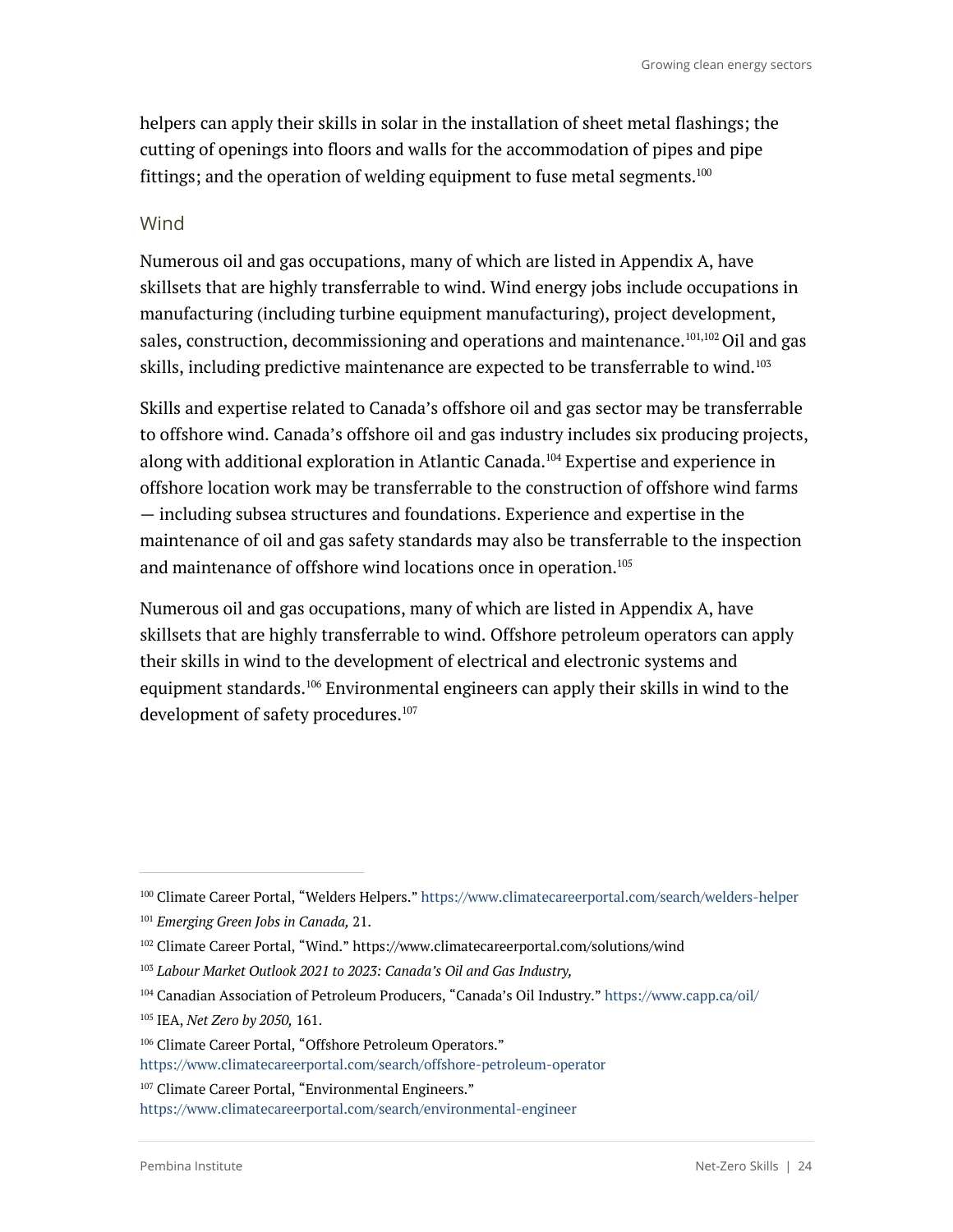helpers can apply their skills in solar in the installation of sheet metal flashings; the cutting of openings into floors and walls for the accommodation of pipes and pipe fittings; and the operation of welding equipment to fuse metal segments. $^{\rm 100}$ 

#### **Wind**

Numerous oil and gas occupations, many of which are listed in Appendix A, have skillsets that are highly transferrable to wind. Wind energy jobs include occupations in manufacturing (including turbine equipment manufacturing), project development, sales, construction, decommissioning and operations and maintenance.<sup>101,102</sup> Oil and gas skills, including predictive maintenance are expected to be transferrable to wind.<sup>103</sup>

Skills and expertise related to Canada's offshore oil and gas sector may be transferrable to offshore wind. Canada's offshore oil and gas industry includes six producing projects, along with additional exploration in Atlantic Canada.<sup>104</sup> Expertise and experience in offshore location work may be transferrable to the construction of offshore wind farms — including subsea structures and foundations. Experience and expertise in the maintenance of oil and gas safety standards may also be transferrable to the inspection and maintenance of offshore wind locations once in operation.<sup>105</sup>

Numerous oil and gas occupations, many of which are listed in Appendix A, have skillsets that are highly transferrable to wind. Offshore petroleum operators can apply their skills in wind to the development of electrical and electronic systems and equipment standards.<sup>106</sup> Environmental engineers can apply their skills in wind to the development of safety procedures.<sup>107</sup>

<sup>104</sup> Canadian Association of Petroleum Producers, "Canada's Oil Industry." https://www.capp.ca/oil/

<sup>106</sup> Climate Career Portal, "Offshore Petroleum Operators."

https://www.climatecareerportal.com/search/offshore-petroleum-operator

<sup>107</sup> Climate Career Portal, "Environmental Engineers."

<sup>100</sup> Climate Career Portal, "Welders Helpers." https://www.climatecareerportal.com/search/welders-helper

<sup>101</sup> *Emerging Green Jobs in Canada,* 21.

<sup>102</sup> Climate Career Portal, "Wind." https://www.climatecareerportal.com/solutions/wind

<sup>103</sup> *Labour Market Outlook 2021 to 2023: Canada's Oil and Gas Industry,* 

<sup>105</sup> IEA, *Net Zero by 2050,* 161.

https://www.climatecareerportal.com/search/environmental-engineer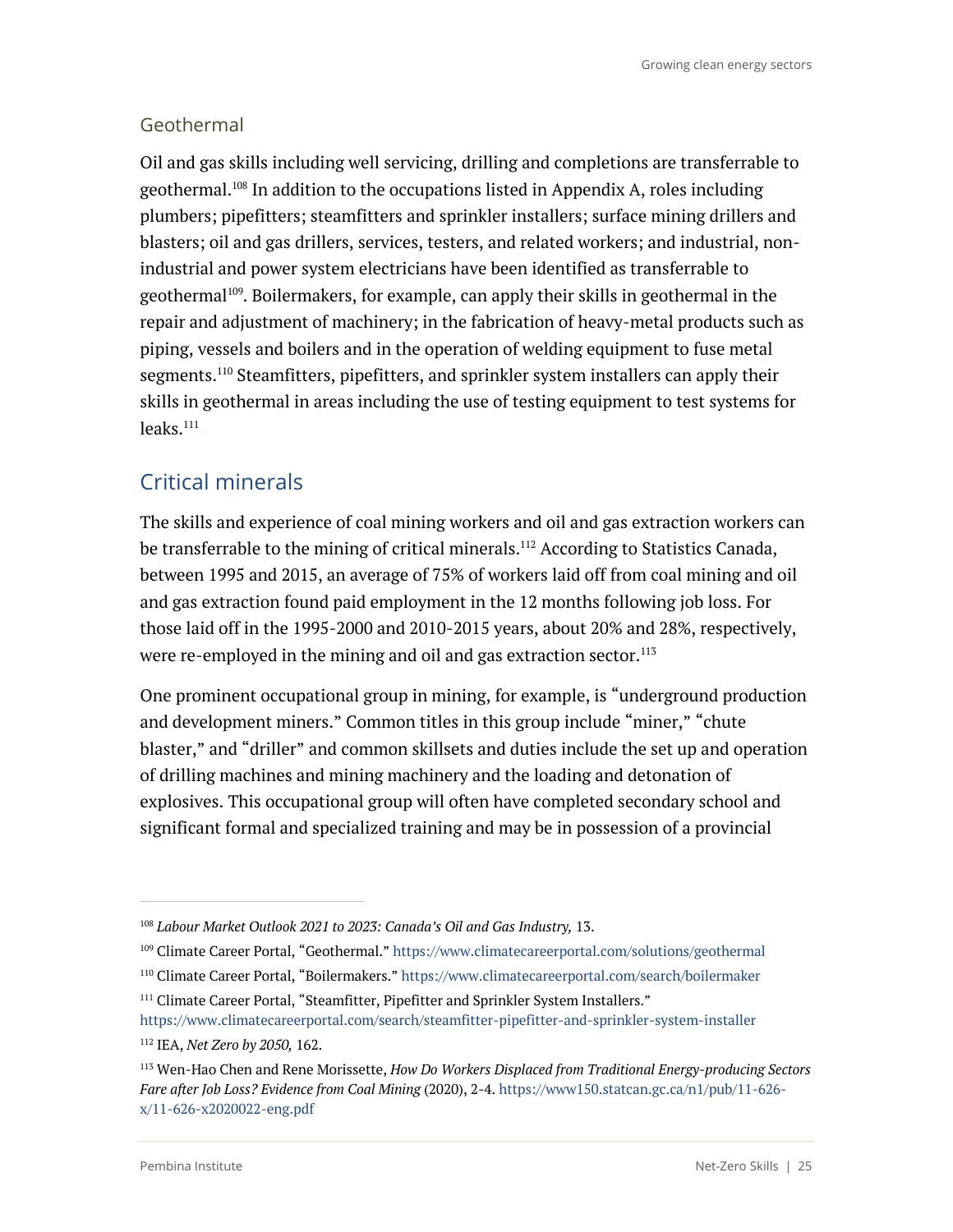#### Geothermal

Oil and gas skills including well servicing, drilling and completions are transferrable to geothermal.108 In addition to the occupations listed in Appendix A, roles including plumbers; pipefitters; steamfitters and sprinkler installers; surface mining drillers and blasters; oil and gas drillers, services, testers, and related workers; and industrial, nonindustrial and power system electricians have been identified as transferrable to geothermal<sup>109</sup>. Boilermakers, for example, can apply their skills in geothermal in the repair and adjustment of machinery; in the fabrication of heavy-metal products such as piping, vessels and boilers and in the operation of welding equipment to fuse metal segments.<sup>110</sup> Steamfitters, pipefitters, and sprinkler system installers can apply their skills in geothermal in areas including the use of testing equipment to test systems for  $leaks.<sup>111</sup>$ 

# Critical minerals

The skills and experience of coal mining workers and oil and gas extraction workers can be transferrable to the mining of critical minerals.<sup>112</sup> According to Statistics Canada, between 1995 and 2015, an average of 75% of workers laid off from coal mining and oil and gas extraction found paid employment in the 12 months following job loss. For those laid off in the 1995-2000 and 2010-2015 years, about 20% and 28%, respectively, were re-employed in the mining and oil and gas extraction sector.<sup>113</sup>

One prominent occupational group in mining, for example, is "underground production and development miners." Common titles in this group include "miner," "chute blaster," and "driller" and common skillsets and duties include the set up and operation of drilling machines and mining machinery and the loading and detonation of explosives. This occupational group will often have completed secondary school and significant formal and specialized training and may be in possession of a provincial

- <sup>110</sup> Climate Career Portal, "Boilermakers." https://www.climatecareerportal.com/search/boilermaker
- <sup>111</sup> Climate Career Portal, "Steamfitter, Pipefitter and Sprinkler System Installers." https://www.climatecareerportal.com/search/steamfitter-pipefitter-and-sprinkler-system-installer <sup>112</sup> IEA, *Net Zero by 2050,* 162.

<sup>&</sup>lt;sup>108</sup> Labour Market Outlook 2021 to 2023: Canada's Oil and Gas Industry, 13.

<sup>109</sup> Climate Career Portal, "Geothermal." https://www.climatecareerportal.com/solutions/geothermal

<sup>113</sup> Wen-Hao Chen and Rene Morissette, *How Do Workers Displaced from Traditional Energy-producing Sectors Fare after Job Loss? Evidence from Coal Mining* (2020), 2-4. https://www150.statcan.gc.ca/n1/pub/11-626 x/11-626-x2020022-eng.pdf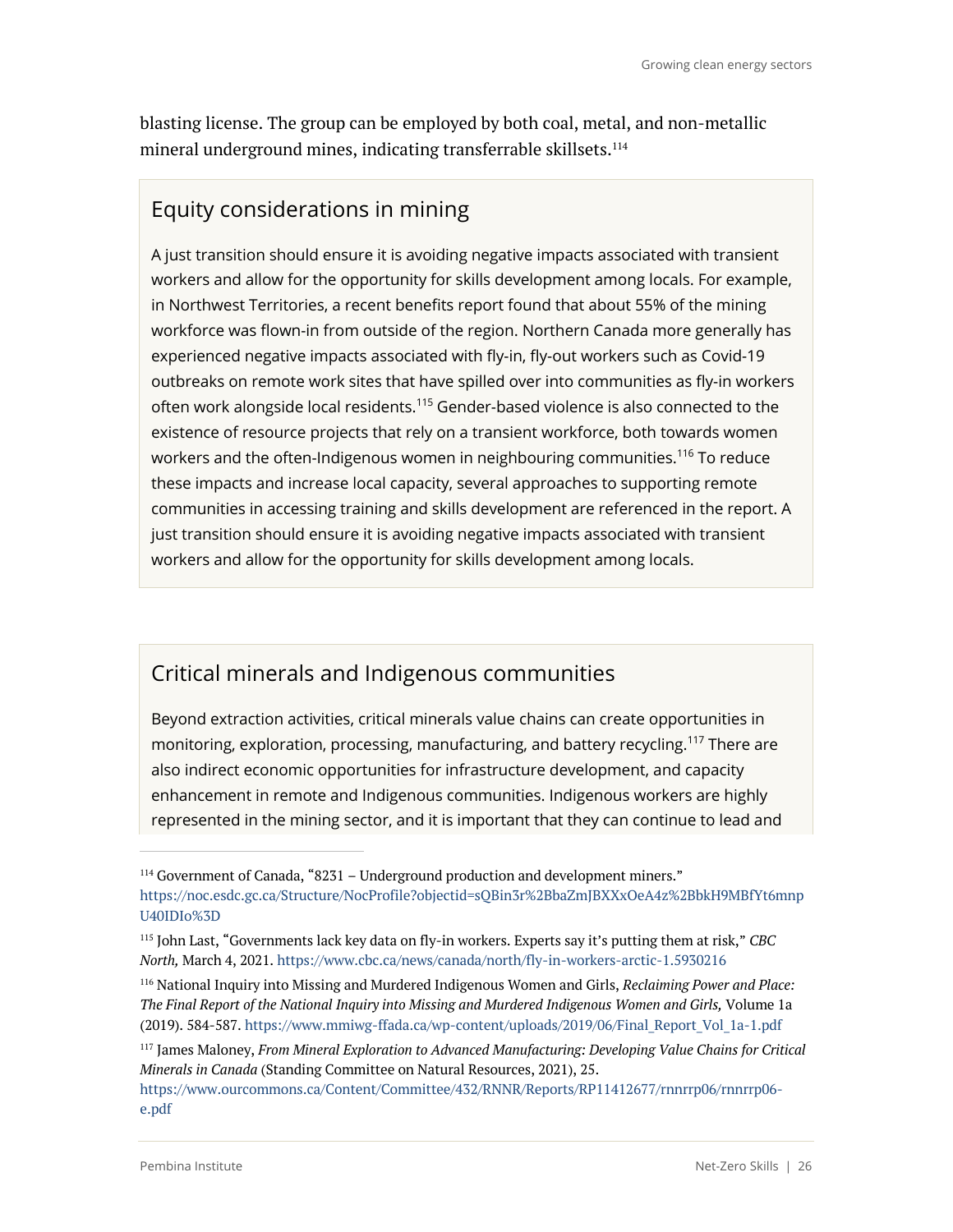blasting license. The group can be employed by both coal, metal, and non-metallic mineral underground mines, indicating transferrable skillsets. 114

# Equity considerations in mining

A just transition should ensure it is avoiding negative impacts associated with transient workers and allow for the opportunity for skills development among locals. For example, in Northwest Territories, a recent benefits report found that about 55% of the mining workforce was flown-in from outside of the region. Northern Canada more generally has experienced negative impacts associated with fly-in, fly-out workers such as Covid-19 outbreaks on remote work sites that have spilled over into communities as fly-in workers often work alongside local residents.<sup>115</sup> Gender-based violence is also connected to the existence of resource projects that rely on a transient workforce, both towards women workers and the often-Indigenous women in neighbouring communities.<sup>116</sup> To reduce these impacts and increase local capacity, several approaches to supporting remote communities in accessing training and skills development are referenced in the report. A just transition should ensure it is avoiding negative impacts associated with transient workers and allow for the opportunity for skills development among locals.

# Critical minerals and Indigenous communities

Beyond extraction activities, critical minerals value chains can create opportunities in monitoring, exploration, processing, manufacturing, and battery recycling.<sup>117</sup> There are also indirect economic opportunities for infrastructure development, and capacity enhancement in remote and Indigenous communities. Indigenous workers are highly represented in the mining sector, and it is important that they can continue to lead and

<sup>114</sup> Government of Canada, "8231 – Underground production and development miners."

https://noc.esdc.gc.ca/Structure/NocProfile?objectid=sQBin3r%2BbaZmJBXXxOeA4z%2BbkH9MBfYt6mnp U40IDIo%3D

<sup>115</sup> John Last, "Governments lack key data on fly-in workers. Experts say it's putting them at risk," *CBC North,* March 4, 2021. https://www.cbc.ca/news/canada/north/fly-in-workers-arctic-1.5930216

<sup>116</sup> National Inquiry into Missing and Murdered Indigenous Women and Girls, *Reclaiming Power and Place: The Final Report of the National Inquiry into Missing and Murdered Indigenous Women and Girls,* Volume 1a (2019). 584-587. https://www.mmiwg-ffada.ca/wp-content/uploads/2019/06/Final\_Report\_Vol\_1a-1.pdf

<sup>117</sup> James Maloney, *From Mineral Exploration to Advanced Manufacturing: Developing Value Chains for Critical Minerals in Canada* (Standing Committee on Natural Resources, 2021), 25.

https://www.ourcommons.ca/Content/Committee/432/RNNR/Reports/RP11412677/rnnrrp06/rnnrrp06 e.pdf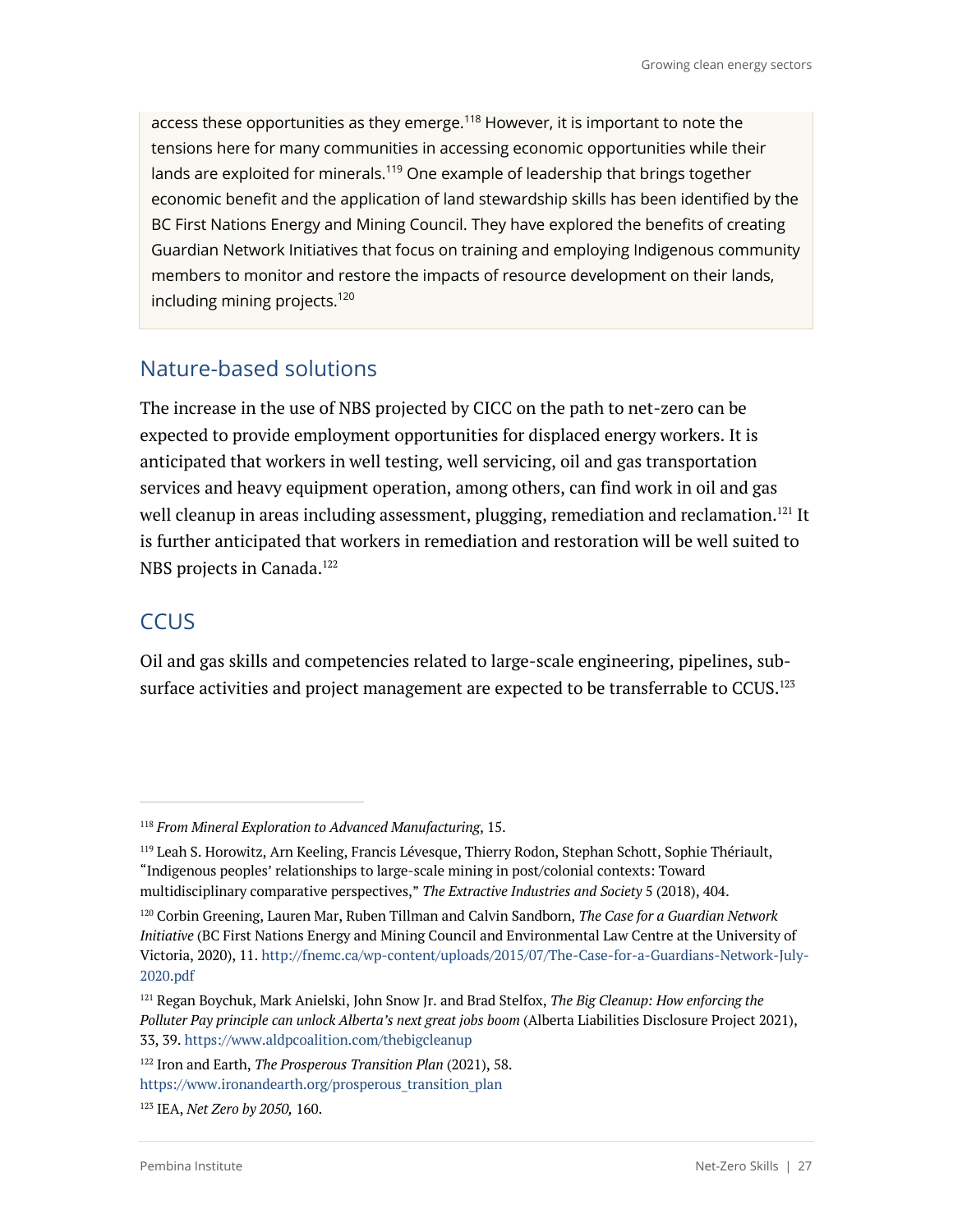access these opportunities as they emerge.<sup>118</sup> However, it is important to note the tensions here for many communities in accessing economic opportunities while their lands are exploited for minerals.<sup>119</sup> One example of leadership that brings together economic benefit and the application of land stewardship skills has been identified by the BC First Nations Energy and Mining Council. They have explored the benefits of creating Guardian Network Initiatives that focus on training and employing Indigenous community members to monitor and restore the impacts of resource development on their lands, including mining projects. 120

#### Nature-based solutions

The increase in the use of NBS projected by CICC on the path to net-zero can be expected to provide employment opportunities for displaced energy workers. It is anticipated that workers in well testing, well servicing, oil and gas transportation services and heavy equipment operation, among others, can find work in oil and gas well cleanup in areas including assessment, plugging, remediation and reclamation.<sup>121</sup> It is further anticipated that workers in remediation and restoration will be well suited to NBS projects in Canada.<sup>122</sup>

## **CCUS**

Oil and gas skills and competencies related to large-scale engineering, pipelines, subsurface activities and project management are expected to be transferrable to CCUS.<sup>123</sup>

<sup>118</sup> *From Mineral Exploration to Advanced Manufacturing*, 15.

<sup>119</sup> Leah S. Horowitz, Arn Keeling, Francis Lévesque, Thierry Rodon, Stephan Schott, Sophie Thériault, "Indigenous peoples' relationships to large-scale mining in post/colonial contexts: Toward multidisciplinary comparative perspectives," *The Extractive Industries and Society* 5 (2018), 404.

<sup>120</sup> Corbin Greening, Lauren Mar, Ruben Tillman and Calvin Sandborn, *The Case for a Guardian Network Initiative* (BC First Nations Energy and Mining Council and Environmental Law Centre at the University of Victoria, 2020), 11. http://fnemc.ca/wp-content/uploads/2015/07/The-Case-for-a-Guardians-Network-July-2020.pdf

<sup>121</sup> Regan Boychuk, Mark Anielski, John Snow Jr. and Brad Stelfox, *The Big Cleanup: How enforcing the Polluter Pay principle can unlock Alberta's next great jobs boom* (Alberta Liabilities Disclosure Project 2021), 33, 39. https://www.aldpcoalition.com/thebigcleanup

<sup>122</sup> Iron and Earth, *The Prosperous Transition Plan* (2021), 58. https://www.ironandearth.org/prosperous\_transition\_plan

<sup>123</sup> IEA, *Net Zero by 2050,* 160.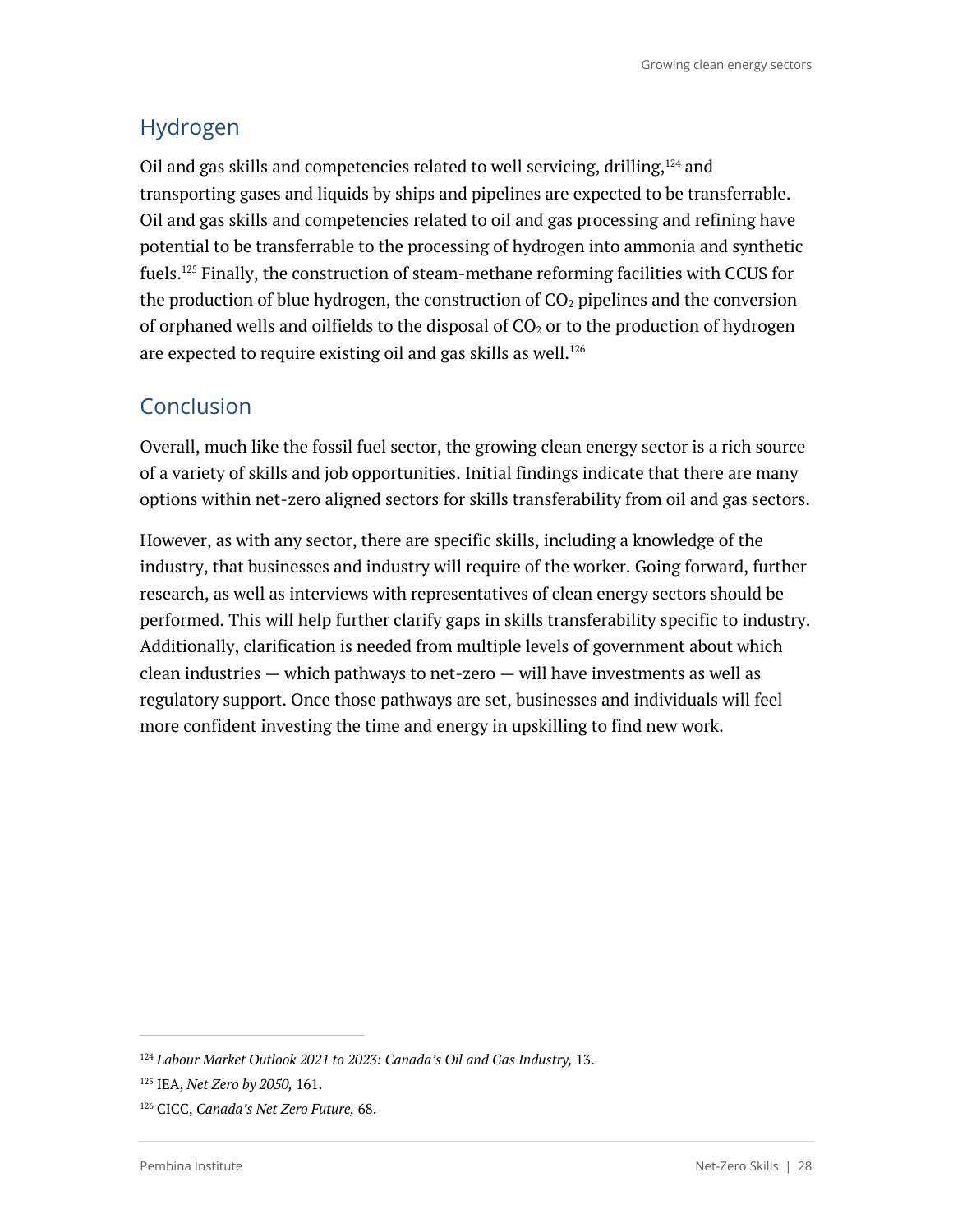## Hydrogen

Oil and gas skills and competencies related to well servicing, drilling,  $124$  and transporting gases and liquids by ships and pipelines are expected to be transferrable. Oil and gas skills and competencies related to oil and gas processing and refining have potential to be transferrable to the processing of hydrogen into ammonia and synthetic fuels.<sup>125</sup> Finally, the construction of steam-methane reforming facilities with CCUS for the production of blue hydrogen, the construction of  $CO<sub>2</sub>$  pipelines and the conversion of orphaned wells and oilfields to the disposal of  $CO<sub>2</sub>$  or to the production of hydrogen are expected to require existing oil and gas skills as well.<sup>126</sup>

# Conclusion

Overall, much like the fossil fuel sector, the growing clean energy sector is a rich source of a variety of skills and job opportunities. Initial findings indicate that there are many options within net-zero aligned sectors for skills transferability from oil and gas sectors.

However, as with any sector, there are specific skills, including a knowledge of the industry, that businesses and industry will require of the worker. Going forward, further research, as well as interviews with representatives of clean energy sectors should be performed. This will help further clarify gaps in skills transferability specific to industry. Additionally, clarification is needed from multiple levels of government about which clean industries — which pathways to net-zero — will have investments as well as regulatory support. Once those pathways are set, businesses and individuals will feel more confident investing the time and energy in upskilling to find new work.

<sup>&</sup>lt;sup>124</sup> Labour Market Outlook 2021 to 2023: Canada's Oil and Gas Industry, 13.

<sup>125</sup> IEA, *Net Zero by 2050,* 161.

<sup>126</sup> CICC, *Canada's Net Zero Future,* 68.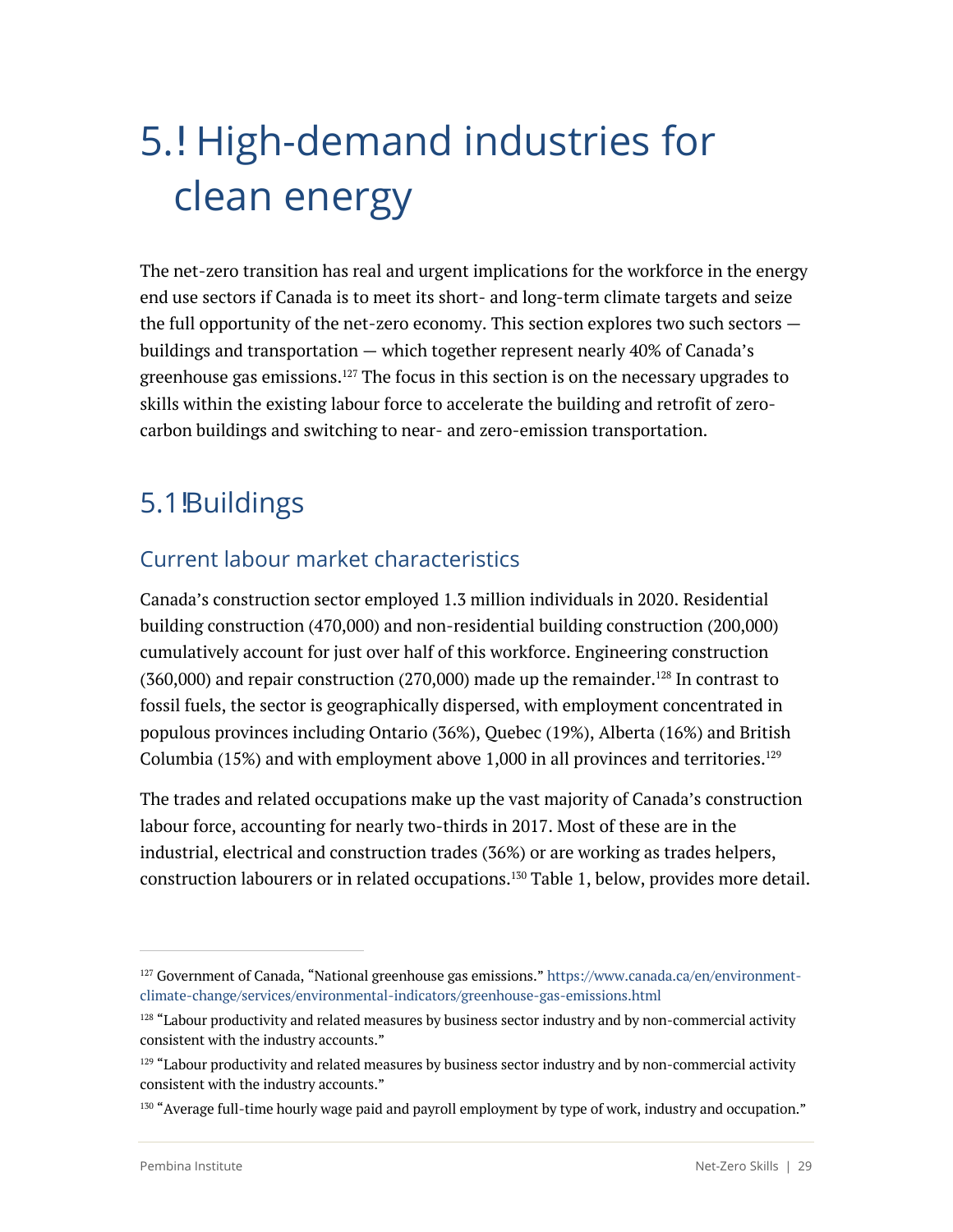# 5.! High-demand industries for clean energy

The net-zero transition has real and urgent implications for the workforce in the energy end use sectors if Canada is to meet its short- and long-term climate targets and seize the full opportunity of the net-zero economy. This section explores two such sectors buildings and transportation — which together represent nearly 40% of Canada's greenhouse gas emissions.<sup>127</sup> The focus in this section is on the necessary upgrades to skills within the existing labour force to accelerate the building and retrofit of zerocarbon buildings and switching to near- and zero-emission transportation.

# 5.1!Buildings

# Current labour market characteristics

Canada's construction sector employed 1.3 million individuals in 2020. Residential building construction (470,000) and non-residential building construction (200,000) cumulatively account for just over half of this workforce. Engineering construction  $(360,000)$  and repair construction  $(270,000)$  made up the remainder.<sup>128</sup> In contrast to fossil fuels, the sector is geographically dispersed, with employment concentrated in populous provinces including Ontario (36%), Quebec (19%), Alberta (16%) and British Columbia (15%) and with employment above 1,000 in all provinces and territories.<sup>129</sup>

The trades and related occupations make up the vast majority of Canada's construction labour force, accounting for nearly two-thirds in 2017. Most of these are in the industrial, electrical and construction trades (36%) or are working as trades helpers, construction labourers or in related occupations.130 Table 1, below, provides more detail.

<sup>127</sup> Government of Canada, "National greenhouse gas emissions." https://www.canada.ca/en/environmentclimate-change/services/environmental-indicators/greenhouse-gas-emissions.html

 $128$  "Labour productivity and related measures by business sector industry and by non-commercial activity consistent with the industry accounts."

 $129$  "Labour productivity and related measures by business sector industry and by non-commercial activity consistent with the industry accounts."

<sup>&</sup>lt;sup>130</sup> "Average full-time hourly wage paid and payroll employment by type of work, industry and occupation."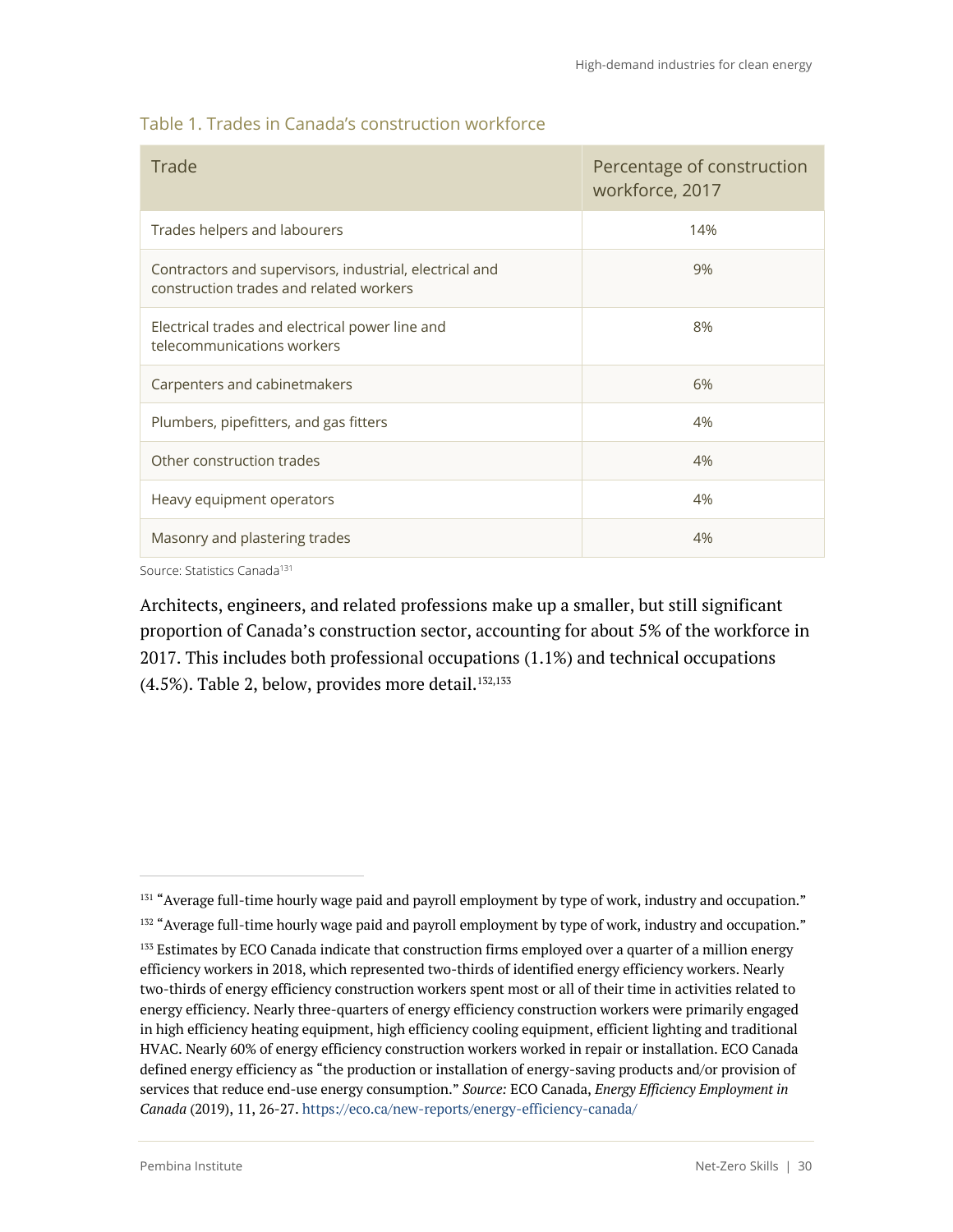| Trade                                                                                              | Percentage of construction<br>workforce, 2017 |
|----------------------------------------------------------------------------------------------------|-----------------------------------------------|
| Trades helpers and labourers                                                                       | 14%                                           |
| Contractors and supervisors, industrial, electrical and<br>construction trades and related workers | 9%                                            |
| Electrical trades and electrical power line and<br>telecommunications workers                      | 8%                                            |
| Carpenters and cabinetmakers                                                                       | 6%                                            |
| Plumbers, pipefitters, and gas fitters                                                             | 4%                                            |
| Other construction trades                                                                          | 4%                                            |
| Heavy equipment operators                                                                          | 4%                                            |
| Masonry and plastering trades                                                                      | 4%                                            |

#### Table 1. Trades in Canada's construction workforce

Source: Statistics Canada<sup>131</sup>

Architects, engineers, and related professions make up a smaller, but still significant proportion of Canada's construction sector, accounting for about 5% of the workforce in 2017. This includes both professional occupations (1.1%) and technical occupations  $(4.5\%)$ . Table 2, below, provides more detail.<sup>132,133</sup>

<sup>&</sup>lt;sup>131</sup> "Average full-time hourly wage paid and payroll employment by type of work, industry and occupation."

<sup>&</sup>lt;sup>132</sup> "Average full-time hourly wage paid and payroll employment by type of work, industry and occupation."

<sup>&</sup>lt;sup>133</sup> Estimates by ECO Canada indicate that construction firms employed over a quarter of a million energy efficiency workers in 2018, which represented two-thirds of identified energy efficiency workers. Nearly two-thirds of energy efficiency construction workers spent most or all of their time in activities related to energy efficiency. Nearly three-quarters of energy efficiency construction workers were primarily engaged in high efficiency heating equipment, high efficiency cooling equipment, efficient lighting and traditional HVAC. Nearly 60% of energy efficiency construction workers worked in repair or installation. ECO Canada defined energy efficiency as "the production or installation of energy-saving products and/or provision of services that reduce end-use energy consumption." *Source:* ECO Canada, *Energy Efficiency Employment in Canada* (2019), 11, 26-27. https://eco.ca/new-reports/energy-efficiency-canada/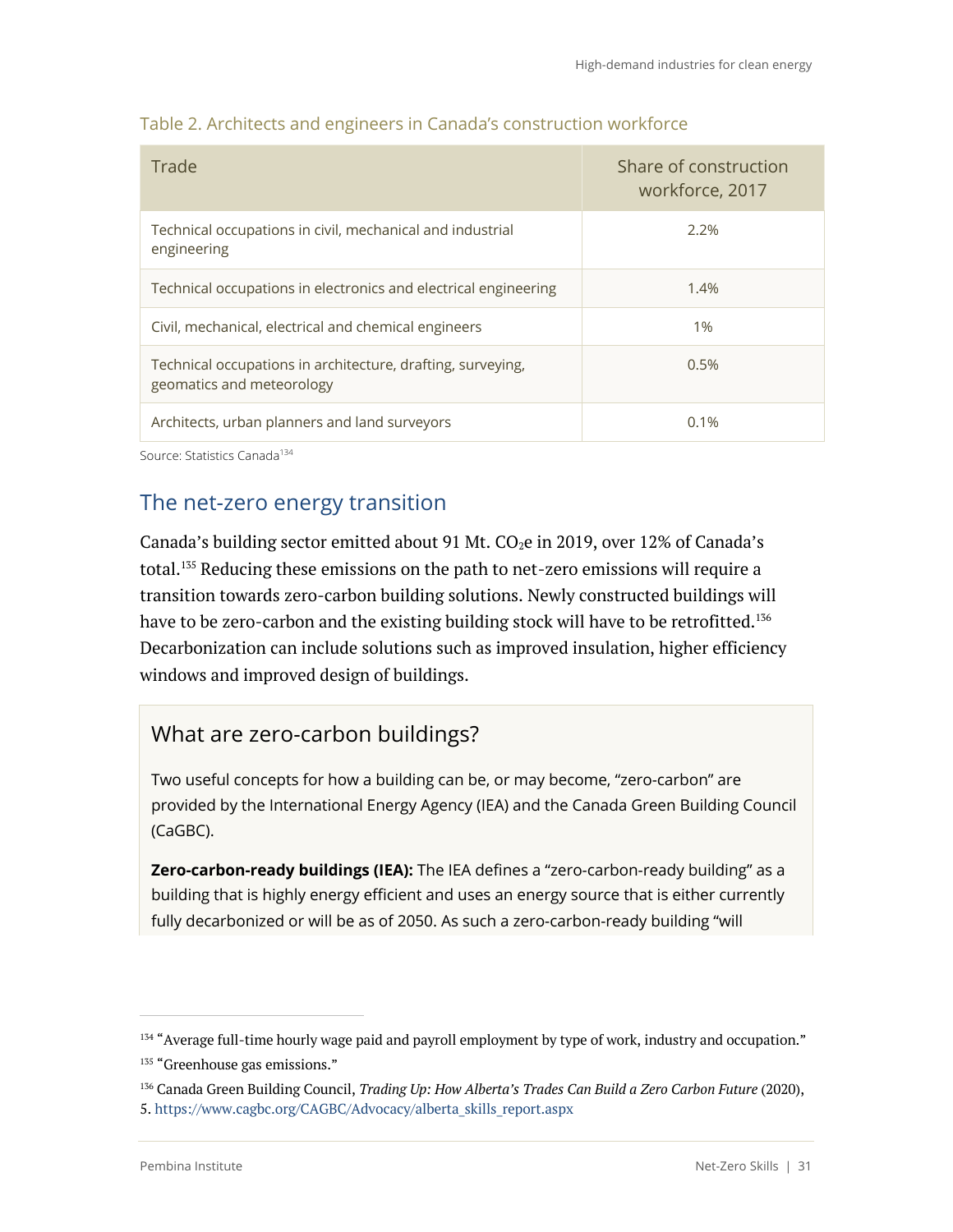| Trade                                                                                    | Share of construction<br>workforce, 2017 |
|------------------------------------------------------------------------------------------|------------------------------------------|
| Technical occupations in civil, mechanical and industrial<br>engineering                 | 2.2%                                     |
| Technical occupations in electronics and electrical engineering                          | 1.4%                                     |
| Civil, mechanical, electrical and chemical engineers                                     | 1%                                       |
| Technical occupations in architecture, drafting, surveying,<br>geomatics and meteorology | 0.5%                                     |
| Architects, urban planners and land surveyors                                            | $0.1\%$                                  |

#### Table 2. Architects and engineers in Canada's construction workforce

Source: Statistics Canada<sup>134</sup>

## The net-zero energy transition

Canada's building sector emitted about 91 Mt.  $CO<sub>2</sub>e$  in 2019, over 12% of Canada's total.135 Reducing these emissions on the path to net-zero emissions will require a transition towards zero-carbon building solutions. Newly constructed buildings will have to be zero-carbon and the existing building stock will have to be retrofitted.<sup>136</sup> Decarbonization can include solutions such as improved insulation, higher efficiency windows and improved design of buildings.

# What are zero-carbon buildings?

Two useful concepts for how a building can be, or may become, "zero-carbon" are provided by the International Energy Agency (IEA) and the Canada Green Building Council (CaGBC).

**Zero-carbon-ready buildings (IEA):** The IEA defines a "zero-carbon-ready building" as a building that is highly energy efficient and uses an energy source that is either currently fully decarbonized or will be as of 2050. As such a zero-carbon-ready building "will

<sup>&</sup>lt;sup>134</sup> "Average full-time hourly wage paid and payroll employment by type of work, industry and occupation."

<sup>&</sup>lt;sup>135</sup> "Greenhouse gas emissions."

<sup>136</sup> Canada Green Building Council, *Trading Up: How Alberta's Trades Can Build a Zero Carbon Future* (2020), 5. https://www.cagbc.org/CAGBC/Advocacy/alberta\_skills\_report.aspx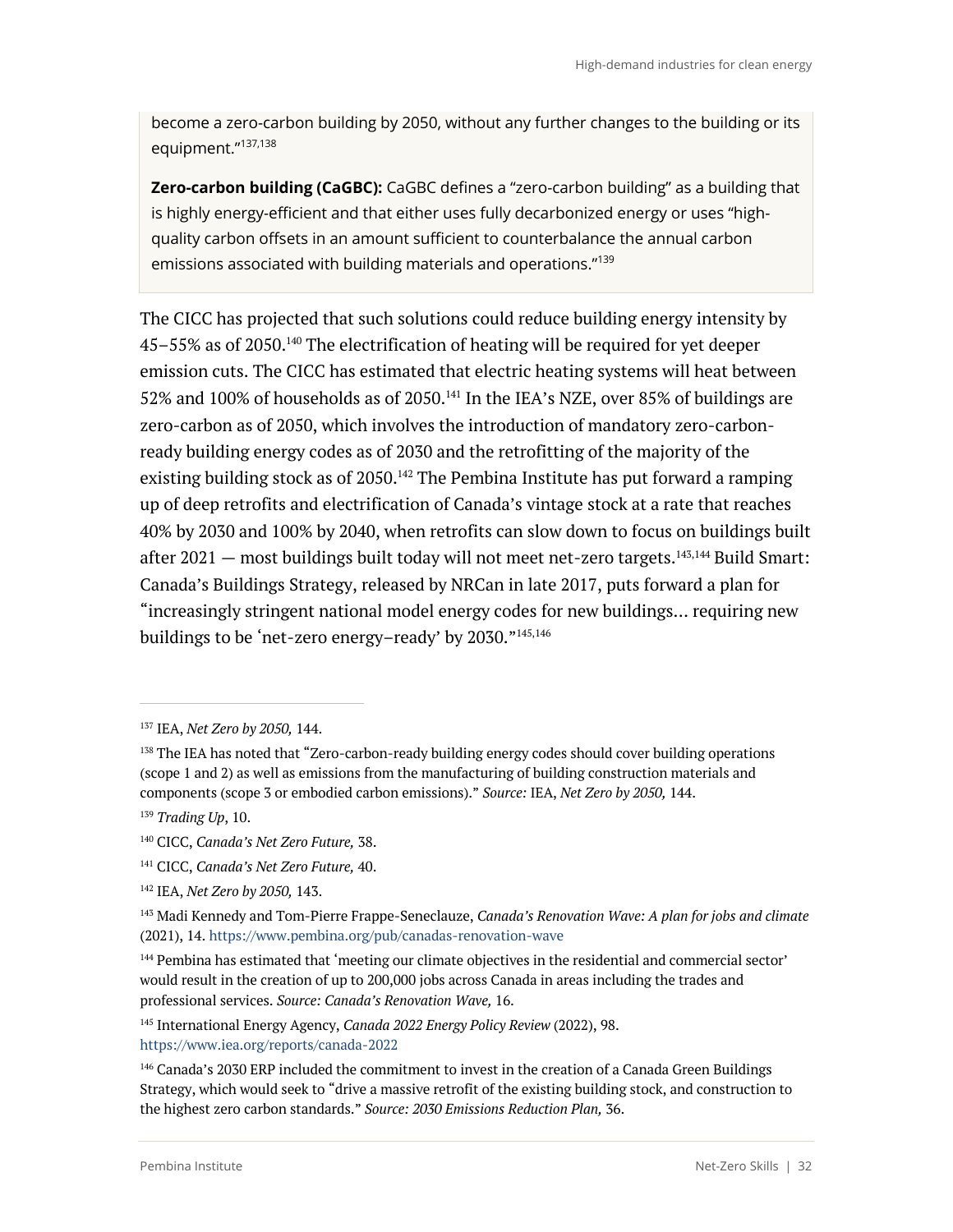become a zero-carbon building by 2050, without any further changes to the building or its equipment."<sup>137,138</sup>

**Zero-carbon building (CaGBC):** CaGBC defines a "zero-carbon building" as a building that is highly energy-efficient and that either uses fully decarbonized energy or uses "highquality carbon offsets in an amount sufficient to counterbalance the annual carbon emissions associated with building materials and operations." 139

The CICC has projected that such solutions could reduce building energy intensity by  $45-55\%$  as of 2050.<sup>140</sup> The electrification of heating will be required for yet deeper emission cuts. The CICC has estimated that electric heating systems will heat between 52% and 100% of households as of 2050.141 In the IEA's NZE, over 85% of buildings are zero-carbon as of 2050, which involves the introduction of mandatory zero-carbonready building energy codes as of 2030 and the retrofitting of the majority of the existing building stock as of  $2050$ .<sup>142</sup> The Pembina Institute has put forward a ramping up of deep retrofits and electrification of Canada's vintage stock at a rate that reaches 40% by 2030 and 100% by 2040, when retrofits can slow down to focus on buildings built after 2021 — most buildings built today will not meet net-zero targets.<sup>143,144</sup> Build Smart: Canada's Buildings Strategy, released by NRCan in late 2017, puts forward a plan for "increasingly stringent national model energy codes for new buildings… requiring new buildings to be 'net-zero energy–ready' by 2030."<sup>145,146</sup>

<sup>137</sup> IEA, *Net Zero by 2050,* 144.

<sup>&</sup>lt;sup>138</sup> The IEA has noted that "Zero-carbon-ready building energy codes should cover building operations (scope 1 and 2) as well as emissions from the manufacturing of building construction materials and components (scope 3 or embodied carbon emissions)." *Source:* IEA, *Net Zero by 2050,* 144.

<sup>139</sup> *Trading Up*, 10.

<sup>140</sup> CICC, *Canada's Net Zero Future,* 38.

<sup>141</sup> CICC, *Canada's Net Zero Future,* 40.

<sup>142</sup> IEA, *Net Zero by 2050,* 143.

<sup>143</sup> Madi Kennedy and Tom-Pierre Frappe-Seneclauze, *Canada's Renovation Wave: A plan for jobs and climate*  (2021), 14. https://www.pembina.org/pub/canadas-renovation-wave

<sup>144</sup> Pembina has estimated that 'meeting our climate objectives in the residential and commercial sector' would result in the creation of up to 200,000 jobs across Canada in areas including the trades and professional services. *Source: Canada's Renovation Wave,* 16.

<sup>145</sup> International Energy Agency, *Canada 2022 Energy Policy Review* (2022), 98. https://www.iea.org/reports/canada-2022

<sup>146</sup> Canada's 2030 ERP included the commitment to invest in the creation of a Canada Green Buildings Strategy, which would seek to "drive a massive retrofit of the existing building stock, and construction to the highest zero carbon standards." *Source: 2030 Emissions Reduction Plan,* 36.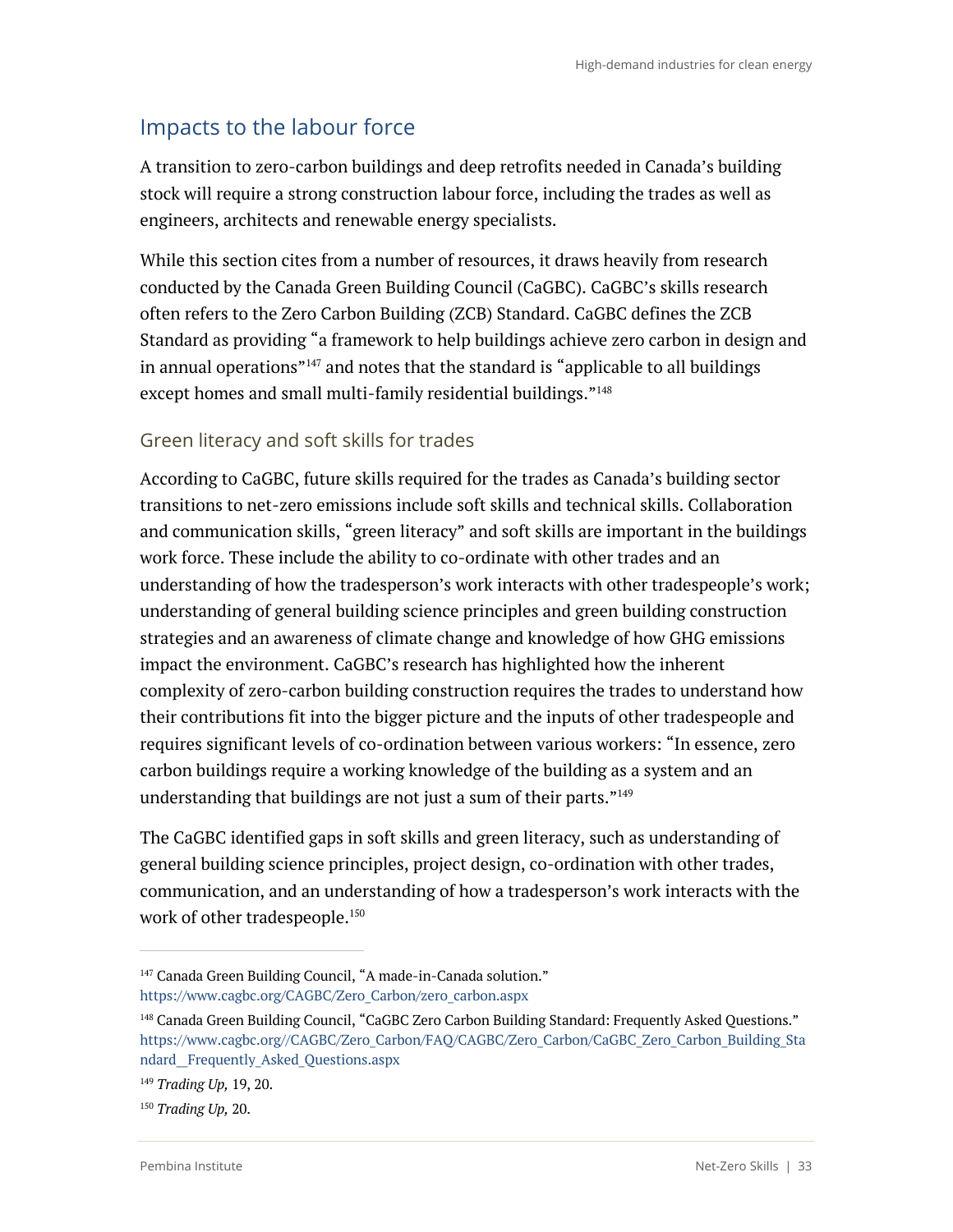## Impacts to the labour force

A transition to zero-carbon buildings and deep retrofits needed in Canada's building stock will require a strong construction labour force, including the trades as well as engineers, architects and renewable energy specialists.

While this section cites from a number of resources, it draws heavily from research conducted by the Canada Green Building Council (CaGBC). CaGBC's skills research often refers to the Zero Carbon Building (ZCB) Standard. CaGBC defines the ZCB Standard as providing "a framework to help buildings achieve zero carbon in design and in annual operations"147 and notes that the standard is "applicable to all buildings except homes and small multi-family residential buildings."<sup>148</sup>

### Green literacy and soft skills for trades

According to CaGBC, future skills required for the trades as Canada's building sector transitions to net-zero emissions include soft skills and technical skills. Collaboration and communication skills, "green literacy" and soft skills are important in the buildings work force. These include the ability to co-ordinate with other trades and an understanding of how the tradesperson's work interacts with other tradespeople's work; understanding of general building science principles and green building construction strategies and an awareness of climate change and knowledge of how GHG emissions impact the environment. CaGBC's research has highlighted how the inherent complexity of zero-carbon building construction requires the trades to understand how their contributions fit into the bigger picture and the inputs of other tradespeople and requires significant levels of co-ordination between various workers: "In essence, zero carbon buildings require a working knowledge of the building as a system and an understanding that buildings are not just a sum of their parts."<sup>149</sup>

The CaGBC identified gaps in soft skills and green literacy, such as understanding of general building science principles, project design, co-ordination with other trades, communication, and an understanding of how a tradesperson's work interacts with the work of other tradespeople.<sup>150</sup>

<sup>&</sup>lt;sup>147</sup> Canada Green Building Council, "A made-in-Canada solution." https://www.cagbc.org/CAGBC/Zero\_Carbon/zero\_carbon.aspx

<sup>&</sup>lt;sup>148</sup> Canada Green Building Council, "CaGBC Zero Carbon Building Standard: Frequently Asked Questions." https://www.cagbc.org//CAGBC/Zero\_Carbon/FAQ/CAGBC/Zero\_Carbon/CaGBC\_Zero\_Carbon\_Building\_Sta ndard\_\_Frequently\_Asked\_Questions.aspx

<sup>149</sup> *Trading Up,* 19, 20.

<sup>150</sup> *Trading Up,* 20.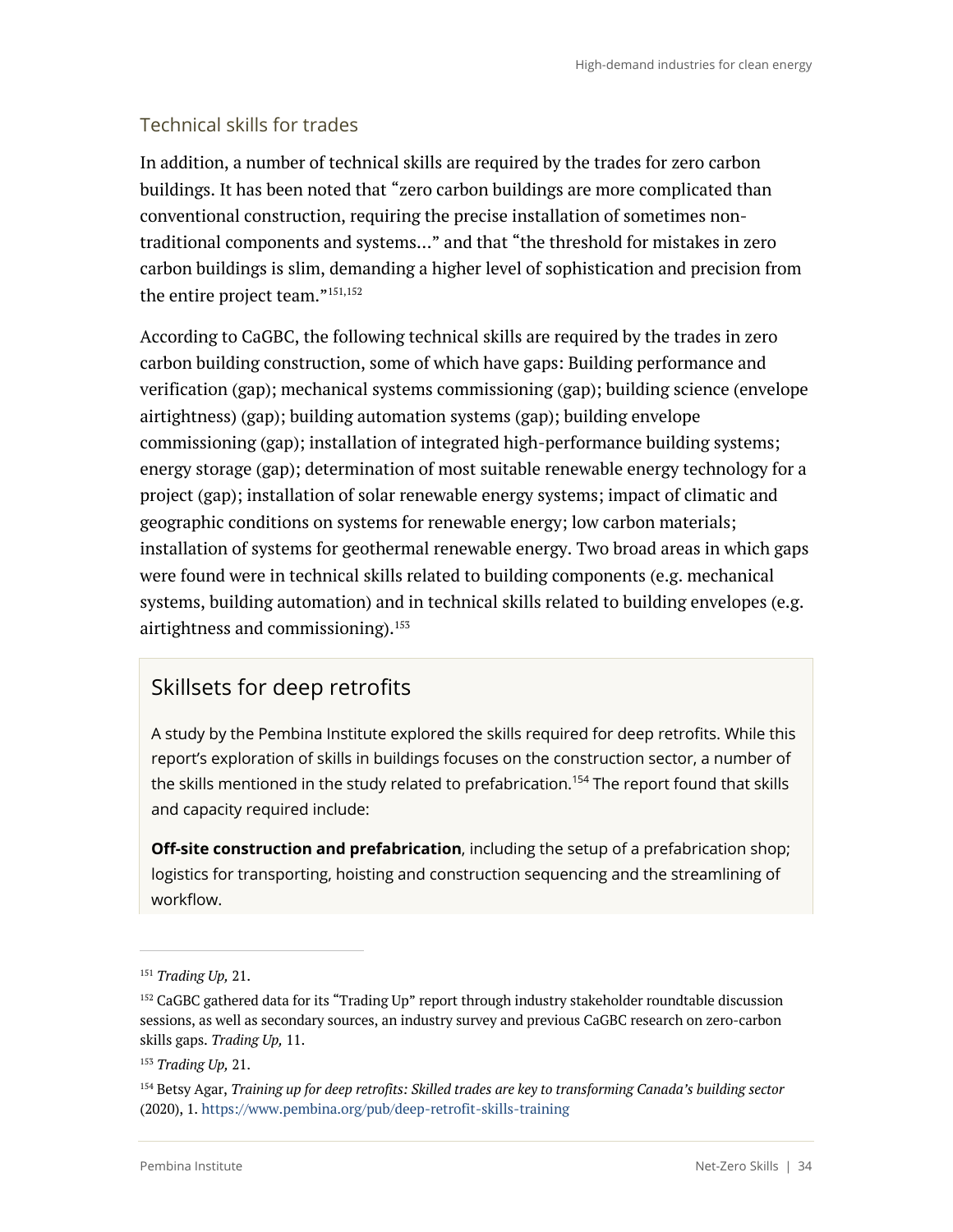### Technical skills for trades

In addition, a number of technical skills are required by the trades for zero carbon buildings. It has been noted that "zero carbon buildings are more complicated than conventional construction, requiring the precise installation of sometimes nontraditional components and systems…" and that "the threshold for mistakes in zero carbon buildings is slim, demanding a higher level of sophistication and precision from the entire project team."<sup>151,152</sup>

According to CaGBC, the following technical skills are required by the trades in zero carbon building construction, some of which have gaps: Building performance and verification (gap); mechanical systems commissioning (gap); building science (envelope airtightness) (gap); building automation systems (gap); building envelope commissioning (gap); installation of integrated high-performance building systems; energy storage (gap); determination of most suitable renewable energy technology for a project (gap); installation of solar renewable energy systems; impact of climatic and geographic conditions on systems for renewable energy; low carbon materials; installation of systems for geothermal renewable energy. Two broad areas in which gaps were found were in technical skills related to building components (e.g. mechanical systems, building automation) and in technical skills related to building envelopes (e.g. airtightness and commissioning).153

## Skillsets for deep retrofits

A study by the Pembina Institute explored the skills required for deep retrofits. While this report's exploration of skills in buildings focuses on the construction sector, a number of the skills mentioned in the study related to prefabrication. <sup>154</sup> The report found that skills and capacity required include:

**Off-site construction and prefabrication**, including the setup of a prefabrication shop; logistics for transporting, hoisting and construction sequencing and the streamlining of workflow.

<sup>151</sup> *Trading Up,* 21.

<sup>&</sup>lt;sup>152</sup> CaGBC gathered data for its "Trading Up" report through industry stakeholder roundtable discussion sessions, as well as secondary sources, an industry survey and previous CaGBC research on zero-carbon skills gaps. *Trading Up,* 11.

<sup>153</sup> *Trading Up,* 21.

<sup>154</sup> Betsy Agar, *Training up for deep retrofits: Skilled trades are key to transforming Canada's building sector*  (2020), 1. https://www.pembina.org/pub/deep-retrofit-skills-training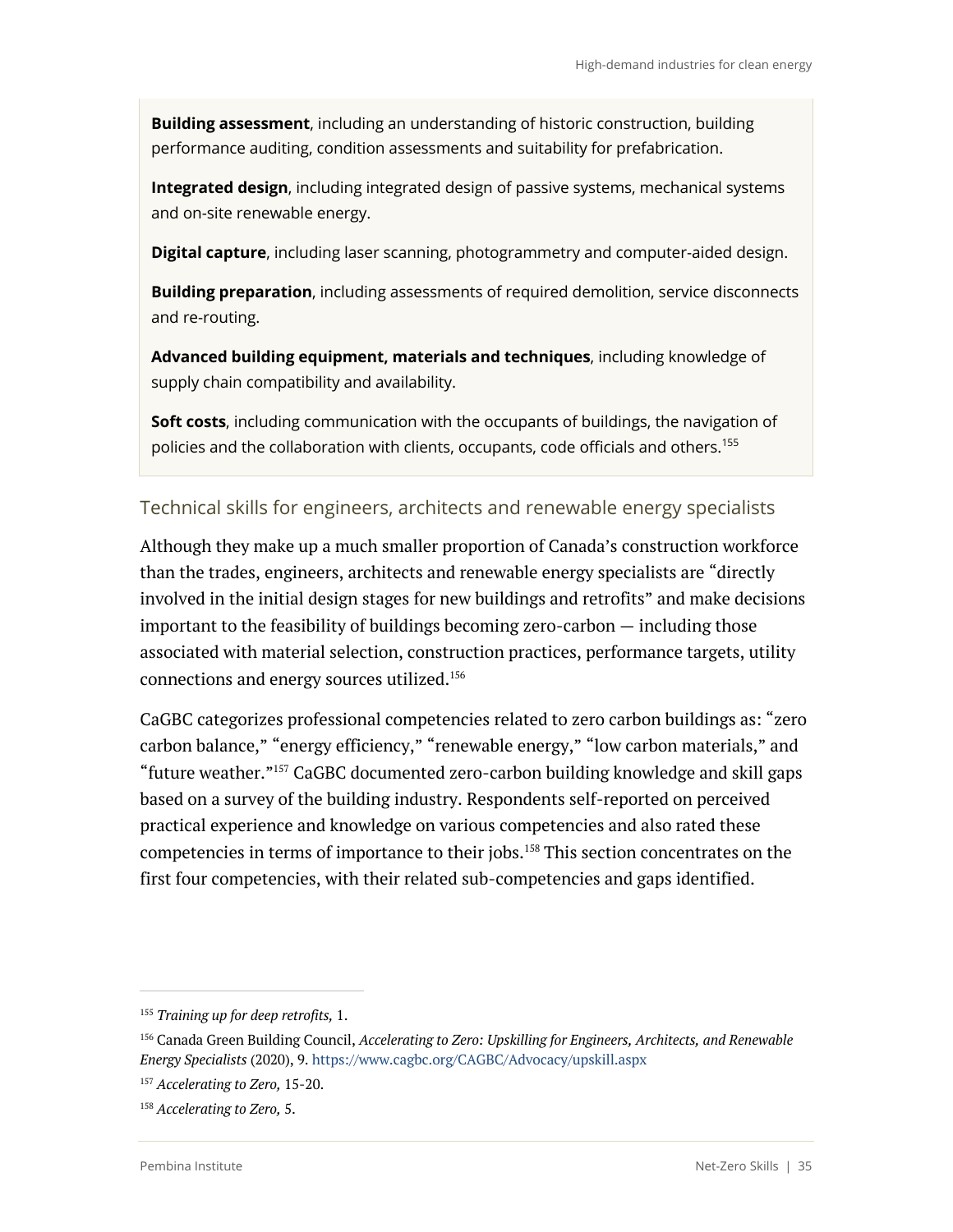**Building assessment**, including an understanding of historic construction, building performance auditing, condition assessments and suitability for prefabrication.

**Integrated design**, including integrated design of passive systems, mechanical systems and on-site renewable energy.

**Digital capture**, including laser scanning, photogrammetry and computer-aided design.

**Building preparation**, including assessments of required demolition, service disconnects and re-routing.

**Advanced building equipment, materials and techniques**, including knowledge of supply chain compatibility and availability.

**Soft costs**, including communication with the occupants of buildings, the navigation of policies and the collaboration with clients, occupants, code officials and others.<sup>155</sup>

### Technical skills for engineers, architects and renewable energy specialists

Although they make up a much smaller proportion of Canada's construction workforce than the trades, engineers, architects and renewable energy specialists are "directly involved in the initial design stages for new buildings and retrofits" and make decisions important to the feasibility of buildings becoming zero-carbon — including those associated with material selection, construction practices, performance targets, utility connections and energy sources utilized.156

CaGBC categorizes professional competencies related to zero carbon buildings as: "zero carbon balance," "energy efficiency," "renewable energy," "low carbon materials," and "future weather."157 CaGBC documented zero-carbon building knowledge and skill gaps based on a survey of the building industry. Respondents self-reported on perceived practical experience and knowledge on various competencies and also rated these competencies in terms of importance to their jobs.<sup>158</sup> This section concentrates on the first four competencies, with their related sub-competencies and gaps identified.

<sup>155</sup> *Training up for deep retrofits,* 1.

<sup>156</sup> Canada Green Building Council, *Accelerating to Zero: Upskilling for Engineers, Architects, and Renewable Energy Specialists* (2020), 9. https://www.cagbc.org/CAGBC/Advocacy/upskill.aspx

<sup>157</sup> *Accelerating to Zero,* 15-20.

<sup>158</sup> *Accelerating to Zero,* 5.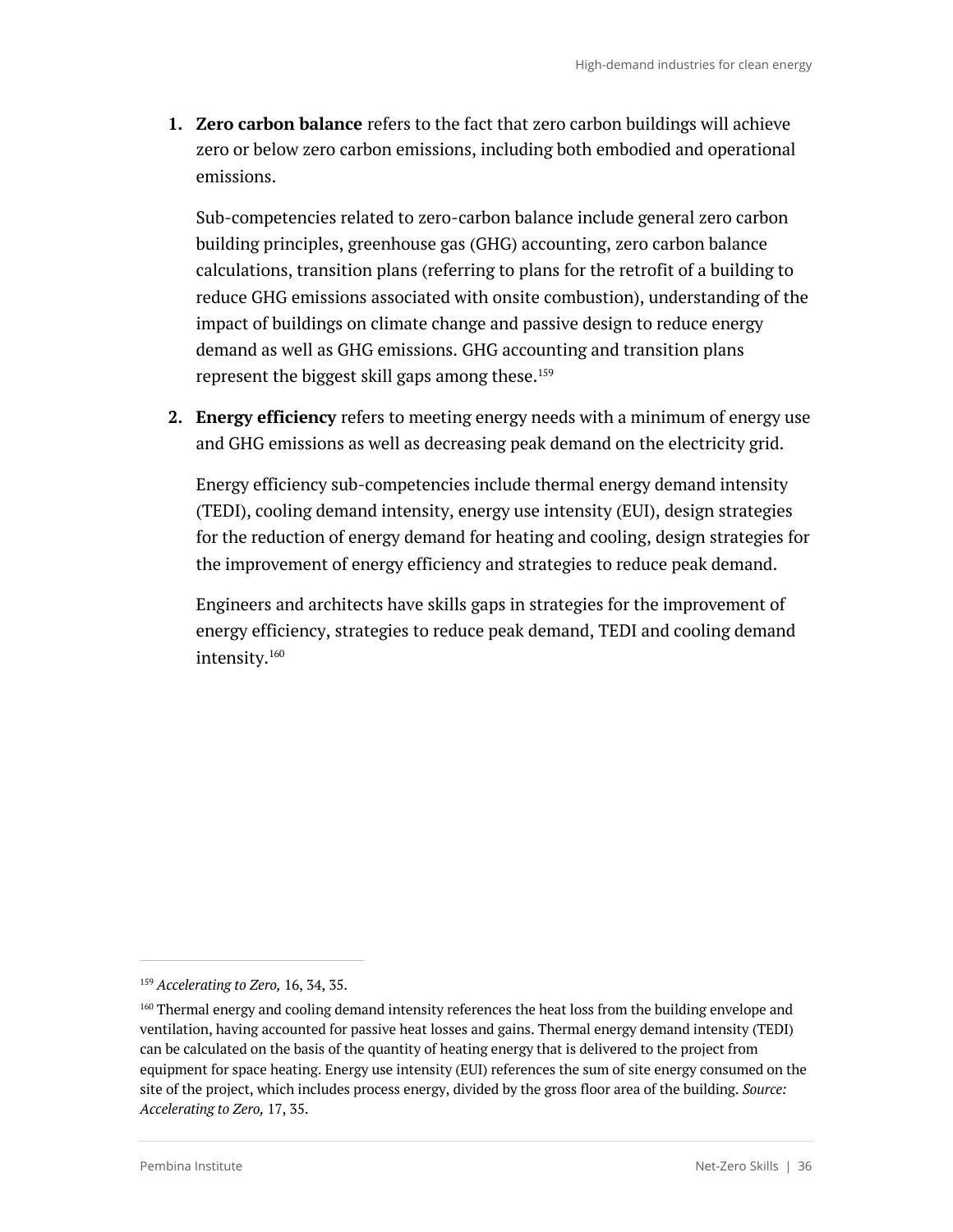**1. Zero carbon balance** refers to the fact that zero carbon buildings will achieve zero or below zero carbon emissions, including both embodied and operational emissions.

Sub-competencies related to zero-carbon balance include general zero carbon building principles, greenhouse gas (GHG) accounting, zero carbon balance calculations, transition plans (referring to plans for the retrofit of a building to reduce GHG emissions associated with onsite combustion), understanding of the impact of buildings on climate change and passive design to reduce energy demand as well as GHG emissions. GHG accounting and transition plans represent the biggest skill gaps among these. 159

**2. Energy efficiency** refers to meeting energy needs with a minimum of energy use and GHG emissions as well as decreasing peak demand on the electricity grid.

Energy efficiency sub-competencies include thermal energy demand intensity (TEDI), cooling demand intensity, energy use intensity (EUI), design strategies for the reduction of energy demand for heating and cooling, design strategies for the improvement of energy efficiency and strategies to reduce peak demand.

Engineers and architects have skills gaps in strategies for the improvement of energy efficiency, strategies to reduce peak demand, TEDI and cooling demand intensity.160

<sup>159</sup> *Accelerating to Zero,* 16, 34, 35.

<sup>&</sup>lt;sup>160</sup> Thermal energy and cooling demand intensity references the heat loss from the building envelope and ventilation, having accounted for passive heat losses and gains. Thermal energy demand intensity (TEDI) can be calculated on the basis of the quantity of heating energy that is delivered to the project from equipment for space heating. Energy use intensity (EUI) references the sum of site energy consumed on the site of the project, which includes process energy, divided by the gross floor area of the building. *Source: Accelerating to Zero,* 17, 35.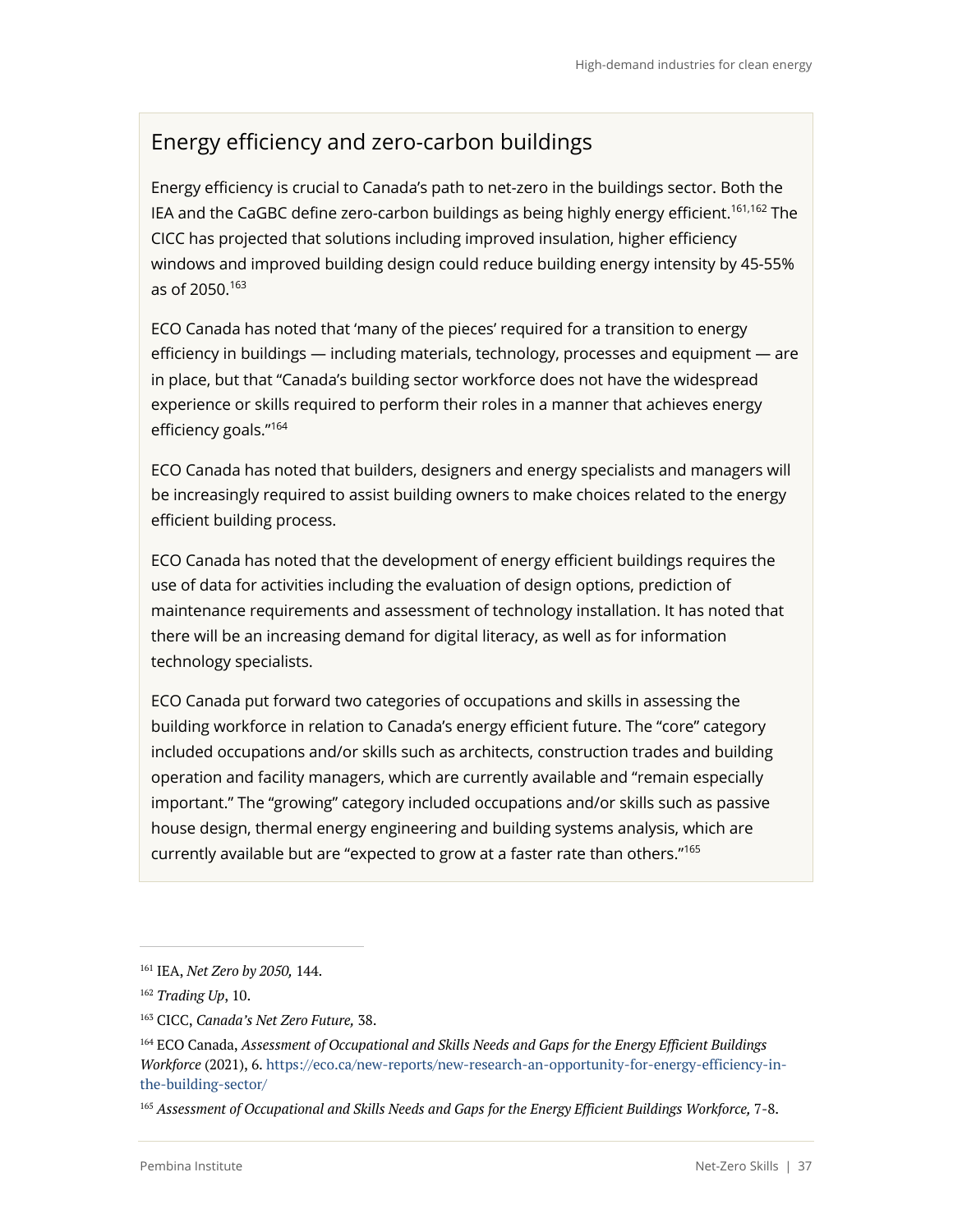## Energy efficiency and zero-carbon buildings

Energy efficiency is crucial to Canada's path to net-zero in the buildings sector. Both the IEA and the CaGBC define zero-carbon buildings as being highly energy efficient.<sup>161,162</sup> The CICC has projected that solutions including improved insulation, higher efficiency windows and improved building design could reduce building energy intensity by 45-55% as of 2050.<sup>163</sup>

ECO Canada has noted that 'many of the pieces' required for a transition to energy efficiency in buildings — including materials, technology, processes and equipment — are in place, but that "Canada's building sector workforce does not have the widespread experience or skills required to perform their roles in a manner that achieves energy efficiency goals."<sup>164</sup>

ECO Canada has noted that builders, designers and energy specialists and managers will be increasingly required to assist building owners to make choices related to the energy efficient building process.

ECO Canada has noted that the development of energy efficient buildings requires the use of data for activities including the evaluation of design options, prediction of maintenance requirements and assessment of technology installation. It has noted that there will be an increasing demand for digital literacy, as well as for information technology specialists.

ECO Canada put forward two categories of occupations and skills in assessing the building workforce in relation to Canada's energy efficient future. The "core" category included occupations and/or skills such as architects, construction trades and building operation and facility managers, which are currently available and "remain especially important." The "growing" category included occupations and/or skills such as passive house design, thermal energy engineering and building systems analysis, which are currently available but are "expected to grow at a faster rate than others." 165

<sup>161</sup> IEA, *Net Zero by 2050,* 144.

<sup>162</sup> *Trading Up*, 10.

<sup>163</sup> CICC, *Canada's Net Zero Future,* 38.

<sup>164</sup> ECO Canada, *Assessment of Occupational and Skills Needs and Gaps for the Energy Efficient Buildings Workforce* (2021), 6. https://eco.ca/new-reports/new-research-an-opportunity-for-energy-efficiency-inthe-building-sector/

<sup>165</sup> *Assessment of Occupational and Skills Needs and Gaps for the Energy Efficient Buildings Workforce,* 7-8.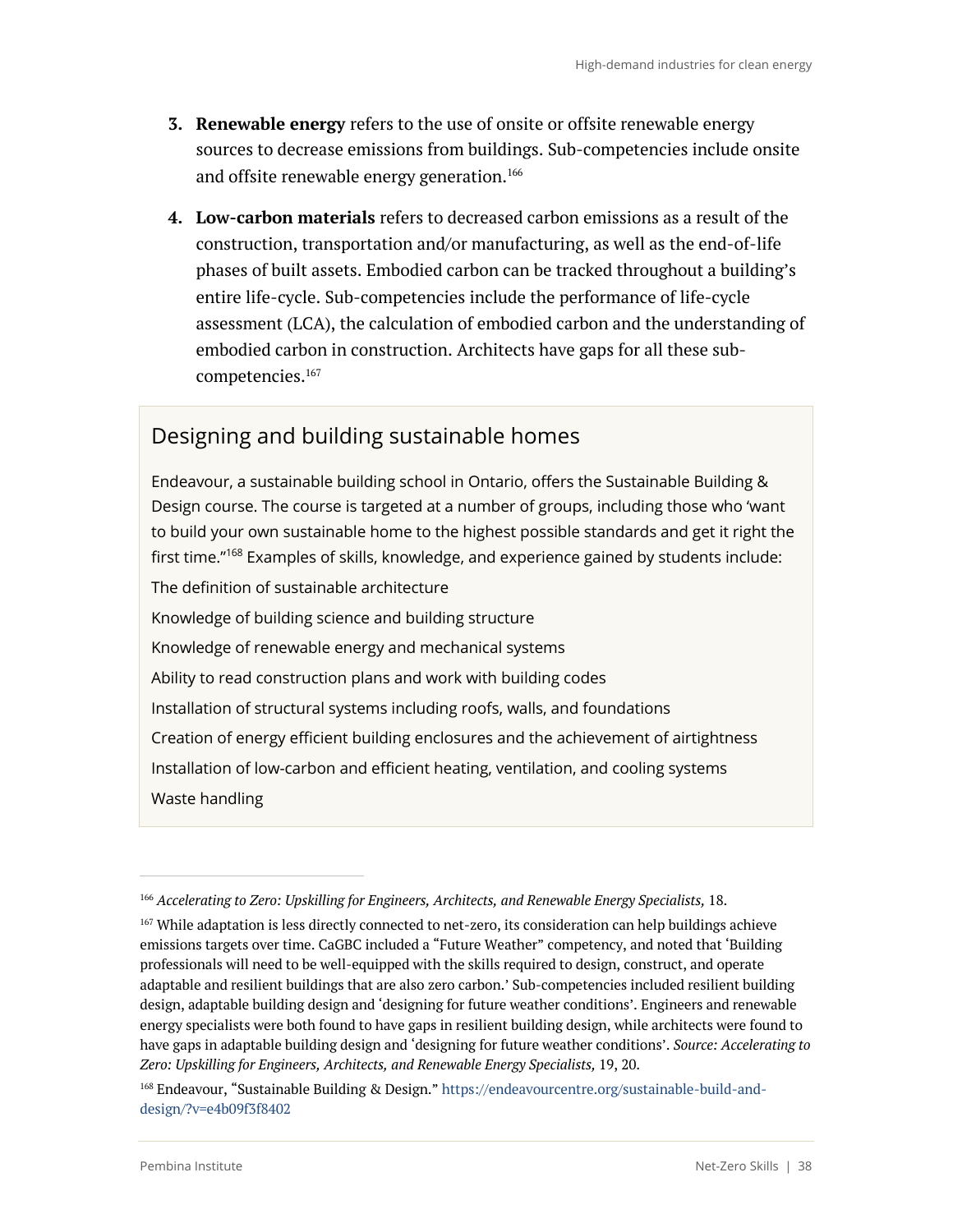- **3. Renewable energy** refers to the use of onsite or offsite renewable energy sources to decrease emissions from buildings. Sub-competencies include onsite and offsite renewable energy generation.<sup>166</sup>
- **4. Low-carbon materials** refers to decreased carbon emissions as a result of the construction, transportation and/or manufacturing, as well as the end-of-life phases of built assets. Embodied carbon can be tracked throughout a building's entire life-cycle. Sub-competencies include the performance of life-cycle assessment (LCA), the calculation of embodied carbon and the understanding of embodied carbon in construction. Architects have gaps for all these subcompetencies.167

### Designing and building sustainable homes

Endeavour, a sustainable building school in Ontario, offers the Sustainable Building & Design course. The course is targeted at a number of groups, including those who 'want to build your own sustainable home to the highest possible standards and get it right the first time." <sup>168</sup> Examples of skills, knowledge, and experience gained by students include: The definition of sustainable architecture Knowledge of building science and building structure Knowledge of renewable energy and mechanical systems Ability to read construction plans and work with building codes Installation of structural systems including roofs, walls, and foundations Creation of energy efficient building enclosures and the achievement of airtightness Installation of low-carbon and efficient heating, ventilation, and cooling systems Waste handling

<sup>166</sup> *Accelerating to Zero: Upskilling for Engineers, Architects, and Renewable Energy Specialists,* 18. <sup>167</sup> While adaptation is less directly connected to net-zero, its consideration can help buildings achieve emissions targets over time. CaGBC included a "Future Weather" competency, and noted that 'Building professionals will need to be well-equipped with the skills required to design, construct, and operate adaptable and resilient buildings that are also zero carbon.' Sub-competencies included resilient building design, adaptable building design and 'designing for future weather conditions'. Engineers and renewable energy specialists were both found to have gaps in resilient building design, while architects were found to have gaps in adaptable building design and 'designing for future weather conditions'. *Source: Accelerating to Zero: Upskilling for Engineers, Architects, and Renewable Energy Specialists,* 19, 20.

<sup>168</sup> Endeavour, "Sustainable Building & Design." https://endeavourcentre.org/sustainable-build-anddesign/?v=e4b09f3f8402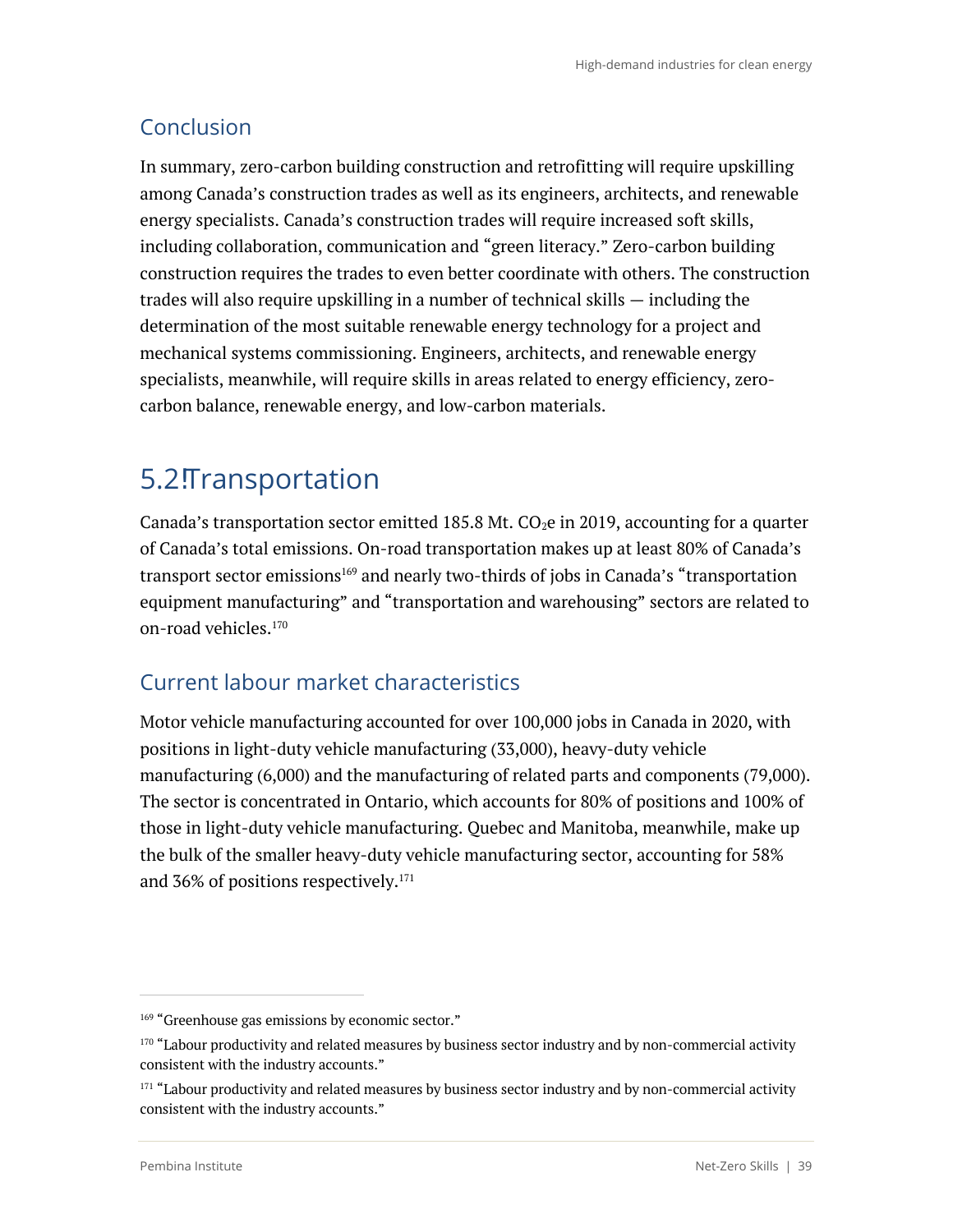## Conclusion

In summary, zero-carbon building construction and retrofitting will require upskilling among Canada's construction trades as well as its engineers, architects, and renewable energy specialists. Canada's construction trades will require increased soft skills, including collaboration, communication and "green literacy." Zero-carbon building construction requires the trades to even better coordinate with others. The construction trades will also require upskilling in a number of technical skills — including the determination of the most suitable renewable energy technology for a project and mechanical systems commissioning. Engineers, architects, and renewable energy specialists, meanwhile, will require skills in areas related to energy efficiency, zerocarbon balance, renewable energy, and low-carbon materials.

# 5.2 Transportation

Canada's transportation sector emitted 185.8 Mt.  $CO<sub>2</sub>e$  in 2019, accounting for a quarter of Canada's total emissions. On-road transportation makes up at least 80% of Canada's transport sector emissions<sup>169</sup> and nearly two-thirds of jobs in Canada's "transportation equipment manufacturing" and "transportation and warehousing" sectors are related to on-road vehicles. 170

## Current labour market characteristics

Motor vehicle manufacturing accounted for over 100,000 jobs in Canada in 2020, with positions in light-duty vehicle manufacturing (33,000), heavy-duty vehicle manufacturing (6,000) and the manufacturing of related parts and components (79,000). The sector is concentrated in Ontario, which accounts for 80% of positions and 100% of those in light-duty vehicle manufacturing. Quebec and Manitoba, meanwhile, make up the bulk of the smaller heavy-duty vehicle manufacturing sector, accounting for 58% and 36% of positions respectively.171

<sup>&</sup>lt;sup>169</sup> "Greenhouse gas emissions by economic sector."

 $170$  "Labour productivity and related measures by business sector industry and by non-commercial activity consistent with the industry accounts."

<sup>&</sup>lt;sup>171</sup> "Labour productivity and related measures by business sector industry and by non-commercial activity consistent with the industry accounts."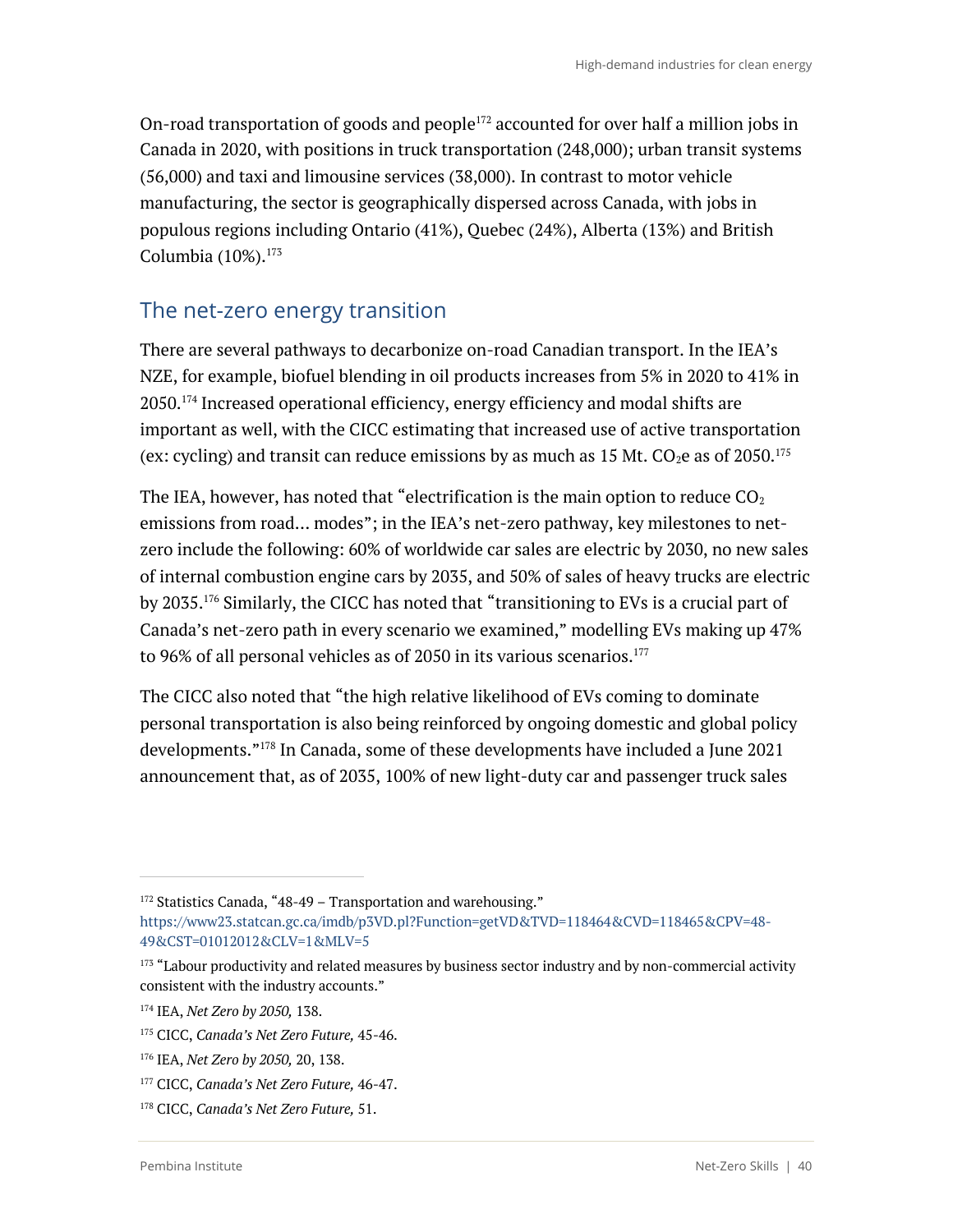On-road transportation of goods and people<sup>172</sup> accounted for over half a million jobs in Canada in 2020, with positions in truck transportation (248,000); urban transit systems (56,000) and taxi and limousine services (38,000). In contrast to motor vehicle manufacturing, the sector is geographically dispersed across Canada, with jobs in populous regions including Ontario (41%), Quebec (24%), Alberta (13%) and British Columbia (10%).173

### The net-zero energy transition

There are several pathways to decarbonize on-road Canadian transport. In the IEA's NZE, for example, biofuel blending in oil products increases from 5% in 2020 to 41% in 2050.174 Increased operational efficiency, energy efficiency and modal shifts are important as well, with the CICC estimating that increased use of active transportation (ex: cycling) and transit can reduce emissions by as much as 15 Mt.  $CO<sub>2</sub>e$  as of 2050.<sup>175</sup>

The IEA, however, has noted that "electrification is the main option to reduce  $CO<sub>2</sub>$ emissions from road… modes"; in the IEA's net-zero pathway, key milestones to netzero include the following: 60% of worldwide car sales are electric by 2030, no new sales of internal combustion engine cars by 2035, and 50% of sales of heavy trucks are electric by 2035.176 Similarly, the CICC has noted that "transitioning to EVs is a crucial part of Canada's net-zero path in every scenario we examined," modelling EVs making up 47% to 96% of all personal vehicles as of 2050 in its various scenarios.<sup>177</sup>

The CICC also noted that "the high relative likelihood of EVs coming to dominate personal transportation is also being reinforced by ongoing domestic and global policy developments."178 In Canada, some of these developments have included a June 2021 announcement that, as of 2035, 100% of new light-duty car and passenger truck sales

<sup>172</sup> Statistics Canada, "48-49 – Transportation and warehousing."

https://www23.statcan.gc.ca/imdb/p3VD.pl?Function=getVD&TVD=118464&CVD=118465&CPV=48- 49&CST=01012012&CLV=1&MLV=5

<sup>&</sup>lt;sup>173</sup> "Labour productivity and related measures by business sector industry and by non-commercial activity consistent with the industry accounts."

<sup>174</sup> IEA, *Net Zero by 2050,* 138.

<sup>175</sup> CICC, *Canada's Net Zero Future,* 45-46.

<sup>176</sup> IEA, *Net Zero by 2050,* 20, 138.

<sup>177</sup> CICC, *Canada's Net Zero Future,* 46-47.

<sup>178</sup> CICC, *Canada's Net Zero Future,* 51.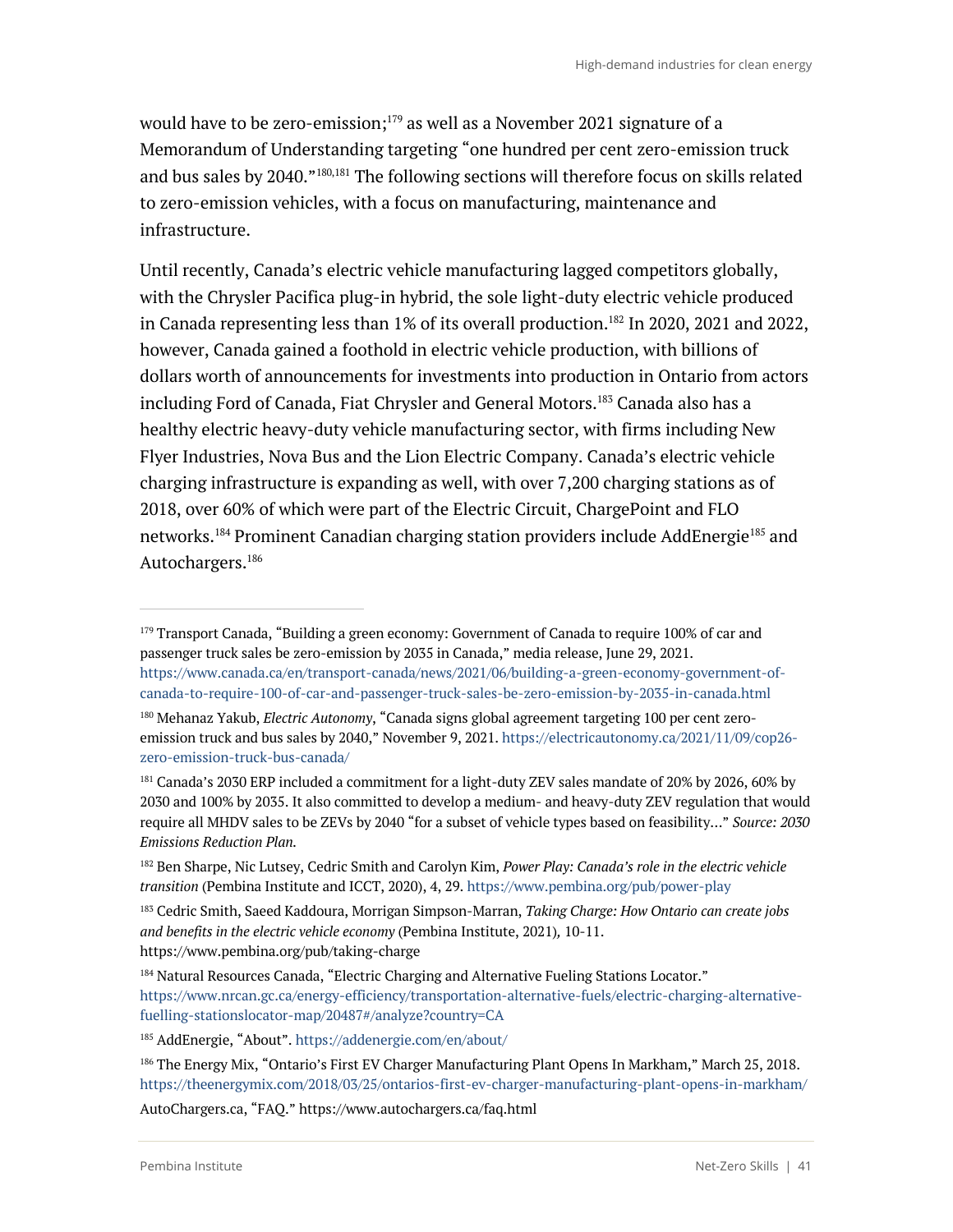would have to be zero-emission; $179$  as well as a November 2021 signature of a Memorandum of Understanding targeting "one hundred per cent zero-emission truck and bus sales by 2040."180,181 The following sections will therefore focus on skills related to zero-emission vehicles, with a focus on manufacturing, maintenance and infrastructure.

Until recently, Canada's electric vehicle manufacturing lagged competitors globally, with the Chrysler Pacifica plug-in hybrid, the sole light-duty electric vehicle produced in Canada representing less than 1% of its overall production.<sup>182</sup> In 2020, 2021 and 2022, however, Canada gained a foothold in electric vehicle production, with billions of dollars worth of announcements for investments into production in Ontario from actors including Ford of Canada, Fiat Chrysler and General Motors.183 Canada also has a healthy electric heavy-duty vehicle manufacturing sector, with firms including New Flyer Industries, Nova Bus and the Lion Electric Company. Canada's electric vehicle charging infrastructure is expanding as well, with over 7,200 charging stations as of 2018, over 60% of which were part of the Electric Circuit, ChargePoint and FLO networks.<sup>184</sup> Prominent Canadian charging station providers include AddEnergie<sup>185</sup> and Autochargers.<sup>186</sup>

<sup>185</sup> AddEnergie, "About". https://addenergie.com/en/about/

<sup>186</sup> The Energy Mix, "Ontario's First EV Charger Manufacturing Plant Opens In Markham," March 25, 2018. https://theenergymix.com/2018/03/25/ontarios-first-ev-charger-manufacturing-plant-opens-in-markham/

AutoChargers.ca, "FAQ." https://www.autochargers.ca/faq.html

<sup>179</sup> Transport Canada, "Building a green economy: Government of Canada to require 100% of car and passenger truck sales be zero-emission by 2035 in Canada," media release, June 29, 2021. https://www.canada.ca/en/transport-canada/news/2021/06/building-a-green-economy-government-ofcanada-to-require-100-of-car-and-passenger-truck-sales-be-zero-emission-by-2035-in-canada.html

<sup>180</sup> Mehanaz Yakub, *Electric Autonomy*, "Canada signs global agreement targeting 100 per cent zeroemission truck and bus sales by 2040," November 9, 2021. https://electricautonomy.ca/2021/11/09/cop26 zero-emission-truck-bus-canada/

<sup>&</sup>lt;sup>181</sup> Canada's 2030 ERP included a commitment for a light-duty ZEV sales mandate of 20% by 2026, 60% by 2030 and 100% by 2035. It also committed to develop a medium- and heavy-duty ZEV regulation that would require all MHDV sales to be ZEVs by 2040 "for a subset of vehicle types based on feasibility…" *Source: 2030 Emissions Reduction Plan.*

<sup>182</sup> Ben Sharpe, Nic Lutsey, Cedric Smith and Carolyn Kim, *Power Play: Canada's role in the electric vehicle transition* (Pembina Institute and ICCT, 2020), 4, 29. https://www.pembina.org/pub/power-play

<sup>183</sup> Cedric Smith, Saeed Kaddoura, Morrigan Simpson-Marran, *Taking Charge: How Ontario can create jobs and benefits in the electric vehicle economy* (Pembina Institute, 2021)*,* 10-11. https://www.pembina.org/pub/taking-charge

<sup>184</sup> Natural Resources Canada, "Electric Charging and Alternative Fueling Stations Locator." https://www.nrcan.gc.ca/energy-efficiency/transportation-alternative-fuels/electric-charging-alternativefuelling-stationslocator-map/20487#/analyze?country=CA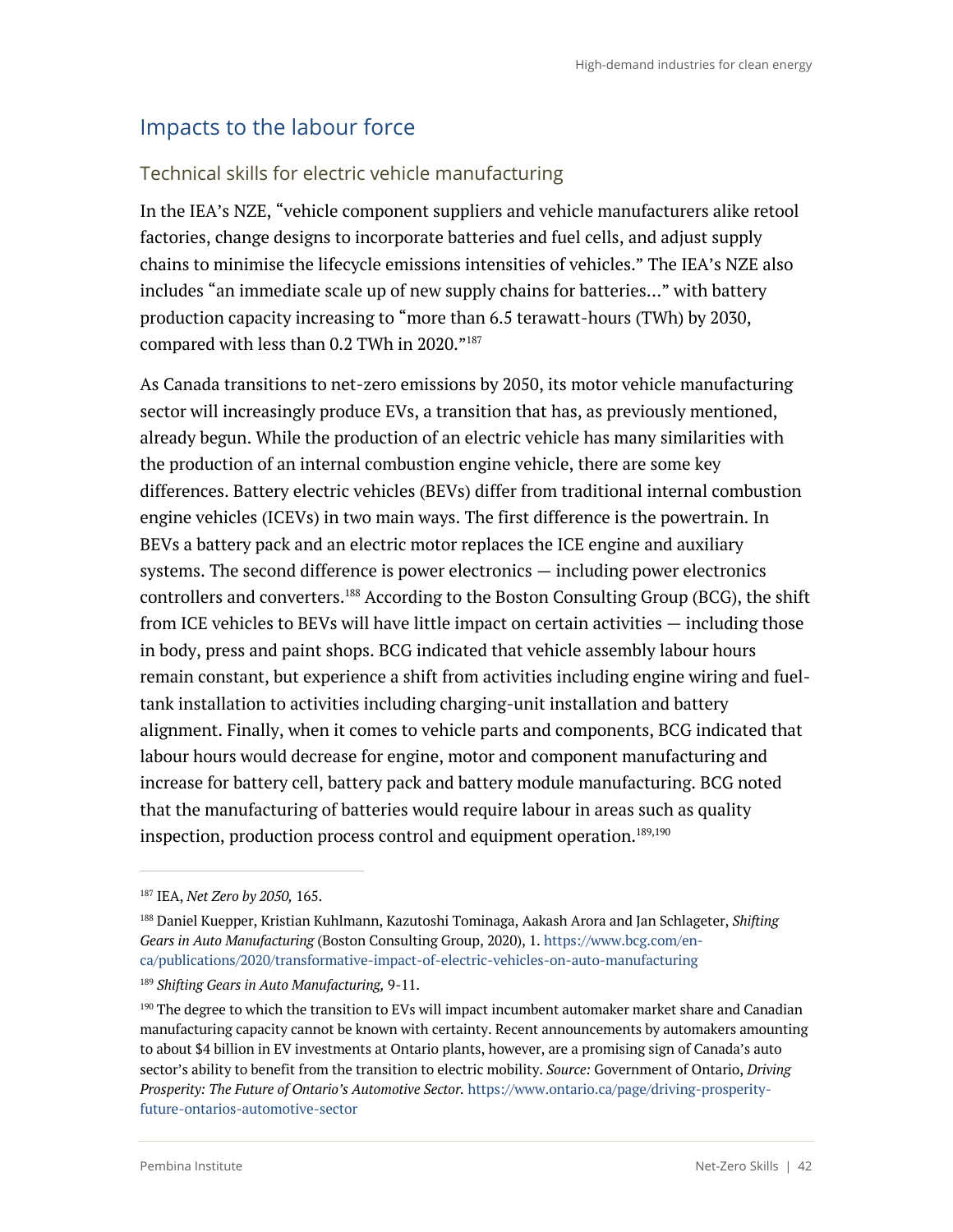## Impacts to the labour force

### Technical skills for electric vehicle manufacturing

In the IEA's NZE, "vehicle component suppliers and vehicle manufacturers alike retool factories, change designs to incorporate batteries and fuel cells, and adjust supply chains to minimise the lifecycle emissions intensities of vehicles." The IEA's NZE also includes "an immediate scale up of new supply chains for batteries…" with battery production capacity increasing to "more than 6.5 terawatt-hours (TWh) by 2030, compared with less than 0.2 TWh in 2020."<sup>187</sup>

As Canada transitions to net-zero emissions by 2050, its motor vehicle manufacturing sector will increasingly produce EVs, a transition that has, as previously mentioned, already begun. While the production of an electric vehicle has many similarities with the production of an internal combustion engine vehicle, there are some key differences. Battery electric vehicles (BEVs) differ from traditional internal combustion engine vehicles (ICEVs) in two main ways. The first difference is the powertrain. In BEVs a battery pack and an electric motor replaces the ICE engine and auxiliary systems. The second difference is power electronics — including power electronics controllers and converters.<sup>188</sup> According to the Boston Consulting Group (BCG), the shift from ICE vehicles to BEVs will have little impact on certain activities — including those in body, press and paint shops. BCG indicated that vehicle assembly labour hours remain constant, but experience a shift from activities including engine wiring and fueltank installation to activities including charging-unit installation and battery alignment. Finally, when it comes to vehicle parts and components, BCG indicated that labour hours would decrease for engine, motor and component manufacturing and increase for battery cell, battery pack and battery module manufacturing. BCG noted that the manufacturing of batteries would require labour in areas such as quality inspection, production process control and equipment operation.<sup>189,190</sup>

<sup>187</sup> IEA, *Net Zero by 2050,* 165.

<sup>188</sup> Daniel Kuepper, Kristian Kuhlmann, Kazutoshi Tominaga, Aakash Arora and Jan Schlageter, *Shifting Gears in Auto Manufacturing* (Boston Consulting Group, 2020), 1. https://www.bcg.com/enca/publications/2020/transformative-impact-of-electric-vehicles-on-auto-manufacturing

<sup>189</sup> *Shifting Gears in Auto Manufacturing,* 9*-*11.

<sup>&</sup>lt;sup>190</sup> The degree to which the transition to EVs will impact incumbent automaker market share and Canadian manufacturing capacity cannot be known with certainty. Recent announcements by automakers amounting to about \$4 billion in EV investments at Ontario plants, however, are a promising sign of Canada's auto sector's ability to benefit from the transition to electric mobility. *Source:* Government of Ontario, *Driving Prosperity: The Future of Ontario's Automotive Sector.* https://www.ontario.ca/page/driving-prosperityfuture-ontarios-automotive-sector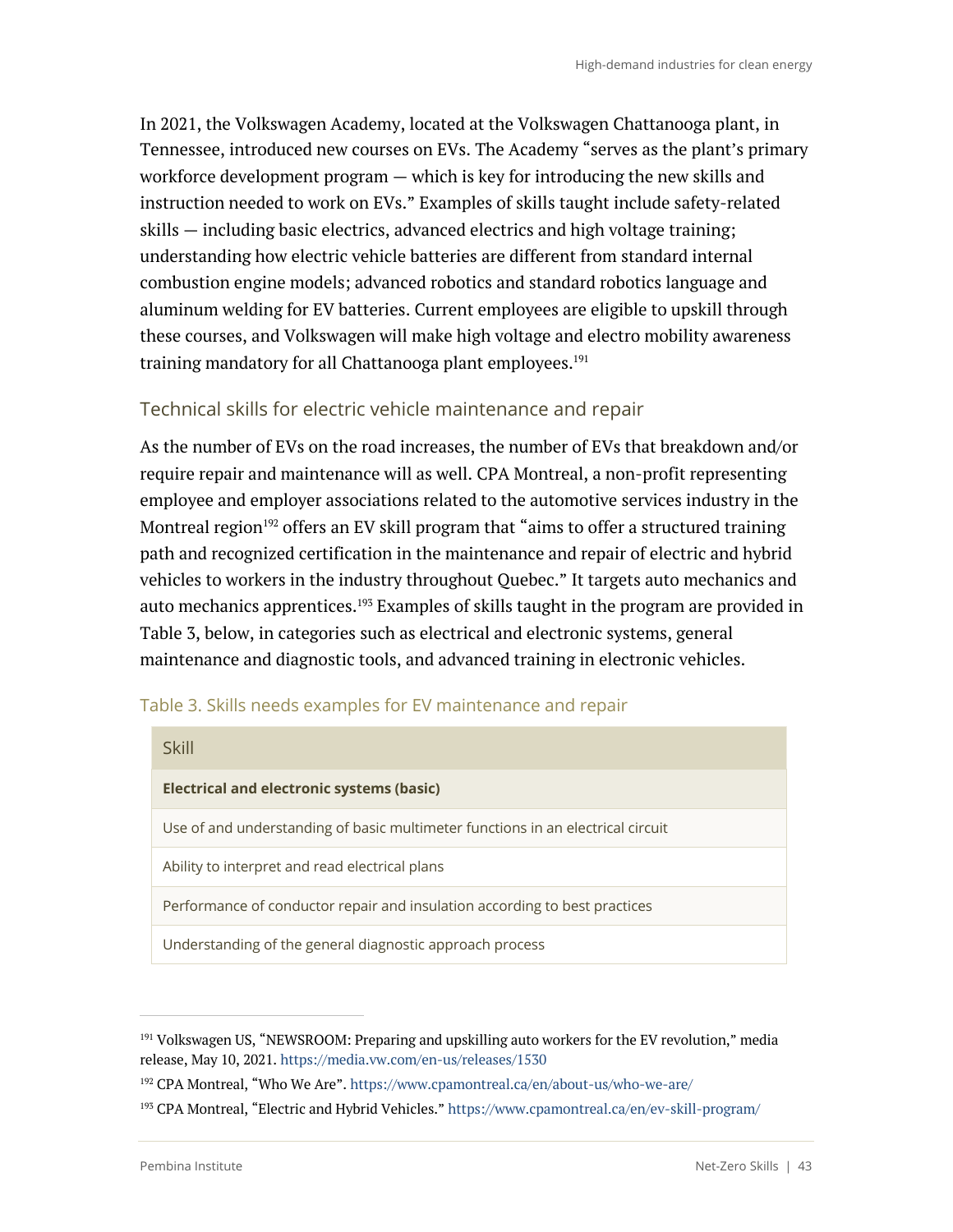In 2021, the Volkswagen Academy, located at the Volkswagen Chattanooga plant, in Tennessee, introduced new courses on EVs. The Academy "serves as the plant's primary workforce development program — which is key for introducing the new skills and instruction needed to work on EVs." Examples of skills taught include safety-related skills — including basic electrics, advanced electrics and high voltage training; understanding how electric vehicle batteries are different from standard internal combustion engine models; advanced robotics and standard robotics language and aluminum welding for EV batteries. Current employees are eligible to upskill through these courses, and Volkswagen will make high voltage and electro mobility awareness training mandatory for all Chattanooga plant employees.<sup>191</sup>

### Technical skills for electric vehicle maintenance and repair

As the number of EVs on the road increases, the number of EVs that breakdown and/or require repair and maintenance will as well. CPA Montreal, a non-profit representing employee and employer associations related to the automotive services industry in the Montreal region<sup>192</sup> offers an EV skill program that "aims to offer a structured training path and recognized certification in the maintenance and repair of electric and hybrid vehicles to workers in the industry throughout Quebec." It targets auto mechanics and auto mechanics apprentices.<sup>193</sup> Examples of skills taught in the program are provided in Table 3, below, in categories such as electrical and electronic systems, general maintenance and diagnostic tools, and advanced training in electronic vehicles.

#### Table 3. Skills needs examples for EV maintenance and repair

| Skill                                                                           |
|---------------------------------------------------------------------------------|
| Electrical and electronic systems (basic)                                       |
| Use of and understanding of basic multimeter functions in an electrical circuit |
| Ability to interpret and read electrical plans                                  |
| Performance of conductor repair and insulation according to best practices      |
| Understanding of the general diagnostic approach process                        |

<sup>&</sup>lt;sup>191</sup> Volkswagen US, "NEWSROOM: Preparing and upskilling auto workers for the EV revolution," media release, May 10, 2021. https://media.vw.com/en-us/releases/1530

<sup>192</sup> CPA Montreal, "Who We Are". https://www.cpamontreal.ca/en/about-us/who-we-are/

<sup>193</sup> CPA Montreal, "Electric and Hybrid Vehicles." https://www.cpamontreal.ca/en/ev-skill-program/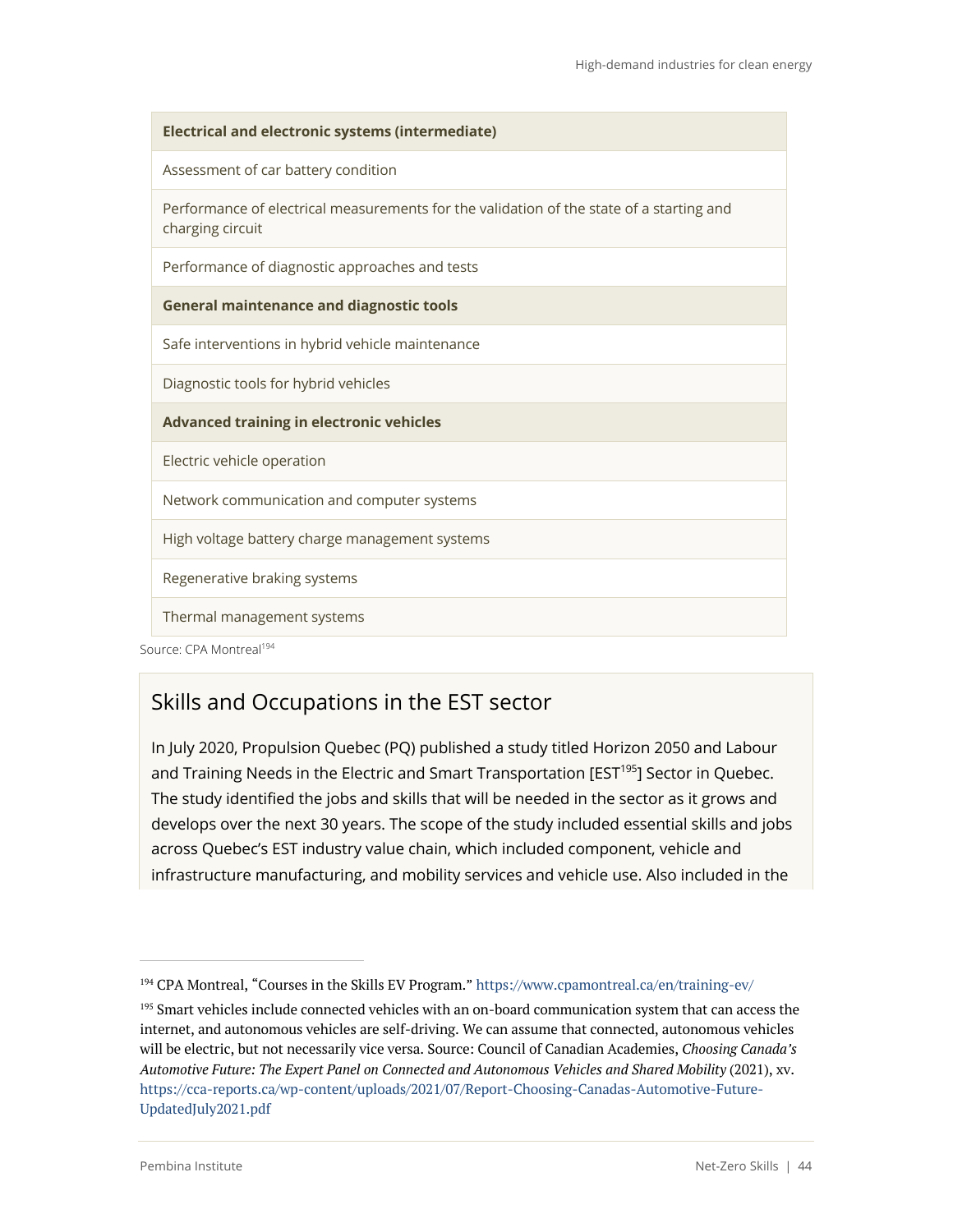| <b>Electrical and electronic systems (intermediate)</b>                                                      |
|--------------------------------------------------------------------------------------------------------------|
| Assessment of car battery condition                                                                          |
| Performance of electrical measurements for the validation of the state of a starting and<br>charging circuit |
| Performance of diagnostic approaches and tests                                                               |
| <b>General maintenance and diagnostic tools</b>                                                              |
| Safe interventions in hybrid vehicle maintenance                                                             |
| Diagnostic tools for hybrid vehicles                                                                         |
| <b>Advanced training in electronic vehicles</b>                                                              |
| Electric vehicle operation                                                                                   |
| Network communication and computer systems                                                                   |
| High voltage battery charge management systems                                                               |
| Regenerative braking systems                                                                                 |
| Thermal management systems                                                                                   |

Source: CPA Montreal<sup>194</sup>

## Skills and Occupations in the EST sector

In July 2020, Propulsion Quebec (PQ) published a study titled Horizon 2050 and Labour and Training Needs in the Electric and Smart Transportation [EST<sup>195</sup>] Sector in Quebec. The study identified the jobs and skills that will be needed in the sector as it grows and develops over the next 30 years. The scope of the study included essential skills and jobs across Quebec's EST industry value chain, which included component, vehicle and infrastructure manufacturing, and mobility services and vehicle use. Also included in the

<sup>194</sup> CPA Montreal, "Courses in the Skills EV Program." https://www.cpamontreal.ca/en/training-ev/

<sup>&</sup>lt;sup>195</sup> Smart vehicles include connected vehicles with an on-board communication system that can access the internet, and autonomous vehicles are self-driving. We can assume that connected, autonomous vehicles will be electric, but not necessarily vice versa. Source: Council of Canadian Academies, *Choosing Canada's Automotive Future: The Expert Panel on Connected and Autonomous Vehicles and Shared Mobility* (2021), xv. https://cca-reports.ca/wp-content/uploads/2021/07/Report-Choosing-Canadas-Automotive-Future-UpdatedJuly2021.pdf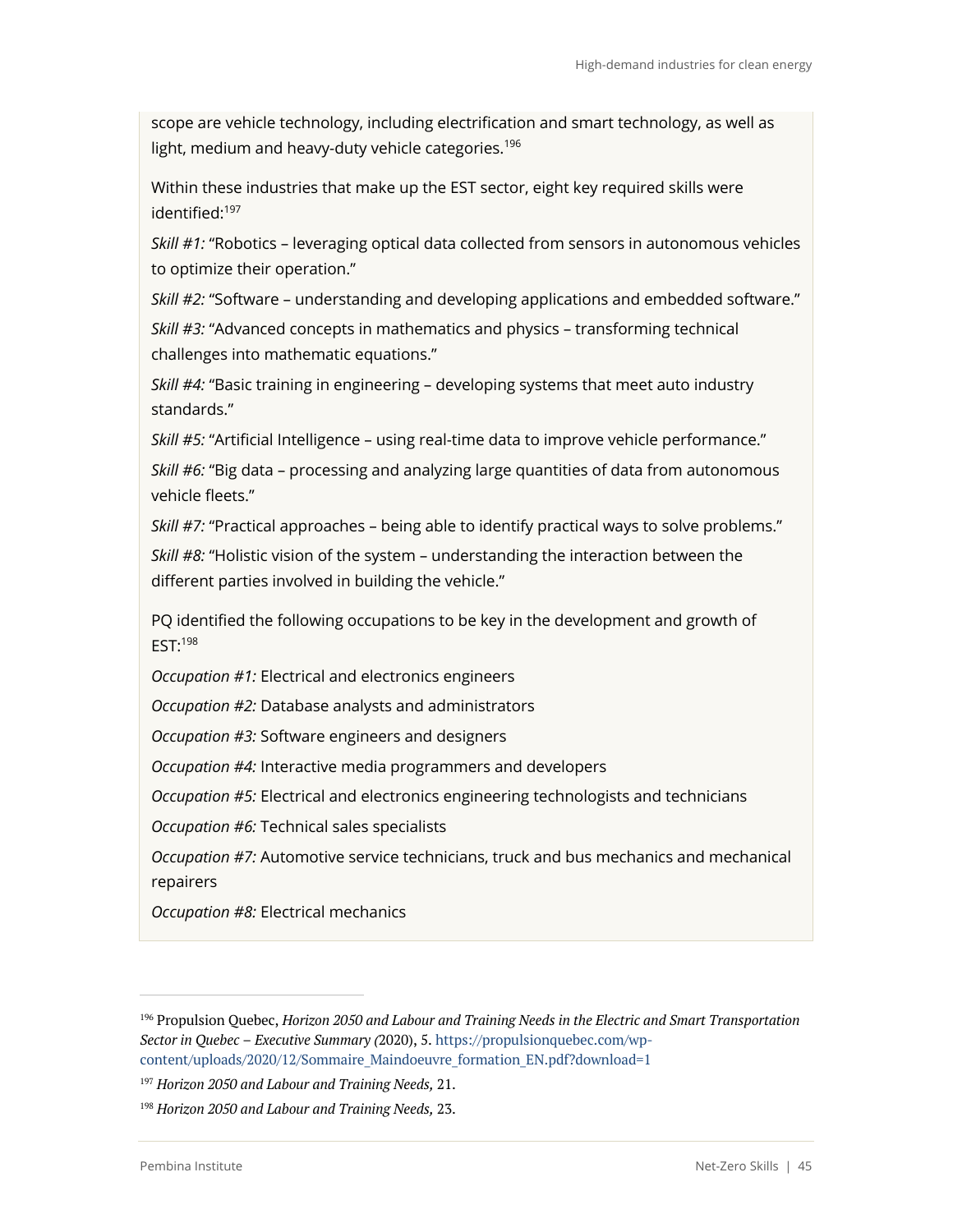scope are vehicle technology, including electrification and smart technology, as well as light, medium and heavy-duty vehicle categories. 196

Within these industries that make up the EST sector, eight key required skills were identified:<sup>197</sup>

*Skill #1:* "Robotics – leveraging optical data collected from sensors in autonomous vehicles to optimize their operation."

*Skill #2:* "Software – understanding and developing applications and embedded software."

*Skill #3:* "Advanced concepts in mathematics and physics – transforming technical challenges into mathematic equations."

*Skill #4:* "Basic training in engineering – developing systems that meet auto industry standards."

*Skill #5:* "Artificial Intelligence – using real-time data to improve vehicle performance."

*Skill #6:* "Big data – processing and analyzing large quantities of data from autonomous vehicle fleets."

*Skill #7:* "Practical approaches – being able to identify practical ways to solve problems."

*Skill #8:* "Holistic vision of the system – understanding the interaction between the different parties involved in building the vehicle."

PQ identified the following occupations to be key in the development and growth of  $FST:198$ 

*Occupation #1:* Electrical and electronics engineers

*Occupation #2:* Database analysts and administrators

*Occupation #3:* Software engineers and designers

*Occupation #4:* Interactive media programmers and developers

*Occupation #5:* Electrical and electronics engineering technologists and technicians

*Occupation #6:* Technical sales specialists

*Occupation #7:* Automotive service technicians, truck and bus mechanics and mechanical repairers

*Occupation #8:* Electrical mechanics

<sup>196</sup> Propulsion Quebec, *Horizon 2050 and Labour and Training Needs in the Electric and Smart Transportation Sector in Quebec* – *Executive Summary (*2020), 5. https://propulsionquebec.com/wpcontent/uploads/2020/12/Sommaire\_Maindoeuvre\_formation\_EN.pdf?download=1

<sup>197</sup> *Horizon 2050 and Labour and Training Needs,* 21.

<sup>198</sup> *Horizon 2050 and Labour and Training Needs,* 23.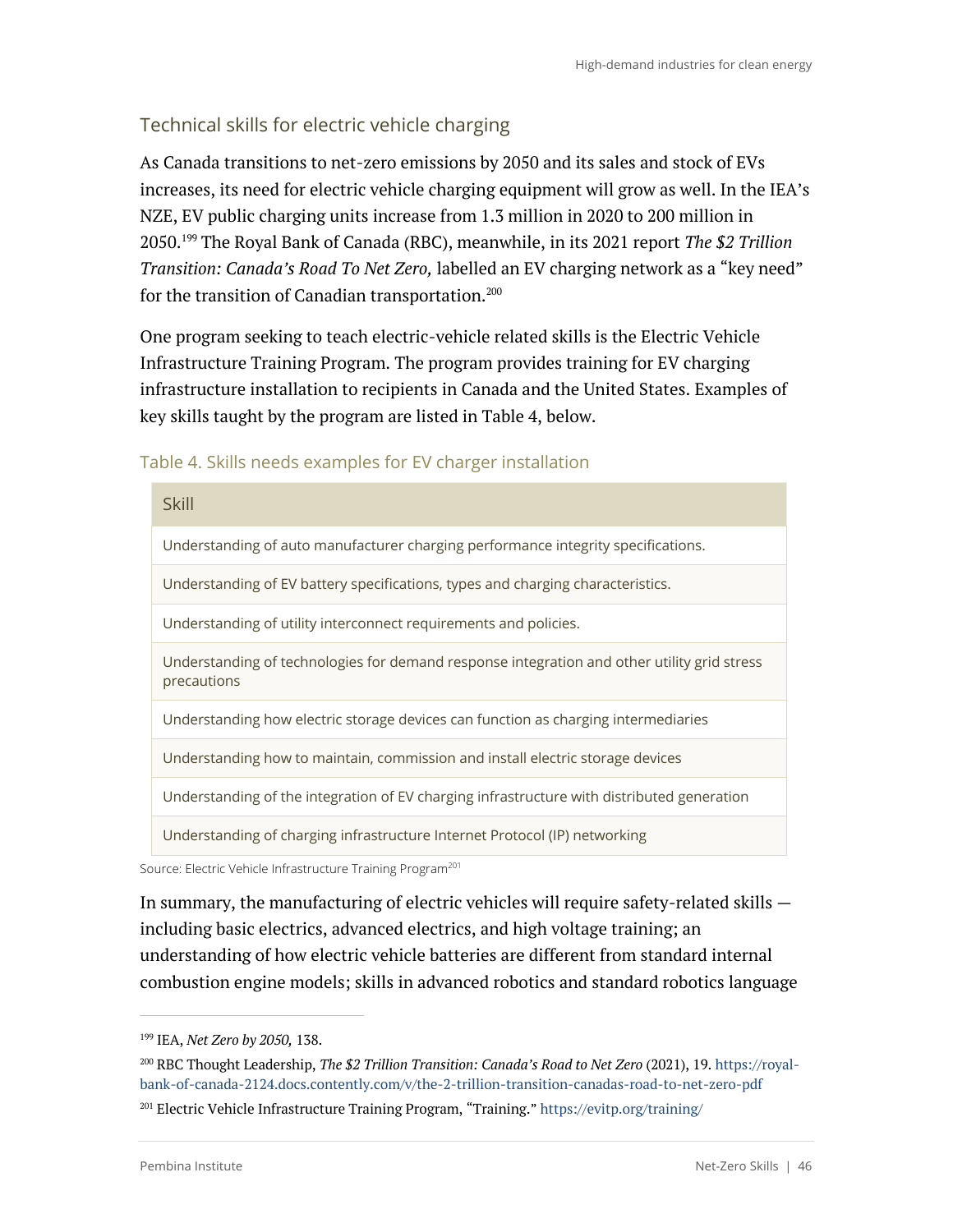### Technical skills for electric vehicle charging

As Canada transitions to net-zero emissions by 2050 and its sales and stock of EVs increases, its need for electric vehicle charging equipment will grow as well. In the IEA's NZE, EV public charging units increase from 1.3 million in 2020 to 200 million in 2050.199 The Royal Bank of Canada (RBC), meanwhile, in its 2021 report *The \$2 Trillion Transition: Canada's Road To Net Zero,* labelled an EV charging network as a "key need" for the transition of Canadian transportation.<sup>200</sup>

One program seeking to teach electric-vehicle related skills is the Electric Vehicle Infrastructure Training Program. The program provides training for EV charging infrastructure installation to recipients in Canada and the United States. Examples of key skills taught by the program are listed in Table 4, below.

#### Table 4. Skills needs examples for EV charger installation

| <b>Skill</b>                                                                                               |
|------------------------------------------------------------------------------------------------------------|
| Understanding of auto manufacturer charging performance integrity specifications.                          |
| Understanding of EV battery specifications, types and charging characteristics.                            |
| Understanding of utility interconnect requirements and policies.                                           |
| Understanding of technologies for demand response integration and other utility grid stress<br>precautions |
| Understanding how electric storage devices can function as charging intermediaries                         |
| Understanding how to maintain, commission and install electric storage devices                             |
| Understanding of the integration of EV charging infrastructure with distributed generation                 |
| Understanding of charging infrastructure Internet Protocol (IP) networking                                 |

Source: Electric Vehicle Infrastructure Training Program<sup>201</sup>

In summary, the manufacturing of electric vehicles will require safety-related skills including basic electrics, advanced electrics, and high voltage training; an understanding of how electric vehicle batteries are different from standard internal combustion engine models; skills in advanced robotics and standard robotics language

<sup>199</sup> IEA, *Net Zero by 2050,* 138.

<sup>200</sup> RBC Thought Leadership, *The \$2 Trillion Transition: Canada's Road to Net Zero* (2021), 19. https://royalbank-of-canada-2124.docs.contently.com/v/the-2-trillion-transition-canadas-road-to-net-zero-pdf <sup>201</sup> Electric Vehicle Infrastructure Training Program, "Training." https://evitp.org/training/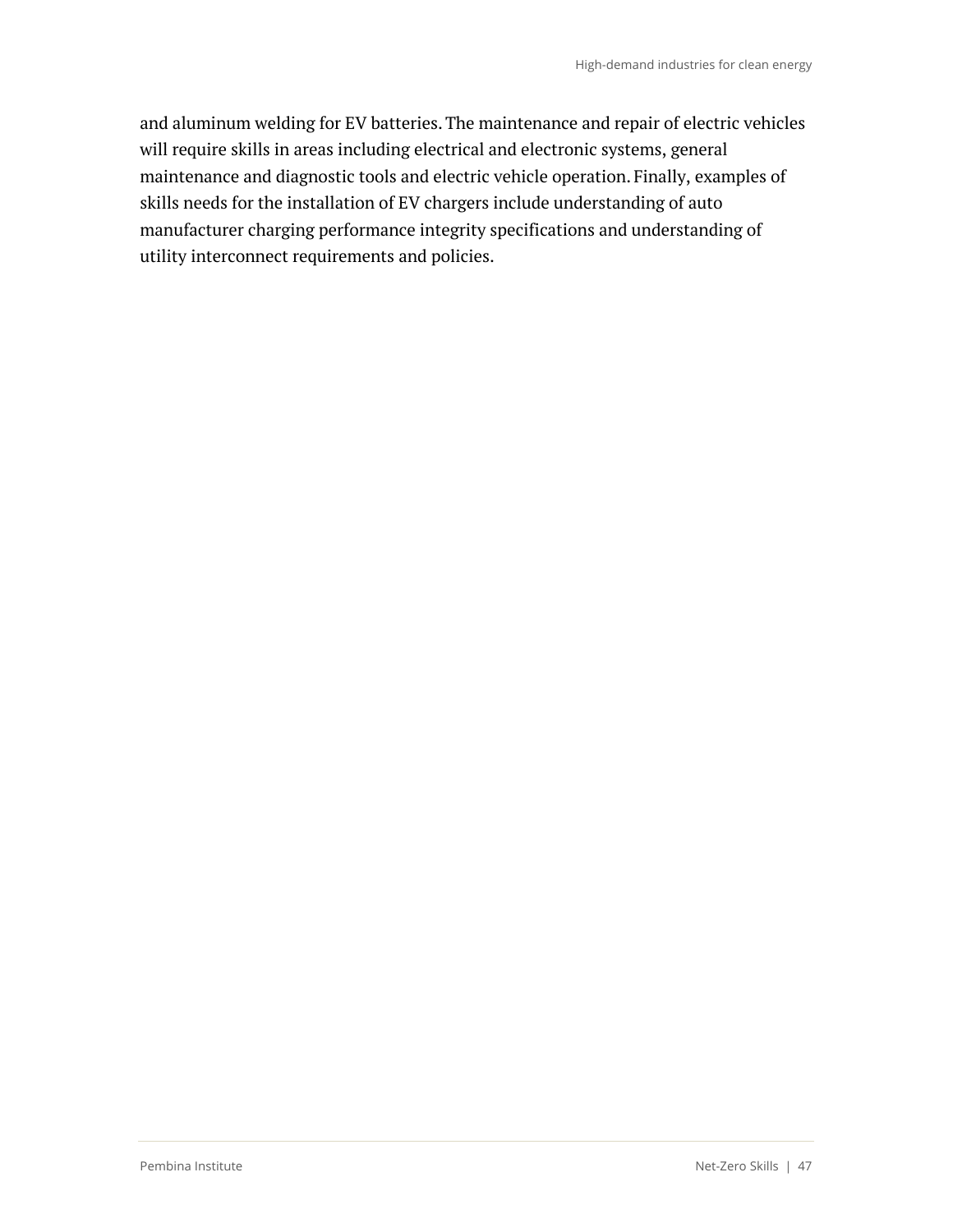and aluminum welding for EV batteries.The maintenance and repair of electric vehicles will require skills in areas including electrical and electronic systems, general maintenance and diagnostic tools and electric vehicle operation. Finally, examples of skills needs for the installation of EV chargers include understanding of auto manufacturer charging performance integrity specifications and understanding of utility interconnect requirements and policies.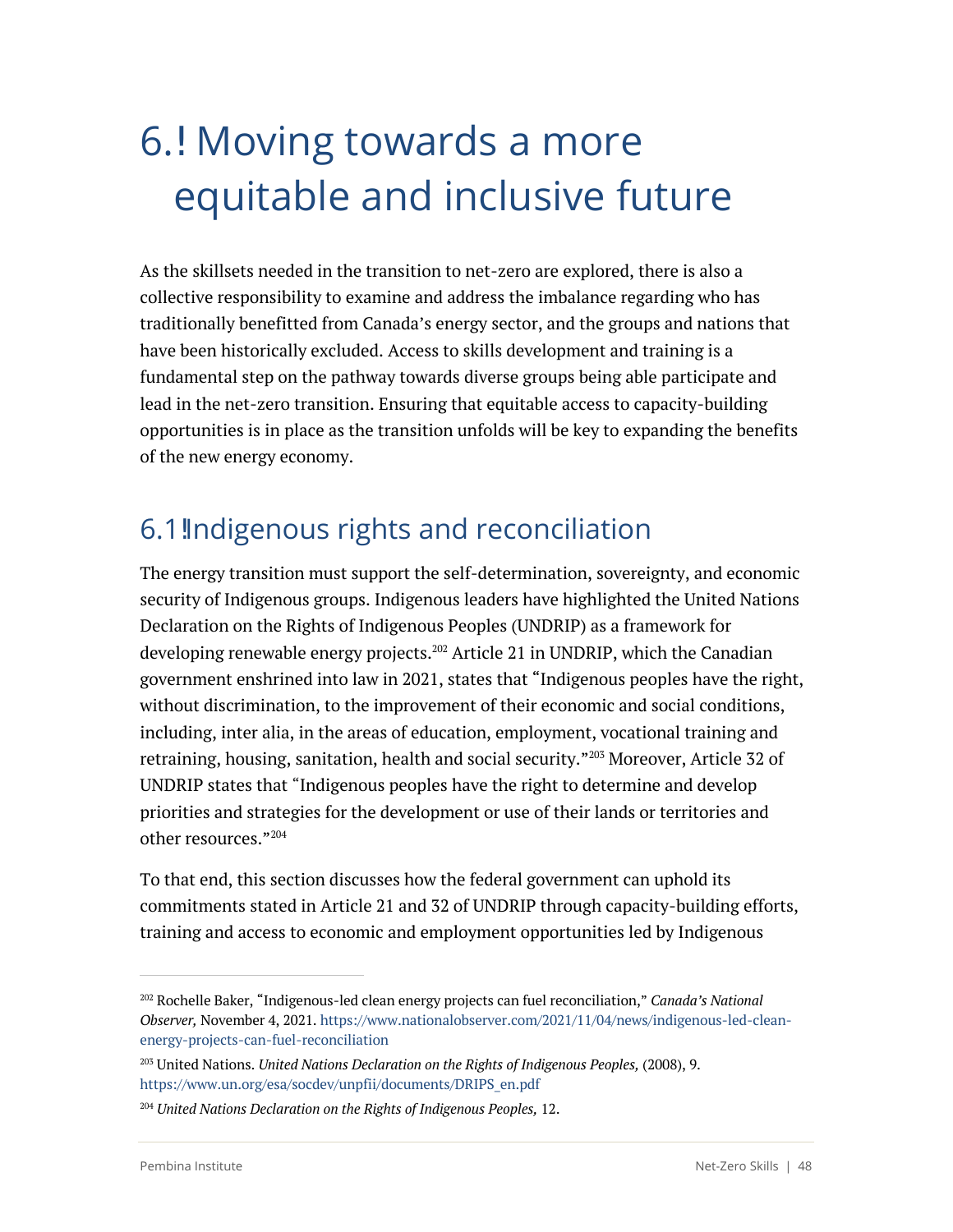# 6.! Moving towards a more equitable and inclusive future

As the skillsets needed in the transition to net-zero are explored, there is also a collective responsibility to examine and address the imbalance regarding who has traditionally benefitted from Canada's energy sector, and the groups and nations that have been historically excluded. Access to skills development and training is a fundamental step on the pathway towards diverse groups being able participate and lead in the net-zero transition. Ensuring that equitable access to capacity-building opportunities is in place as the transition unfolds will be key to expanding the benefits of the new energy economy.

# 6.1 Indigenous rights and reconciliation

The energy transition must support the self-determination, sovereignty, and economic security of Indigenous groups. Indigenous leaders have highlighted the United Nations Declaration on the Rights of Indigenous Peoples (UNDRIP) as a framework for developing renewable energy projects.<sup>202</sup> Article 21 in UNDRIP, which the Canadian government enshrined into law in 2021, states that "Indigenous peoples have the right, without discrimination, to the improvement of their economic and social conditions, including, inter alia, in the areas of education, employment, vocational training and retraining, housing, sanitation, health and social security."203 Moreover, Article 32 of UNDRIP states that "Indigenous peoples have the right to determine and develop priorities and strategies for the development or use of their lands or territories and other resources."204

To that end, this section discusses how the federal government can uphold its commitments stated in Article 21 and 32 of UNDRIP through capacity-building efforts, training and access to economic and employment opportunities led by Indigenous

<sup>202</sup> Rochelle Baker, "Indigenous-led clean energy projects can fuel reconciliation," *Canada's National Observer,* November 4, 2021. https://www.nationalobserver.com/2021/11/04/news/indigenous-led-cleanenergy-projects-can-fuel-reconciliation

<sup>203</sup> United Nations. *United Nations Declaration on the Rights of Indigenous Peoples,* (2008), 9. https://www.un.org/esa/socdev/unpfii/documents/DRIPS\_en.pdf

<sup>204</sup> *United Nations Declaration on the Rights of Indigenous Peoples,* 12.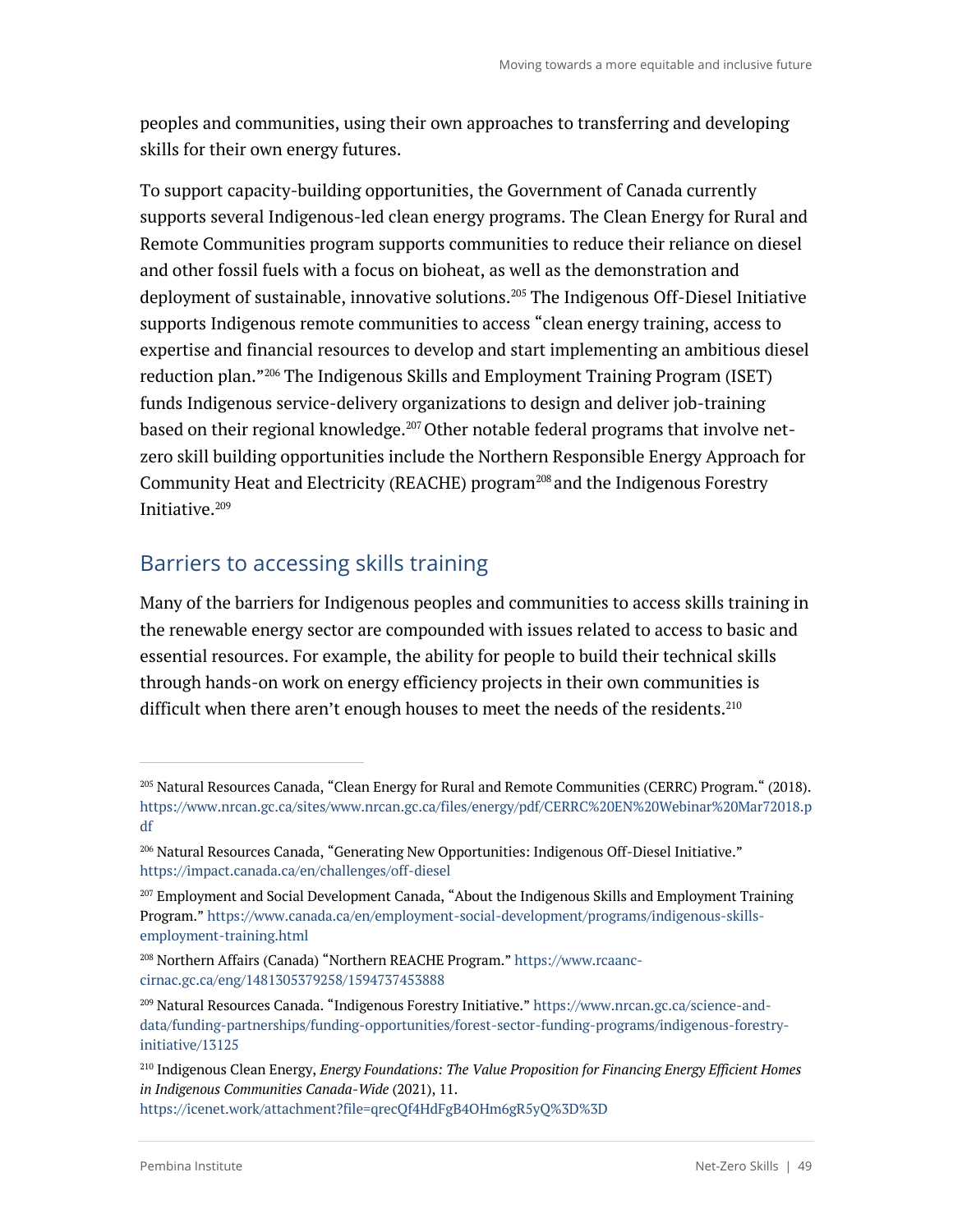peoples and communities, using their own approaches to transferring and developing skills for their own energy futures.

To support capacity-building opportunities, the Government of Canada currently supports several Indigenous-led clean energy programs. The Clean Energy for Rural and Remote Communities program supports communities to reduce their reliance on diesel and other fossil fuels with a focus on bioheat, as well as the demonstration and deployment of sustainable, innovative solutions.<sup>205</sup> The Indigenous Off-Diesel Initiative supports Indigenous remote communities to access "clean energy training, access to expertise and financial resources to develop and start implementing an ambitious diesel reduction plan."206 The Indigenous Skills and Employment Training Program (ISET) funds Indigenous service-delivery organizations to design and deliver job-training based on their regional knowledge.<sup>207</sup> Other notable federal programs that involve netzero skill building opportunities include the Northern Responsible Energy Approach for Community Heat and Electricity (REACHE) program<sup>208</sup> and the Indigenous Forestry Initiative.209

### Barriers to accessing skills training

Many of the barriers for Indigenous peoples and communities to access skills training in the renewable energy sector are compounded with issues related to access to basic and essential resources. For example, the ability for people to build their technical skills through hands-on work on energy efficiency projects in their own communities is difficult when there aren't enough houses to meet the needs of the residents. $210$ 

<sup>205</sup> Natural Resources Canada, "Clean Energy for Rural and Remote Communities (CERRC) Program." (2018). https://www.nrcan.gc.ca/sites/www.nrcan.gc.ca/files/energy/pdf/CERRC%20EN%20Webinar%20Mar72018.p df

<sup>206</sup> Natural Resources Canada, "Generating New Opportunities: Indigenous Off-Diesel Initiative." https://impact.canada.ca/en/challenges/off-diesel

<sup>&</sup>lt;sup>207</sup> Employment and Social Development Canada, "About the Indigenous Skills and Employment Training Program." https://www.canada.ca/en/employment-social-development/programs/indigenous-skillsemployment-training.html

<sup>208</sup> Northern Affairs (Canada) "Northern REACHE Program." https://www.rcaanccirnac.gc.ca/eng/1481305379258/1594737453888

<sup>209</sup> Natural Resources Canada. "Indigenous Forestry Initiative." https://www.nrcan.gc.ca/science-anddata/funding-partnerships/funding-opportunities/forest-sector-funding-programs/indigenous-forestryinitiative/13125

<sup>210</sup> Indigenous Clean Energy, *Energy Foundations: The Value Proposition for Financing Energy Efficient Homes in Indigenous Communities Canada-Wide* (2021), 11.

https://icenet.work/attachment?file=qrecQf4HdFgB4OHm6gR5yQ%3D%3D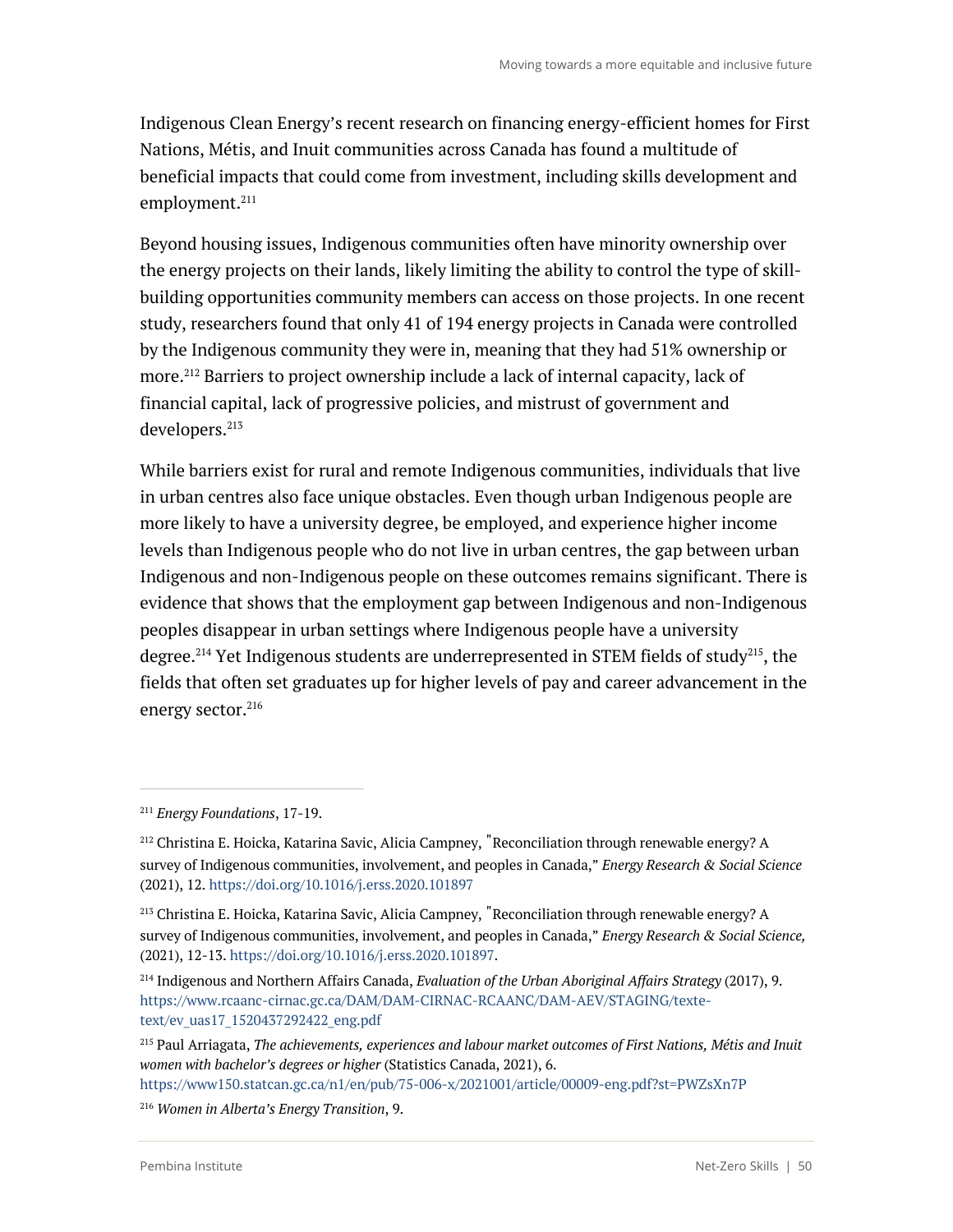Indigenous Clean Energy's recent research on financing energy-efficient homes for First Nations, Métis, and Inuit communities across Canada has found a multitude of beneficial impacts that could come from investment, including skills development and employment.<sup>211</sup>

Beyond housing issues, Indigenous communities often have minority ownership over the energy projects on their lands, likely limiting the ability to control the type of skillbuilding opportunities community members can access on those projects. In one recent study, researchers found that only 41 of 194 energy projects in Canada were controlled by the Indigenous community they were in, meaning that they had 51% ownership or more.212 Barriers to project ownership include a lack of internal capacity, lack of financial capital, lack of progressive policies, and mistrust of government and developers.<sup>213</sup>

While barriers exist for rural and remote Indigenous communities, individuals that live in urban centres also face unique obstacles. Even though urban Indigenous people are more likely to have a university degree, be employed, and experience higher income levels than Indigenous people who do not live in urban centres, the gap between urban Indigenous and non-Indigenous people on these outcomes remains significant. There is evidence that shows that the employment gap between Indigenous and non-Indigenous peoples disappear in urban settings where Indigenous people have a university degree.<sup>214</sup> Yet Indigenous students are underrepresented in STEM fields of study<sup>215</sup>, the fields that often set graduates up for higher levels of pay and career advancement in the energy sector.<sup>216</sup>

https://www150.statcan.gc.ca/n1/en/pub/75-006-x/2021001/article/00009-eng.pdf?st=PWZsXn7P

<sup>216</sup> *Women in Alberta's Energy Transition*, 9.

<sup>211</sup> *Energy Foundations*, 17-19.

<sup>212</sup> Christina E. Hoicka, Katarina Savic, Alicia Campney,"Reconciliation through renewable energy? A survey of Indigenous communities, involvement, and peoples in Canada," *Energy Research & Social Science*  (2021), 12. https://doi.org/10.1016/j.erss.2020.101897

<sup>213</sup> Christina E. Hoicka, Katarina Savic, Alicia Campney,"Reconciliation through renewable energy? A survey of Indigenous communities, involvement, and peoples in Canada," *Energy Research & Social Science,* (2021), 12-13. https://doi.org/10.1016/j.erss.2020.101897.

<sup>214</sup> Indigenous and Northern Affairs Canada, *Evaluation of the Urban Aboriginal Affairs Strategy* (2017), 9. https://www.rcaanc-cirnac.gc.ca/DAM/DAM-CIRNAC-RCAANC/DAM-AEV/STAGING/textetext/ev\_uas17\_1520437292422\_eng.pdf

<sup>215</sup> Paul Arriagata, *The achievements, experiences and labour market outcomes of First Nations, Métis and Inuit women with bachelor's degrees or higher* (Statistics Canada, 2021), 6.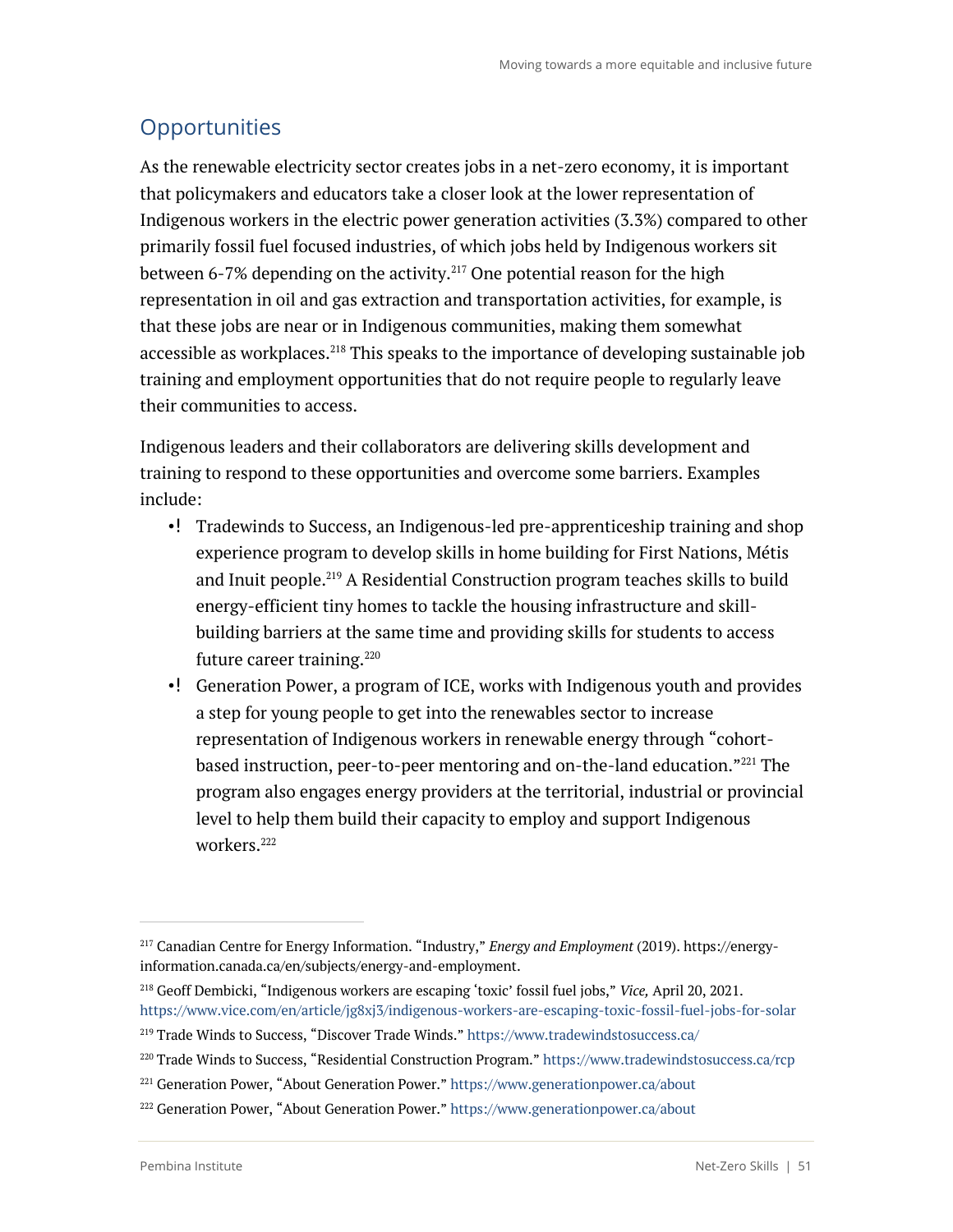## **Opportunities**

As the renewable electricity sector creates jobs in a net-zero economy, it is important that policymakers and educators take a closer look at the lower representation of Indigenous workers in the electric power generation activities (3.3%) compared to other primarily fossil fuel focused industries, of which jobs held by Indigenous workers sit between 6-7% depending on the activity. <sup>217</sup> One potential reason for the high representation in oil and gas extraction and transportation activities, for example, is that these jobs are near or in Indigenous communities, making them somewhat accessible as workplaces.<sup>218</sup> This speaks to the importance of developing sustainable job training and employment opportunities that do not require people to regularly leave their communities to access.

Indigenous leaders and their collaborators are delivering skills development and training to respond to these opportunities and overcome some barriers. Examples include:

- •! Tradewinds to Success, an Indigenous-led pre-apprenticeship training and shop experience program to develop skills in home building for First Nations, Métis and Inuit people.<sup>219</sup> A Residential Construction program teaches skills to build energy-efficient tiny homes to tackle the housing infrastructure and skillbuilding barriers at the same time and providing skills for students to access future career training. $220$
- •! Generation Power, a program of ICE, works with Indigenous youth and provides a step for young people to get into the renewables sector to increase representation of Indigenous workers in renewable energy through "cohortbased instruction, peer-to-peer mentoring and on-the-land education."<sup>221</sup> The program also engages energy providers at the territorial, industrial or provincial level to help them build their capacity to employ and support Indigenous workers.222

<sup>217</sup> Canadian Centre for Energy Information. "Industry," *Energy and Employment* (2019). https://energyinformation.canada.ca/en/subjects/energy-and-employment.

<sup>218</sup> Geoff Dembicki, "Indigenous workers are escaping 'toxic' fossil fuel jobs," *Vice,* April 20, 2021. https://www.vice.com/en/article/jg8xj3/indigenous-workers-are-escaping-toxic-fossil-fuel-jobs-for-solar

<sup>219</sup> Trade Winds to Success, "Discover Trade Winds." https://www.tradewindstosuccess.ca/

<sup>220</sup> Trade Winds to Success, "Residential Construction Program." https://www.tradewindstosuccess.ca/rcp

<sup>&</sup>lt;sup>221</sup> Generation Power, "About Generation Power." https://www.generationpower.ca/about

<sup>&</sup>lt;sup>222</sup> Generation Power, "About Generation Power." https://www.generationpower.ca/about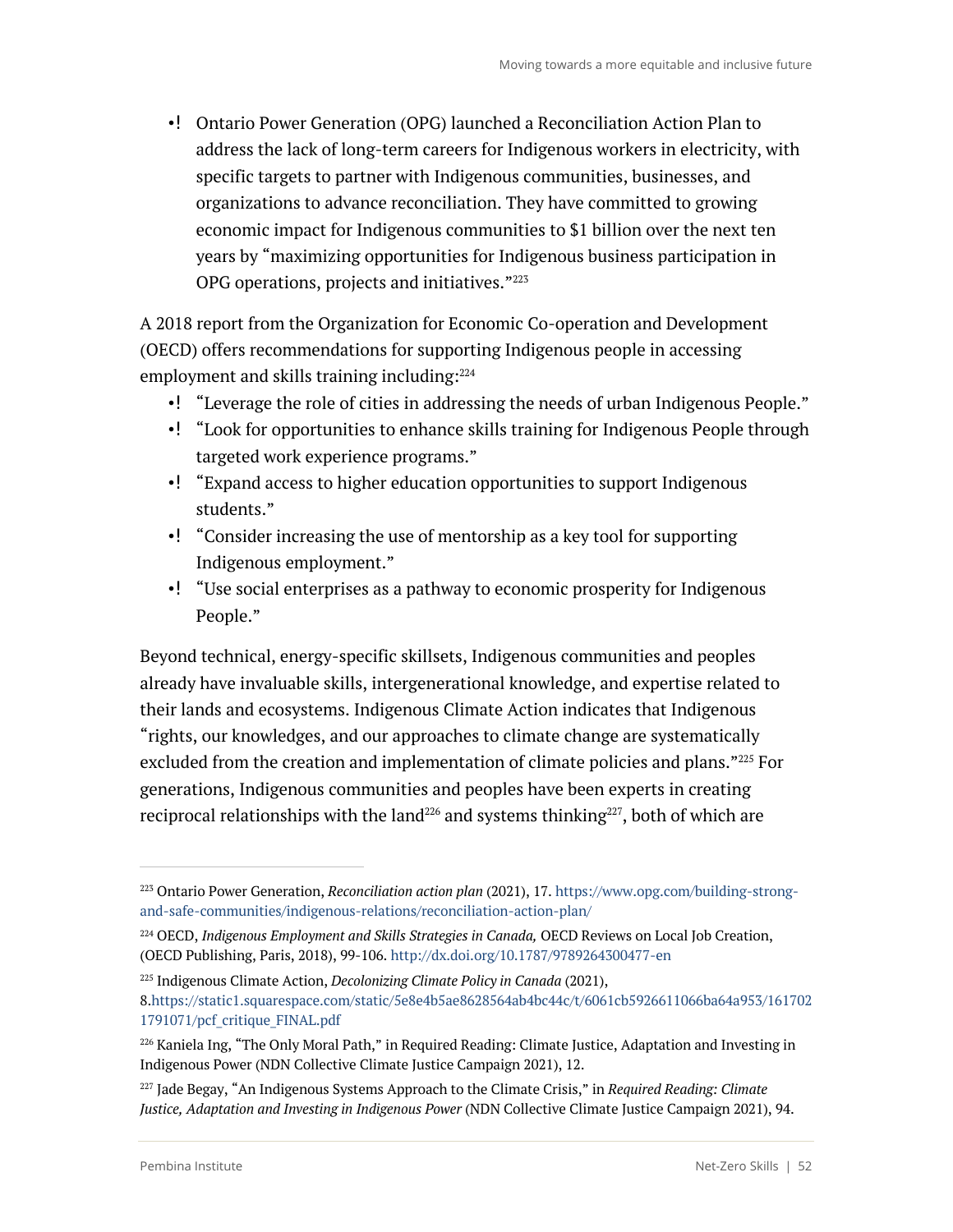• Ontario Power Generation (OPG) launched a Reconciliation Action Plan to address the lack of long-term careers for Indigenous workers in electricity, with specific targets to partner with Indigenous communities, businesses, and organizations to advance reconciliation. They have committed to growing economic impact for Indigenous communities to \$1 billion over the next ten years by "maximizing opportunities for Indigenous business participation in OPG operations, projects and initiatives."223

A 2018 report from the Organization for Economic Co-operation and Development (OECD) offers recommendations for supporting Indigenous people in accessing employment and skills training including: $224$ 

- •! "Leverage the role of cities in addressing the needs of urban Indigenous People."
- •! "Look for opportunities to enhance skills training for Indigenous People through targeted work experience programs."
- •! "Expand access to higher education opportunities to support Indigenous students."
- •! "Consider increasing the use of mentorship as a key tool for supporting Indigenous employment."
- •! "Use social enterprises as a pathway to economic prosperity for Indigenous People."

Beyond technical, energy-specific skillsets, Indigenous communities and peoples already have invaluable skills, intergenerational knowledge, and expertise related to their lands and ecosystems. Indigenous Climate Action indicates that Indigenous "rights, our knowledges, and our approaches to climate change are systematically excluded from the creation and implementation of climate policies and plans."<sup>225</sup> For generations, Indigenous communities and peoples have been experts in creating reciprocal relationships with the land<sup>226</sup> and systems thinking<sup>227</sup>, both of which are

<sup>223</sup> Ontario Power Generation, *Reconciliation action plan* (2021), 17. https://www.opg.com/building-strongand-safe-communities/indigenous-relations/reconciliation-action-plan/

<sup>224</sup> OECD, *Indigenous Employment and Skills Strategies in Canada,* OECD Reviews on Local Job Creation, (OECD Publishing, Paris, 2018), 99-106. http://dx.doi.org/10.1787/9789264300477-en

<sup>225</sup> Indigenous Climate Action, *Decolonizing Climate Policy in Canada* (2021), 8.https://static1.squarespace.com/static/5e8e4b5ae8628564ab4bc44c/t/6061cb5926611066ba64a953/161702 1791071/pcf\_critique\_FINAL.pdf

<sup>&</sup>lt;sup>226</sup> Kaniela Ing, "The Only Moral Path," in Required Reading: Climate Justice, Adaptation and Investing in Indigenous Power (NDN Collective Climate Justice Campaign 2021), 12.

<sup>227</sup> Jade Begay, "An Indigenous Systems Approach to the Climate Crisis," in *Required Reading: Climate Justice, Adaptation and Investing in Indigenous Power* (NDN Collective Climate Justice Campaign 2021), 94.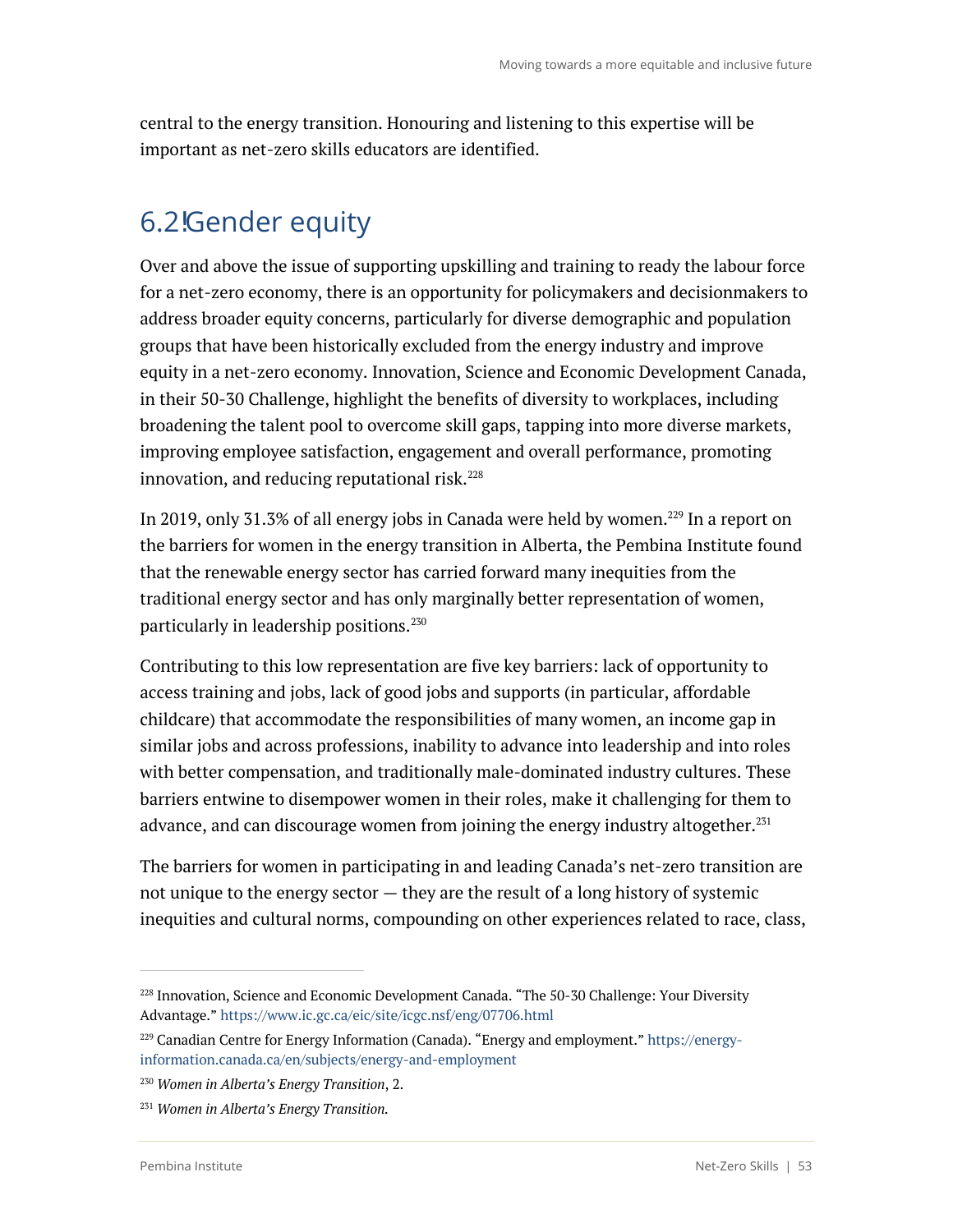central to the energy transition. Honouring and listening to this expertise will be important as net-zero skills educators are identified.

## 6.2 Gender equity

Over and above the issue of supporting upskilling and training to ready the labour force for a net-zero economy, there is an opportunity for policymakers and decisionmakers to address broader equity concerns, particularly for diverse demographic and population groups that have been historically excluded from the energy industry and improve equity in a net-zero economy. Innovation, Science and Economic Development Canada, in their 50-30 Challenge, highlight the benefits of diversity to workplaces, including broadening the talent pool to overcome skill gaps, tapping into more diverse markets, improving employee satisfaction, engagement and overall performance, promoting innovation, and reducing reputational risk. $228$ 

In 2019, only 31.3% of all energy jobs in Canada were held by women.<sup>229</sup> In a report on the barriers for women in the energy transition in Alberta, the Pembina Institute found that the renewable energy sector has carried forward many inequities from the traditional energy sector and has only marginally better representation of women, particularly in leadership positions.<sup>230</sup>

Contributing to this low representation are five key barriers: lack of opportunity to access training and jobs, lack of good jobs and supports (in particular, affordable childcare) that accommodate the responsibilities of many women, an income gap in similar jobs and across professions, inability to advance into leadership and into roles with better compensation, and traditionally male-dominated industry cultures. These barriers entwine to disempower women in their roles, make it challenging for them to advance, and can discourage women from joining the energy industry altogether.<sup>231</sup>

The barriers for women in participating in and leading Canada's net-zero transition are not unique to the energy sector — they are the result of a long history of systemic inequities and cultural norms, compounding on other experiences related to race, class,

<sup>228</sup> Innovation, Science and Economic Development Canada. "The 50-30 Challenge: Your Diversity Advantage." https://www.ic.gc.ca/eic/site/icgc.nsf/eng/07706.html

<sup>229</sup> Canadian Centre for Energy Information (Canada). "Energy and employment." https://energyinformation.canada.ca/en/subjects/energy-and-employment

<sup>230</sup> *Women in Alberta's Energy Transition*, 2.

<sup>231</sup> *Women in Alberta's Energy Transition.*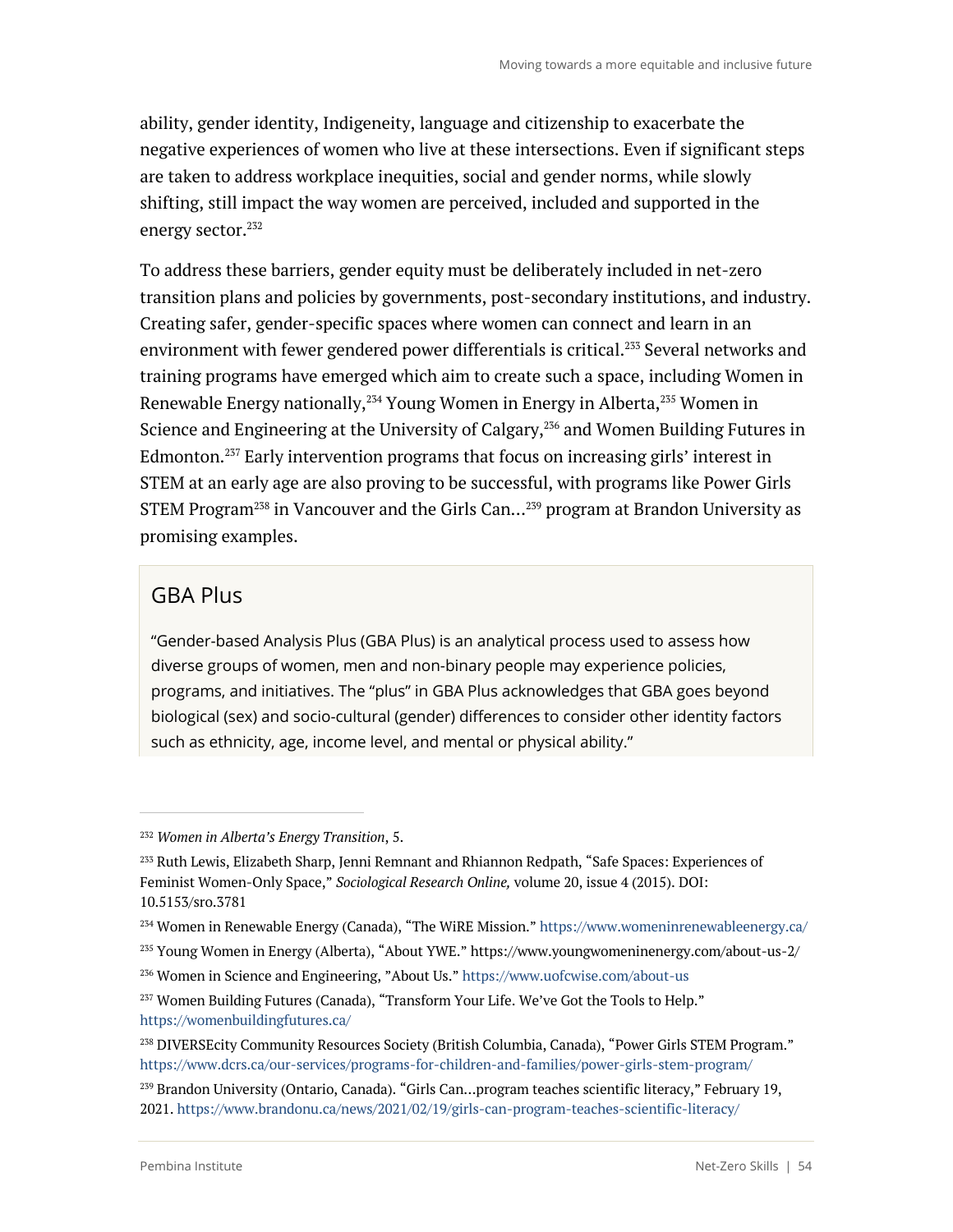ability, gender identity, Indigeneity, language and citizenship to exacerbate the negative experiences of women who live at these intersections. Even if significant steps are taken to address workplace inequities, social and gender norms, while slowly shifting, still impact the way women are perceived, included and supported in the energy sector.<sup>232</sup>

To address these barriers, gender equity must be deliberately included in net-zero transition plans and policies by governments, post-secondary institutions, and industry. Creating safer, gender-specific spaces where women can connect and learn in an environment with fewer gendered power differentials is critical.<sup>233</sup> Several networks and training programs have emerged which aim to create such a space, including Women in Renewable Energy nationally,<sup>234</sup> Young Women in Energy in Alberta,<sup>235</sup> Women in Science and Engineering at the University of Calgary,<sup>236</sup> and Women Building Futures in Edmonton. <sup>237</sup> Early intervention programs that focus on increasing girls' interest in STEM at an early age are also proving to be successful, with programs like Power Girls STEM Program<sup>238</sup> in Vancouver and the Girls Can...<sup>239</sup> program at Brandon University as promising examples.

### GBA Plus

"Gender-based Analysis Plus (GBA Plus) is an analytical process used to assess how diverse groups of women, men and non-binary people may experience policies, programs, and initiatives. The "plus" in GBA Plus acknowledges that GBA goes beyond biological (sex) and socio-cultural (gender) differences to consider other identity factors such as ethnicity, age, income level, and mental or physical ability."

<sup>232</sup> *Women in Alberta's Energy Transition*, 5.

<sup>233</sup> Ruth Lewis, Elizabeth Sharp, Jenni Remnant and Rhiannon Redpath, "Safe Spaces: Experiences of Feminist Women-Only Space," *Sociological Research Online,* volume 20, issue 4 (2015). DOI: 10.5153/sro.3781

<sup>234</sup> Women in Renewable Energy (Canada), "The WiRE Mission." https://www.womeninrenewableenergy.ca/

<sup>235</sup> Young Women in Energy (Alberta), "About YWE." https://www.youngwomeninenergy.com/about-us-2/

<sup>236</sup> Women in Science and Engineering, "About Us." https://www.uofcwise.com/about-us

<sup>&</sup>lt;sup>237</sup> Women Building Futures (Canada), "Transform Your Life. We've Got the Tools to Help." https://womenbuildingfutures.ca/

<sup>&</sup>lt;sup>238</sup> DIVERSEcity Community Resources Society (British Columbia, Canada), "Power Girls STEM Program." https://www.dcrs.ca/our-services/programs-for-children-and-families/power-girls-stem-program/

<sup>239</sup> Brandon University (Ontario, Canada). "Girls Can…program teaches scientific literacy," February 19, 2021. https://www.brandonu.ca/news/2021/02/19/girls-can-program-teaches-scientific-literacy/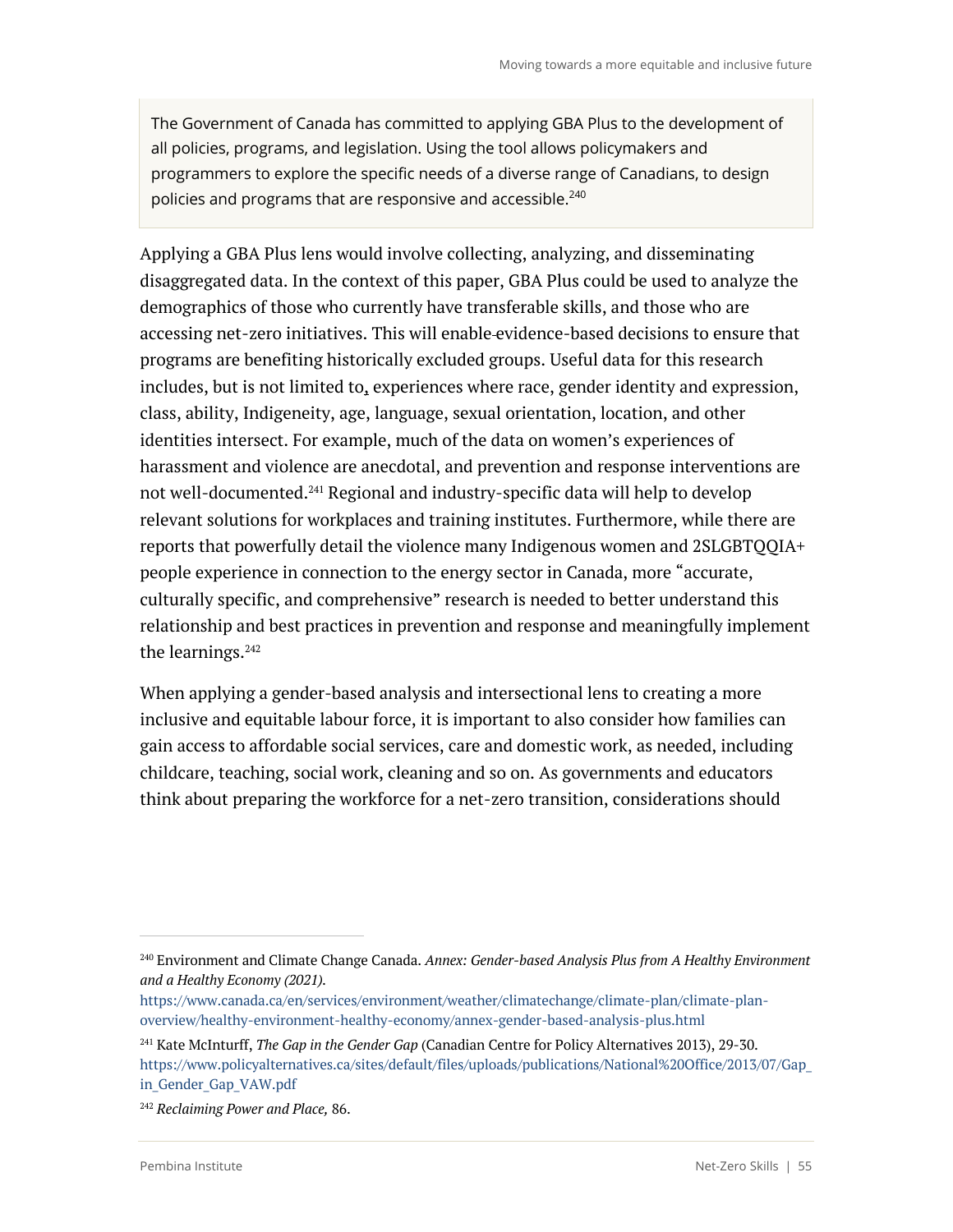The Government of Canada has committed to applying GBA Plus to the development of all policies, programs, and legislation. Using the tool allows policymakers and programmers to explore the specific needs of a diverse range of Canadians, to design policies and programs that are responsive and accessible.<sup>240</sup>

Applying a GBA Plus lens would involve collecting, analyzing, and disseminating disaggregated data. In the context of this paper, GBA Plus could be used to analyze the demographics of those who currently have transferable skills, and those who are accessing net-zero initiatives. This will enable evidence-based decisions to ensure that programs are benefiting historically excluded groups. Useful data for this research includes, but is not limited to, experiences where race, gender identity and expression, class, ability, Indigeneity, age, language, sexual orientation, location, and other identities intersect. For example, much of the data on women's experiences of harassment and violence are anecdotal, and prevention and response interventions are not well-documented.<sup>241</sup> Regional and industry-specific data will help to develop relevant solutions for workplaces and training institutes. Furthermore, while there are reports that powerfully detail the violence many Indigenous women and 2SLGBTQQIA+ people experience in connection to the energy sector in Canada, more "accurate, culturally specific, and comprehensive" research is needed to better understand this relationship and best practices in prevention and response and meaningfully implement the learnings. 242

When applying a gender-based analysis and intersectional lens to creating a more inclusive and equitable labour force, it is important to also consider how families can gain access to affordable social services, care and domestic work, as needed, including childcare, teaching, social work, cleaning and so on. As governments and educators think about preparing the workforce for a net-zero transition, considerations should

<sup>240</sup> Environment and Climate Change Canada. *Annex: Gender-based Analysis Plus from A Healthy Environment and a Healthy Economy (2021).*

https://www.canada.ca/en/services/environment/weather/climatechange/climate-plan/climate-planoverview/healthy-environment-healthy-economy/annex-gender-based-analysis-plus.html

<sup>241</sup> Kate McInturff, *The Gap in the Gender Gap* (Canadian Centre for Policy Alternatives 2013), 29-30. https://www.policyalternatives.ca/sites/default/files/uploads/publications/National%20Office/2013/07/Gap\_ in Gender Gap VAW.pdf

<sup>242</sup> *Reclaiming Power and Place,* 86.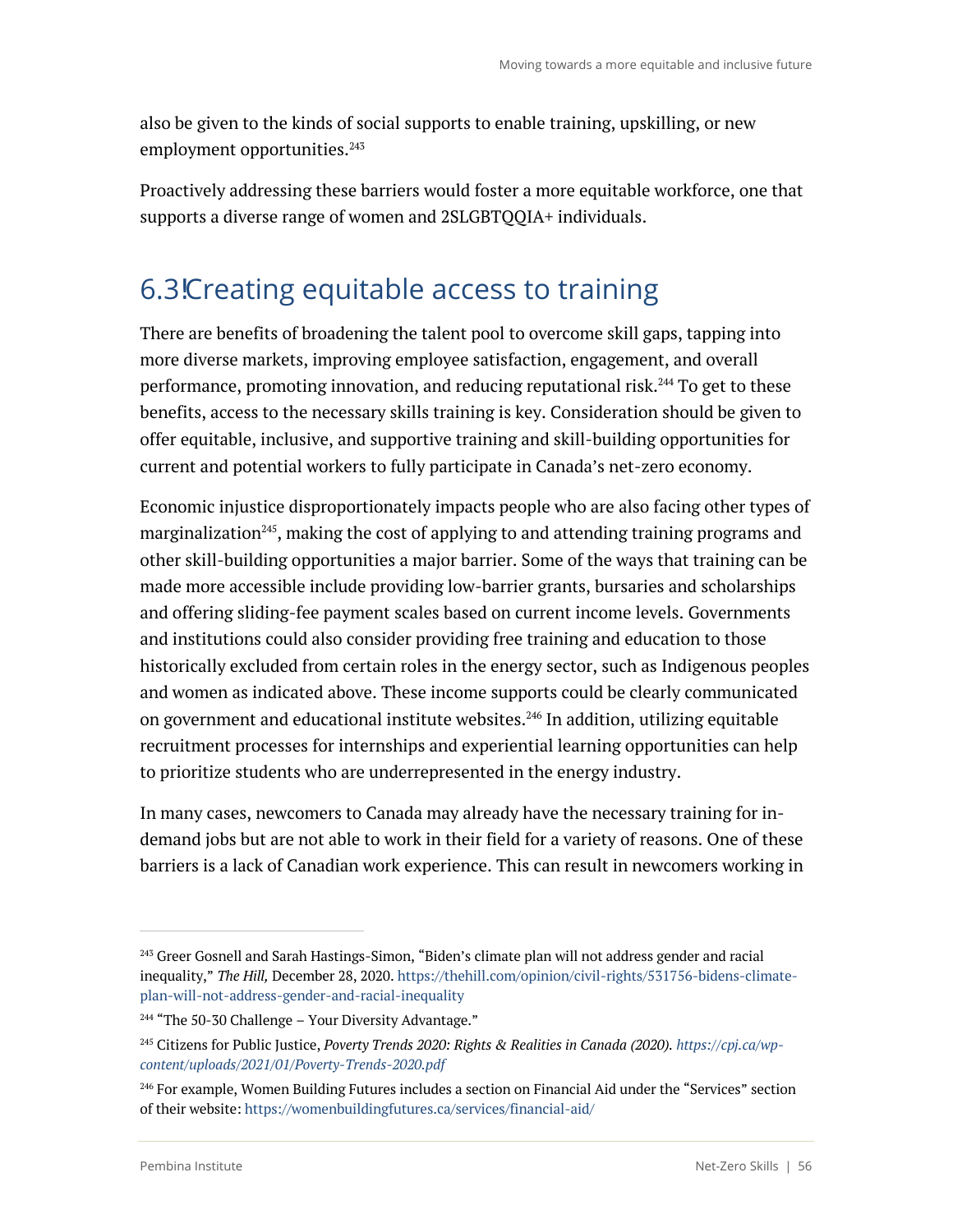also be given to the kinds of social supports to enable training, upskilling, or new employment opportunities.<sup>243</sup>

Proactively addressing these barriers would foster a more equitable workforce, one that supports a diverse range of women and 2SLGBTQQIA+ individuals.

## 6.3 Creating equitable access to training

There are benefits of broadening the talent pool to overcome skill gaps, tapping into more diverse markets, improving employee satisfaction, engagement, and overall performance, promoting innovation, and reducing reputational risk.<sup>244</sup> To get to these benefits, access to the necessary skills training is key. Consideration should be given to offer equitable, inclusive, and supportive training and skill-building opportunities for current and potential workers to fully participate in Canada's net-zero economy.

Economic injustice disproportionately impacts people who are also facing other types of marginalization<sup>245</sup>, making the cost of applying to and attending training programs and other skill-building opportunities a major barrier. Some of the ways that training can be made more accessible include providing low-barrier grants, bursaries and scholarships and offering sliding-fee payment scales based on current income levels. Governments and institutions could also consider providing free training and education to those historically excluded from certain roles in the energy sector, such as Indigenous peoples and women as indicated above. These income supports could be clearly communicated on government and educational institute websites. <sup>246</sup> In addition, utilizing equitable recruitment processes for internships and experiential learning opportunities can help to prioritize students who are underrepresented in the energy industry.

In many cases, newcomers to Canada may already have the necessary training for indemand jobs but are not able to work in their field for a variety of reasons. One of these barriers is a lack of Canadian work experience. This can result in newcomers working in

<sup>243</sup> Greer Gosnell and Sarah Hastings-Simon, "Biden's climate plan will not address gender and racial inequality," *The Hill,* December 28, 2020. https://thehill.com/opinion/civil-rights/531756-bidens-climateplan-will-not-address-gender-and-racial-inequality

<sup>&</sup>lt;sup>244</sup> "The 50-30 Challenge – Your Diversity Advantage."

<sup>245</sup> Citizens for Public Justice, *Poverty Trends 2020: Rights & Realities in Canada (2020). https://cpj.ca/wpcontent/uploads/2021/01/Poverty-Trends-2020.pdf*

<sup>246</sup> For example, Women Building Futures includes a section on Financial Aid under the "Services" section of their website: https://womenbuildingfutures.ca/services/financial-aid/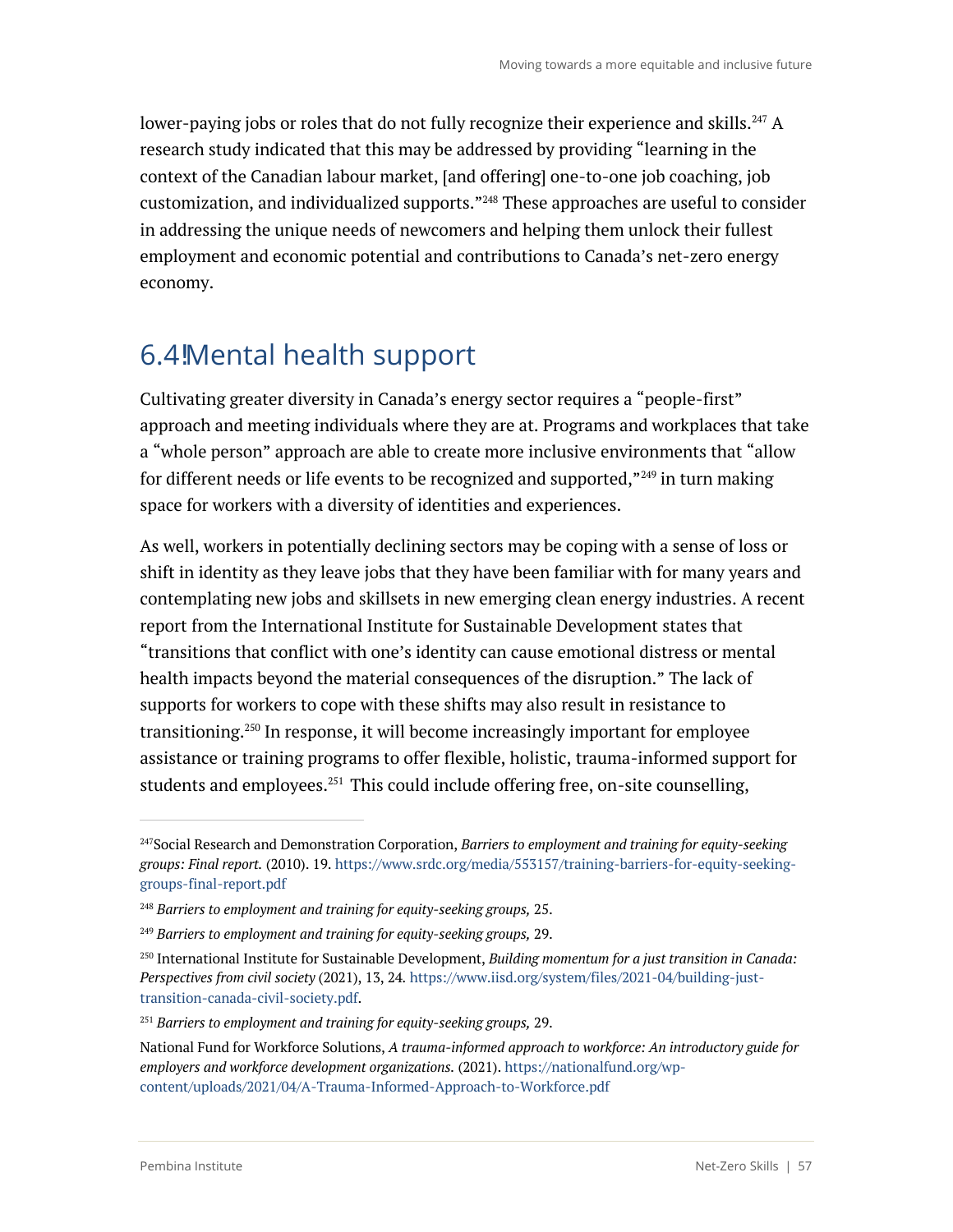lower-paying jobs or roles that do not fully recognize their experience and skills. $^{247}$  A research study indicated that this may be addressed by providing "learning in the context of the Canadian labour market, [and offering] one-to-one job coaching, job customization, and individualized supports."<sup>248</sup> These approaches are useful to consider in addressing the unique needs of newcomers and helping them unlock their fullest employment and economic potential and contributions to Canada's net-zero energy economy.

## 6.4 Mental health support

Cultivating greater diversity in Canada's energy sector requires a "people-first" approach and meeting individuals where they are at. Programs and workplaces that take a "whole person" approach are able to create more inclusive environments that "allow for different needs or life events to be recognized and supported, $\frac{1}{249}$  in turn making space for workers with a diversity of identities and experiences.

As well, workers in potentially declining sectors may be coping with a sense of loss or shift in identity as they leave jobs that they have been familiar with for many years and contemplating new jobs and skillsets in new emerging clean energy industries. A recent report from the International Institute for Sustainable Development states that "transitions that conflict with one's identity can cause emotional distress or mental health impacts beyond the material consequences of the disruption." The lack of supports for workers to cope with these shifts may also result in resistance to transitioning. <sup>250</sup> In response, it will become increasingly important for employee assistance or training programs to offer flexible, holistic, trauma-informed support for students and employees. <sup>251</sup> This could include offering free, on-site counselling,

<sup>247</sup>Social Research and Demonstration Corporation, *Barriers to employment and training for equity-seeking groups: Final report.* (2010). 19. https://www.srdc.org/media/553157/training-barriers-for-equity-seekinggroups-final-report.pdf

<sup>248</sup> *Barriers to employment and training for equity-seeking groups,* 25.

<sup>249</sup> *Barriers to employment and training for equity-seeking groups,* 29.

<sup>250</sup> International Institute for Sustainable Development, *Building momentum for a just transition in Canada: Perspectives from civil society* (2021), 13, 24*.* https://www.iisd.org/system/files/2021-04/building-justtransition-canada-civil-society.pdf.

<sup>251</sup> *Barriers to employment and training for equity-seeking groups,* 29.

National Fund for Workforce Solutions, *A trauma-informed approach to workforce: An introductory guide for employers and workforce development organizations.* (2021). https://nationalfund.org/wpcontent/uploads/2021/04/A-Trauma-Informed-Approach-to-Workforce.pdf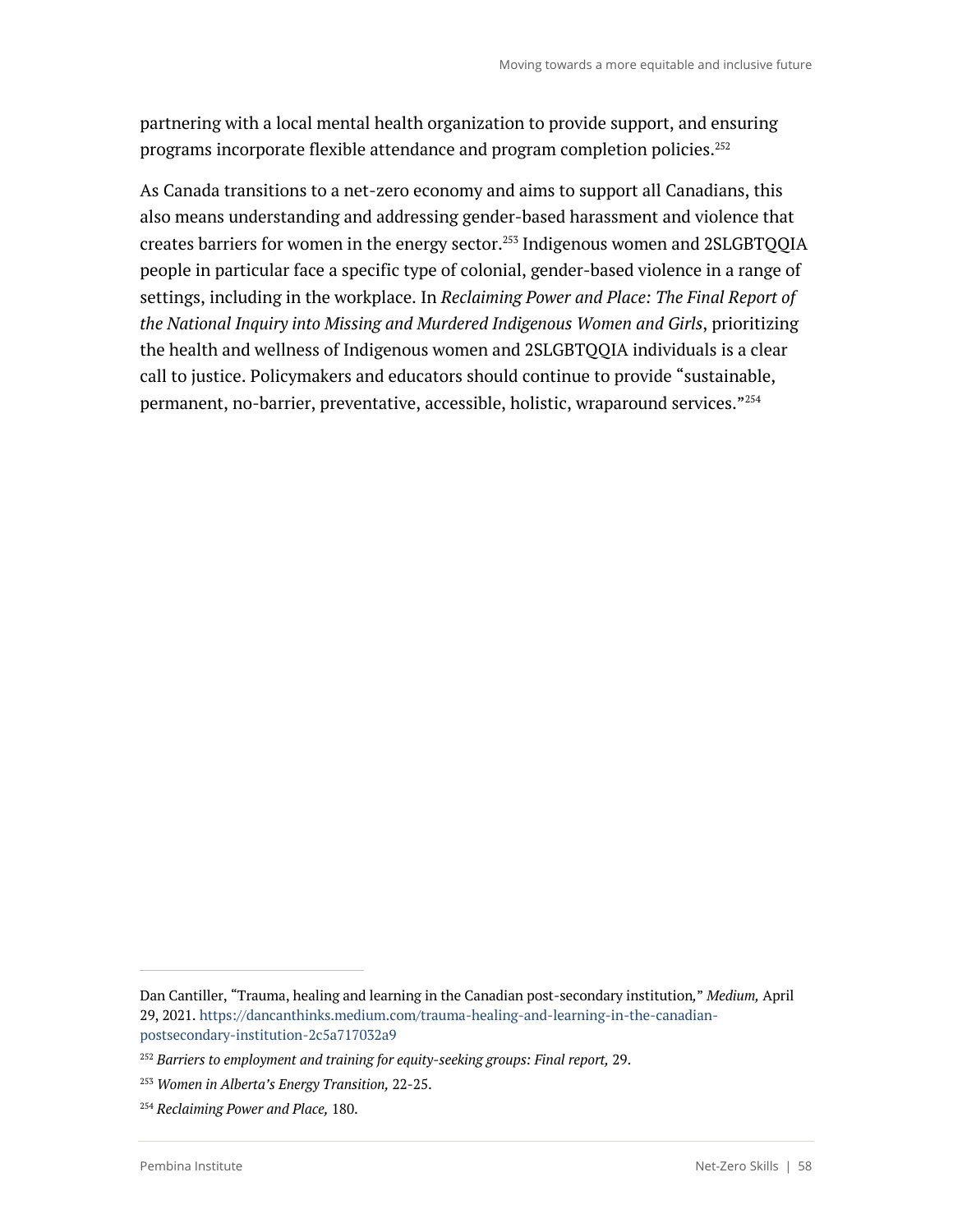partnering with a local mental health organization to provide support, and ensuring programs incorporate flexible attendance and program completion policies.<sup>252</sup>

As Canada transitions to a net-zero economy and aims to support all Canadians, this also means understanding and addressing gender-based harassment and violence that creates barriers for women in the energy sector.<sup>253</sup> Indigenous women and 2SLGBTQQIA people in particular face a specific type of colonial, gender-based violence in a range of settings, including in the workplace. In *Reclaiming Power and Place: The Final Report of the National Inquiry into Missing and Murdered Indigenous Women and Girls*, prioritizing the health and wellness of Indigenous women and 2SLGBTQQIA individuals is a clear call to justice. Policymakers and educators should continue to provide "sustainable, permanent, no-barrier, preventative, accessible, holistic, wraparound services."254

Dan Cantiller, "Trauma, healing and learning in the Canadian post-secondary institution*,*" *Medium,* April 29, 2021. https://dancanthinks.medium.com/trauma-healing-and-learning-in-the-canadianpostsecondary-institution-2c5a717032a9

<sup>252</sup> *Barriers to employment and training for equity-seeking groups: Final report,* 29.

<sup>253</sup> *Women in Alberta's Energy Transition,* 22-25.

<sup>254</sup> *Reclaiming Power and Place,* 180.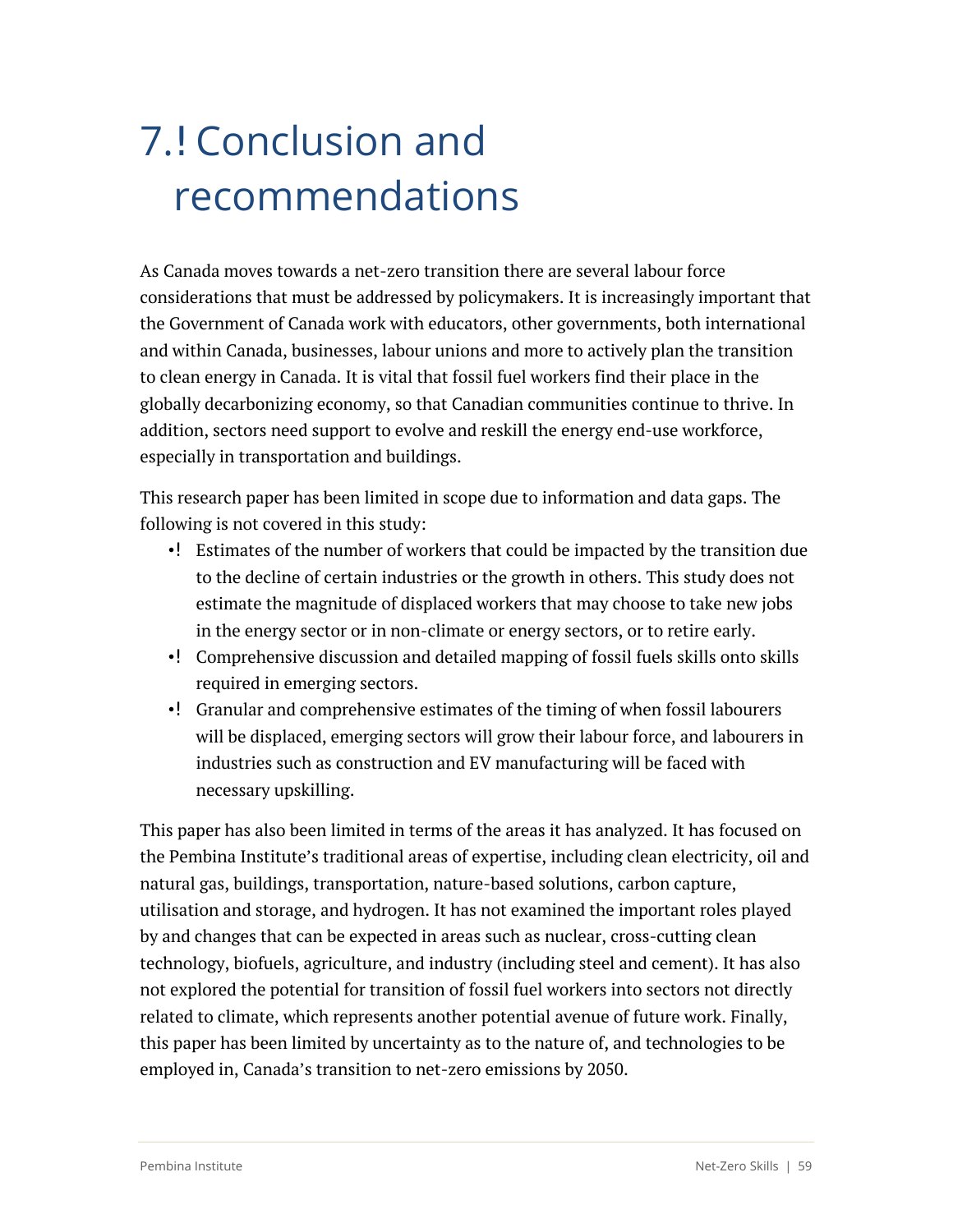# 7.! Conclusion and recommendations

As Canada moves towards a net-zero transition there are several labour force considerations that must be addressed by policymakers. It is increasingly important that the Government of Canada work with educators, other governments, both international and within Canada, businesses, labour unions and more to actively plan the transition to clean energy in Canada. It is vital that fossil fuel workers find their place in the globally decarbonizing economy, so that Canadian communities continue to thrive. In addition, sectors need support to evolve and reskill the energy end-use workforce, especially in transportation and buildings.

This research paper has been limited in scope due to information and data gaps. The following is not covered in this study:

- •! Estimates of the number of workers that could be impacted by the transition due to the decline of certain industries or the growth in others. This study does not estimate the magnitude of displaced workers that may choose to take new jobs in the energy sector or in non-climate or energy sectors, or to retire early.
- •! Comprehensive discussion and detailed mapping of fossil fuels skills onto skills required in emerging sectors.
- •! Granular and comprehensive estimates of the timing of when fossil labourers will be displaced, emerging sectors will grow their labour force, and labourers in industries such as construction and EV manufacturing will be faced with necessary upskilling.

This paper has also been limited in terms of the areas it has analyzed. It has focused on the Pembina Institute's traditional areas of expertise, including clean electricity, oil and natural gas, buildings, transportation, nature-based solutions, carbon capture, utilisation and storage, and hydrogen. It has not examined the important roles played by and changes that can be expected in areas such as nuclear, cross-cutting clean technology, biofuels, agriculture, and industry (including steel and cement). It has also not explored the potential for transition of fossil fuel workers into sectors not directly related to climate, which represents another potential avenue of future work. Finally, this paper has been limited by uncertainty as to the nature of, and technologies to be employed in, Canada's transition to net-zero emissions by 2050.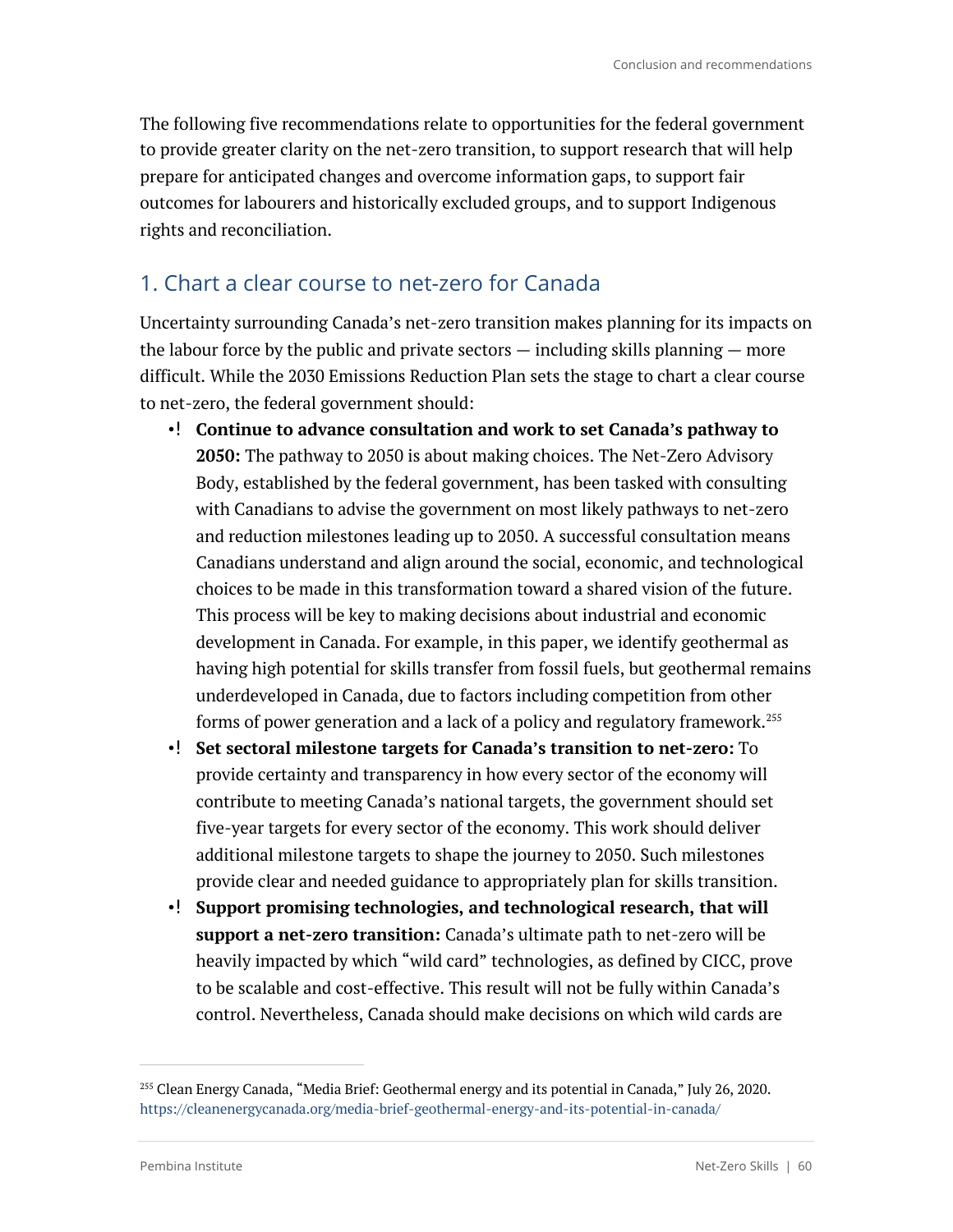The following five recommendations relate to opportunities for the federal government to provide greater clarity on the net-zero transition, to support research that will help prepare for anticipated changes and overcome information gaps, to support fair outcomes for labourers and historically excluded groups, and to support Indigenous rights and reconciliation.

### 1. Chart a clear course to net-zero for Canada

Uncertainty surrounding Canada's net-zero transition makes planning for its impacts on the labour force by the public and private sectors  $-$  including skills planning  $-$  more difficult. While the 2030 Emissions Reduction Plan sets the stage to chart a clear course to net-zero, the federal government should:

- **Continue to advance consultation and work to set Canada's pathway to 2050:** The pathway to 2050 is about making choices. The Net-Zero Advisory Body, established by the federal government, has been tasked with consulting with Canadians to advise the government on most likely pathways to net-zero and reduction milestones leading up to 2050. A successful consultation means Canadians understand and align around the social, economic, and technological choices to be made in this transformation toward a shared vision of the future. This process will be key to making decisions about industrial and economic development in Canada. For example, in this paper, we identify geothermal as having high potential for skills transfer from fossil fuels, but geothermal remains underdeveloped in Canada, due to factors including competition from other forms of power generation and a lack of a policy and regulatory framework.255
- **Set sectoral milestone targets for Canada's transition to net-zero:** To provide certainty and transparency in how every sector of the economy will contribute to meeting Canada's national targets, the government should set five-year targets for every sector of the economy. This work should deliver additional milestone targets to shape the journey to 2050. Such milestones provide clear and needed guidance to appropriately plan for skills transition.
- **Support promising technologies, and technological research, that will support a net-zero transition:** Canada's ultimate path to net-zero will be heavily impacted by which "wild card" technologies, as defined by CICC, prove to be scalable and cost-effective. This result will not be fully within Canada's control. Nevertheless, Canada should make decisions on which wild cards are

<sup>255</sup> Clean Energy Canada, "Media Brief: Geothermal energy and its potential in Canada," July 26, 2020. https://cleanenergycanada.org/media-brief-geothermal-energy-and-its-potential-in-canada/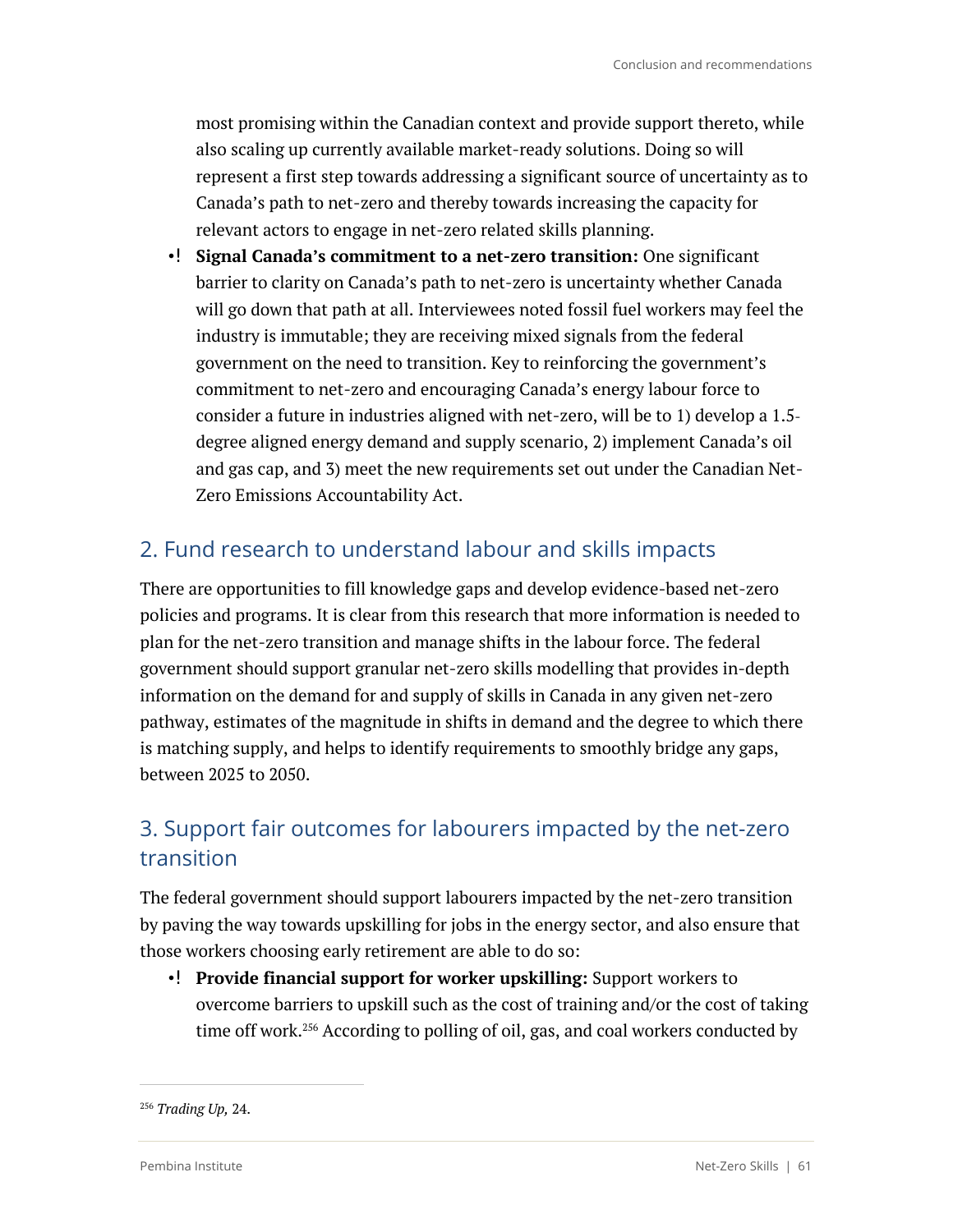most promising within the Canadian context and provide support thereto, while also scaling up currently available market-ready solutions. Doing so will represent a first step towards addressing a significant source of uncertainty as to Canada's path to net-zero and thereby towards increasing the capacity for relevant actors to engage in net-zero related skills planning.

• **Signal Canada's commitment to a net-zero transition:** One significant barrier to clarity on Canada's path to net-zero is uncertainty whether Canada will go down that path at all. Interviewees noted fossil fuel workers may feel the industry is immutable; they are receiving mixed signals from the federal government on the need to transition. Key to reinforcing the government's commitment to net-zero and encouraging Canada's energy labour force to consider a future in industries aligned with net-zero, will be to 1) develop a 1.5 degree aligned energy demand and supply scenario, 2) implement Canada's oil and gas cap, and 3) meet the new requirements set out under the Canadian Net-Zero Emissions Accountability Act.

### 2. Fund research to understand labour and skills impacts

There are opportunities to fill knowledge gaps and develop evidence-based net-zero policies and programs. It is clear from this research that more information is needed to plan for the net-zero transition and manage shifts in the labour force. The federal government should support granular net-zero skills modelling that provides in-depth information on the demand for and supply of skills in Canada in any given net-zero pathway, estimates of the magnitude in shifts in demand and the degree to which there is matching supply, and helps to identify requirements to smoothly bridge any gaps, between 2025 to 2050.

## 3. Support fair outcomes for labourers impacted by the net-zero transition

The federal government should support labourers impacted by the net-zero transition by paving the way towards upskilling for jobs in the energy sector, and also ensure that those workers choosing early retirement are able to do so:

• **Provide financial support for worker upskilling:** Support workers to overcome barriers to upskill such as the cost of training and/or the cost of taking time off work.<sup>256</sup> According to polling of oil, gas, and coal workers conducted by

<sup>256</sup> *Trading Up,* 24.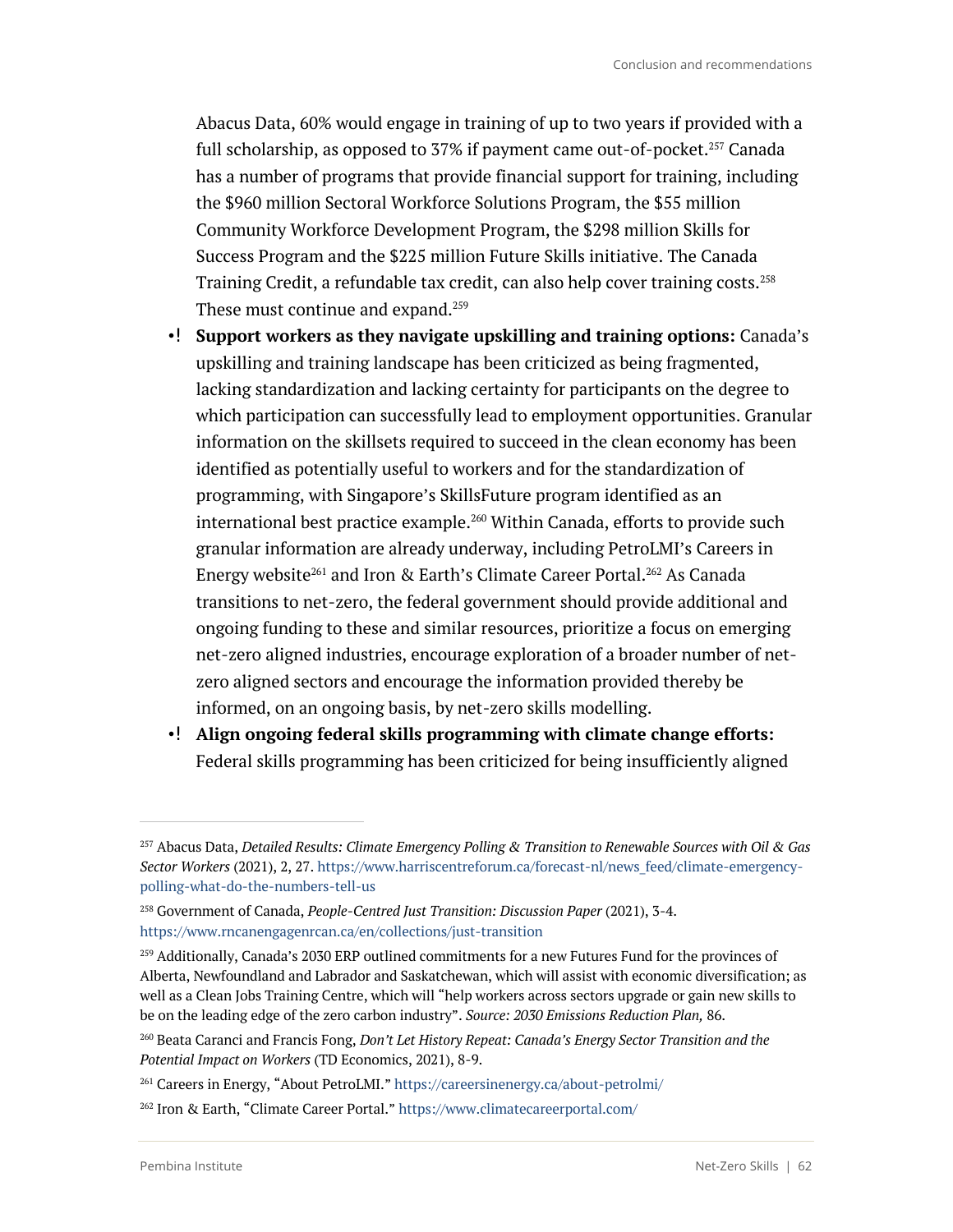Abacus Data, 60% would engage in training of up to two years if provided with a full scholarship, as opposed to 37% if payment came out-of-pocket.<sup>257</sup> Canada has a number of programs that provide financial support for training, including the \$960 million Sectoral Workforce Solutions Program, the \$55 million Community Workforce Development Program, the \$298 million Skills for Success Program and the \$225 million Future Skills initiative. The Canada Training Credit, a refundable tax credit, can also help cover training costs.<sup>258</sup> These must continue and expand.<sup>259</sup>

- **Support workers as they navigate upskilling and training options:** Canada's upskilling and training landscape has been criticized as being fragmented, lacking standardization and lacking certainty for participants on the degree to which participation can successfully lead to employment opportunities. Granular information on the skillsets required to succeed in the clean economy has been identified as potentially useful to workers and for the standardization of programming, with Singapore's SkillsFuture program identified as an international best practice example.<sup>260</sup> Within Canada, efforts to provide such granular information are already underway, including PetroLMI's Careers in Energy website261 and Iron & Earth's Climate Career Portal. <sup>262</sup> As Canada transitions to net-zero, the federal government should provide additional and ongoing funding to these and similar resources, prioritize a focus on emerging net-zero aligned industries, encourage exploration of a broader number of netzero aligned sectors and encourage the information provided thereby be informed, on an ongoing basis, by net-zero skills modelling.
- **Align ongoing federal skills programming with climate change efforts:** Federal skills programming has been criticized for being insufficiently aligned

<sup>257</sup> Abacus Data, *Detailed Results: Climate Emergency Polling & Transition to Renewable Sources with Oil & Gas Sector Workers* (2021), 2, 27. https://www.harriscentreforum.ca/forecast-nl/news\_feed/climate-emergencypolling-what-do-the-numbers-tell-us

<sup>258</sup> Government of Canada, *People-Centred Just Transition: Discussion Paper* (2021), 3-4. https://www.rncanengagenrcan.ca/en/collections/just-transition

<sup>&</sup>lt;sup>259</sup> Additionally, Canada's 2030 ERP outlined commitments for a new Futures Fund for the provinces of Alberta, Newfoundland and Labrador and Saskatchewan, which will assist with economic diversification; as well as a Clean Jobs Training Centre, which will "help workers across sectors upgrade or gain new skills to be on the leading edge of the zero carbon industry". *Source: 2030 Emissions Reduction Plan,* 86.

<sup>260</sup> Beata Caranci and Francis Fong, *Don't Let History Repeat: Canada's Energy Sector Transition and the Potential Impact on Workers* (TD Economics, 2021), 8-9.

<sup>&</sup>lt;sup>261</sup> Careers in Energy, "About PetroLMI." https://careersinenergy.ca/about-petrolmi/

<sup>262</sup> Iron & Earth, "Climate Career Portal." https://www.climatecareerportal.com/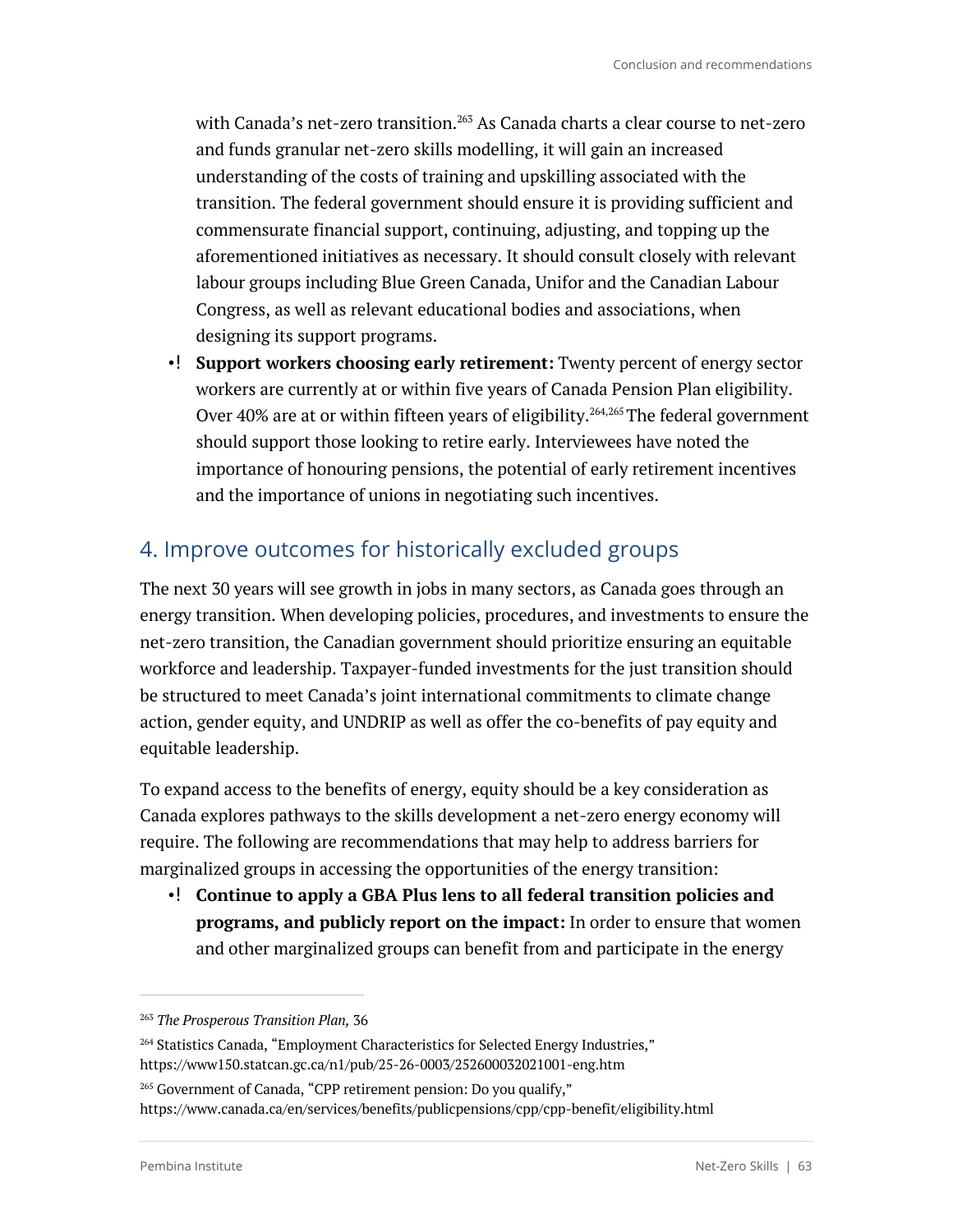with Canada's net-zero transition. <sup>263</sup> As Canada charts a clear course to net-zero and funds granular net-zero skills modelling, it will gain an increased understanding of the costs of training and upskilling associated with the transition. The federal government should ensure it is providing sufficient and commensurate financial support, continuing, adjusting, and topping up the aforementioned initiatives as necessary. It should consult closely with relevant labour groups including Blue Green Canada, Unifor and the Canadian Labour Congress, as well as relevant educational bodies and associations, when designing its support programs.

• **Support workers choosing early retirement:** Twenty percent of energy sector workers are currently at or within five years of Canada Pension Plan eligibility. Over 40% are at or within fifteen years of eligibility.<sup>264,265</sup> The federal government should support those looking to retire early. Interviewees have noted the importance of honouring pensions, the potential of early retirement incentives and the importance of unions in negotiating such incentives.

### 4. Improve outcomes for historically excluded groups

The next 30 years will see growth in jobs in many sectors, as Canada goes through an energy transition. When developing policies, procedures, and investments to ensure the net-zero transition, the Canadian government should prioritize ensuring an equitable workforce and leadership. Taxpayer-funded investments for the just transition should be structured to meet Canada's joint international commitments to climate change action, gender equity, and UNDRIP as well as offer the co-benefits of pay equity and equitable leadership.

To expand access to the benefits of energy, equity should be a key consideration as Canada explores pathways to the skills development a net-zero energy economy will require. The following are recommendations that may help to address barriers for marginalized groups in accessing the opportunities of the energy transition:

• **Continue to apply a GBA Plus lens to all federal transition policies and programs, and publicly report on the impact:** In order to ensure that women and other marginalized groups can benefit from and participate in the energy

<sup>263</sup> *The Prosperous Transition Plan,* 36

<sup>&</sup>lt;sup>264</sup> Statistics Canada, "Employment Characteristics for Selected Energy Industries," https://www150.statcan.gc.ca/n1/pub/25-26-0003/252600032021001-eng.htm

<sup>&</sup>lt;sup>265</sup> Government of Canada, "CPP retirement pension: Do you qualify," https://www.canada.ca/en/services/benefits/publicpensions/cpp/cpp-benefit/eligibility.html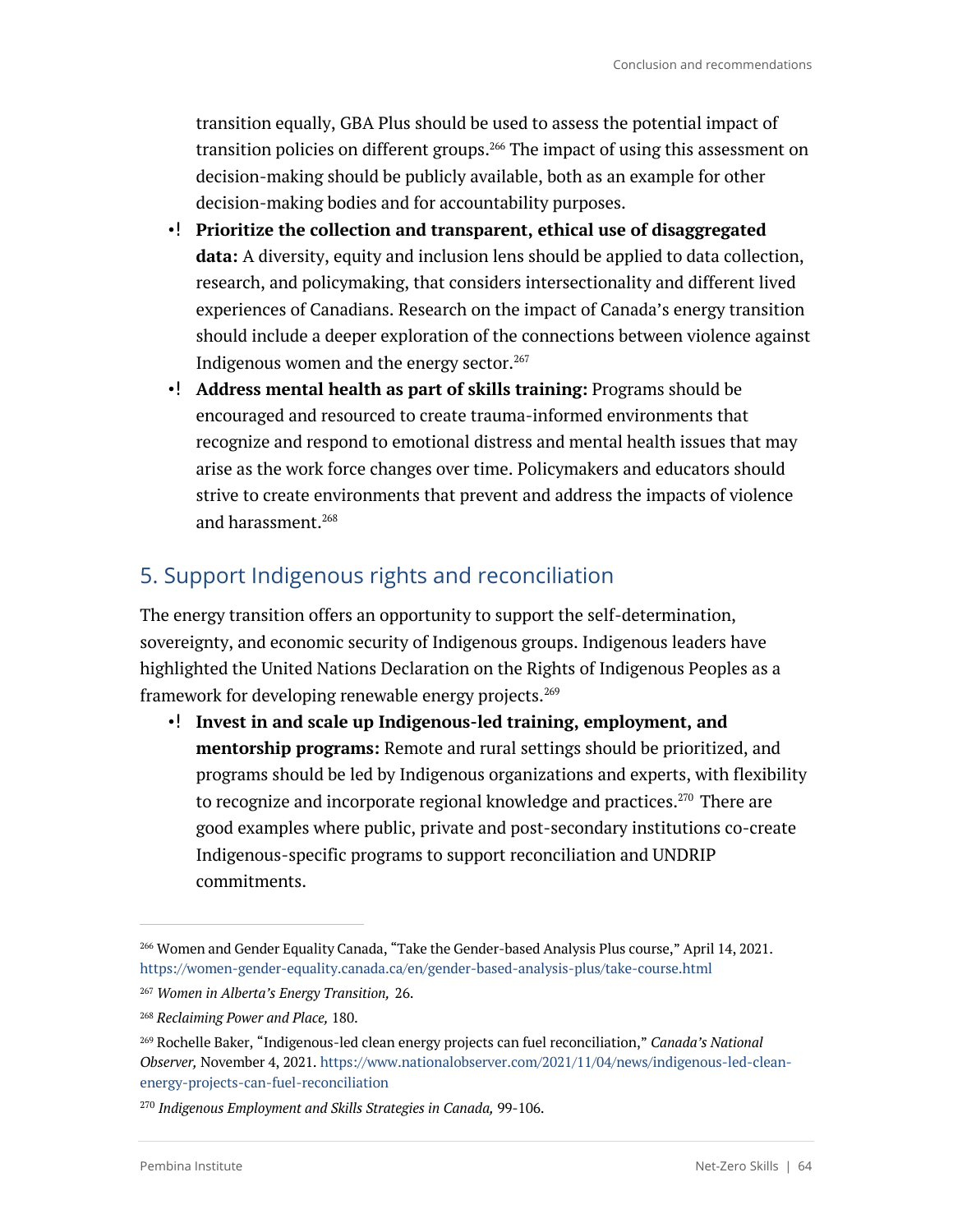transition equally, GBA Plus should be used to assess the potential impact of transition policies on different groups. <sup>266</sup> The impact of using this assessment on decision-making should be publicly available, both as an example for other decision-making bodies and for accountability purposes.

- •! Prioritize the collection and transparent, ethical use of disaggregated **data:** A diversity, equity and inclusion lens should be applied to data collection, research, and policymaking, that considers intersectionality and different lived experiences of Canadians. Research on the impact of Canada's energy transition should include a deeper exploration of the connections between violence against Indigenous women and the energy sector. 267
- **Address mental health as part of skills training:** Programs should be encouraged and resourced to create trauma-informed environments that recognize and respond to emotional distress and mental health issues that may arise as the work force changes over time. Policymakers and educators should strive to create environments that prevent and address the impacts of violence and harassment.268

### 5. Support Indigenous rights and reconciliation

The energy transition offers an opportunity to support the self-determination, sovereignty, and economic security of Indigenous groups. Indigenous leaders have highlighted the United Nations Declaration on the Rights of Indigenous Peoples as a framework for developing renewable energy projects.<sup>269</sup>

• **Invest in and scale up Indigenous-led training, employment, and mentorship programs:** Remote and rural settings should be prioritized, and programs should be led by Indigenous organizations and experts, with flexibility to recognize and incorporate regional knowledge and practices.<sup>270</sup> There are good examples where public, private and post-secondary institutions co-create Indigenous-specific programs to support reconciliation and UNDRIP commitments.

<sup>266</sup> Women and Gender Equality Canada, "Take the Gender-based Analysis Plus course," April 14, 2021. https://women-gender-equality.canada.ca/en/gender-based-analysis-plus/take-course.html

<sup>267</sup> *Women in Alberta's Energy Transition,* 26.

<sup>268</sup> *Reclaiming Power and Place,* 180.

<sup>269</sup> Rochelle Baker, "Indigenous-led clean energy projects can fuel reconciliation," *Canada's National Observer,* November 4, 2021. https://www.nationalobserver.com/2021/11/04/news/indigenous-led-cleanenergy-projects-can-fuel-reconciliation

<sup>270</sup> *Indigenous Employment and Skills Strategies in Canada,* 99-106.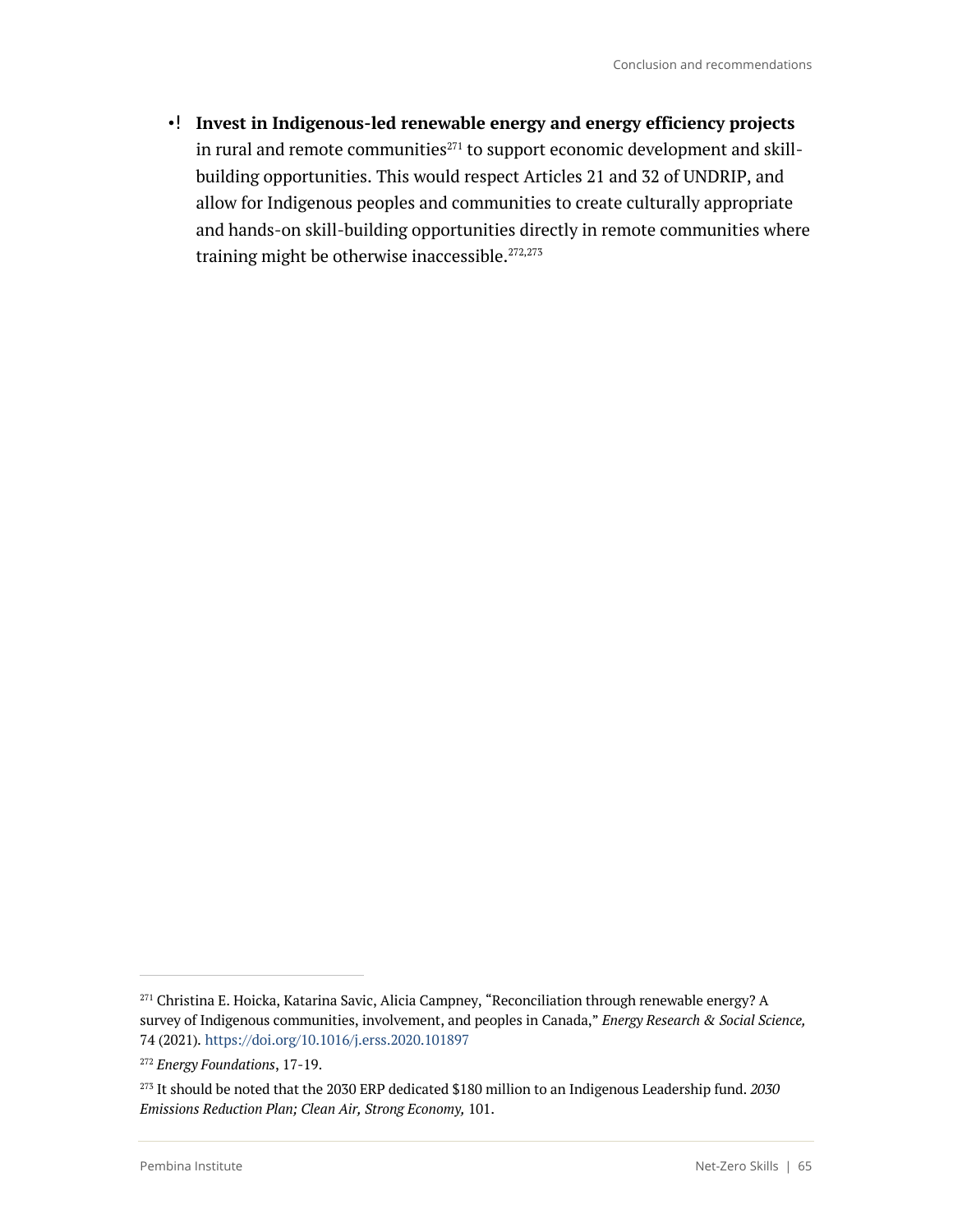• **Invest in Indigenous-led renewable energy and energy efficiency projects** in rural and remote communities $^{271}$  to support economic development and skillbuilding opportunities. This would respect Articles 21 and 32 of UNDRIP, and allow for Indigenous peoples and communities to create culturally appropriate and hands-on skill-building opportunities directly in remote communities where training might be otherwise inaccessible.<sup>272,273</sup>

<sup>&</sup>lt;sup>271</sup> Christina E. Hoicka, Katarina Savic, Alicia Campney, "Reconciliation through renewable energy? A survey of Indigenous communities, involvement, and peoples in Canada," *Energy Research & Social Science,*  74 (2021)*.* https://doi.org/10.1016/j.erss.2020.101897

<sup>272</sup> *Energy Foundations*, 17-19.

<sup>273</sup> It should be noted that the 2030 ERP dedicated \$180 million to an Indigenous Leadership fund. *2030 Emissions Reduction Plan; Clean Air, Strong Economy,* 101.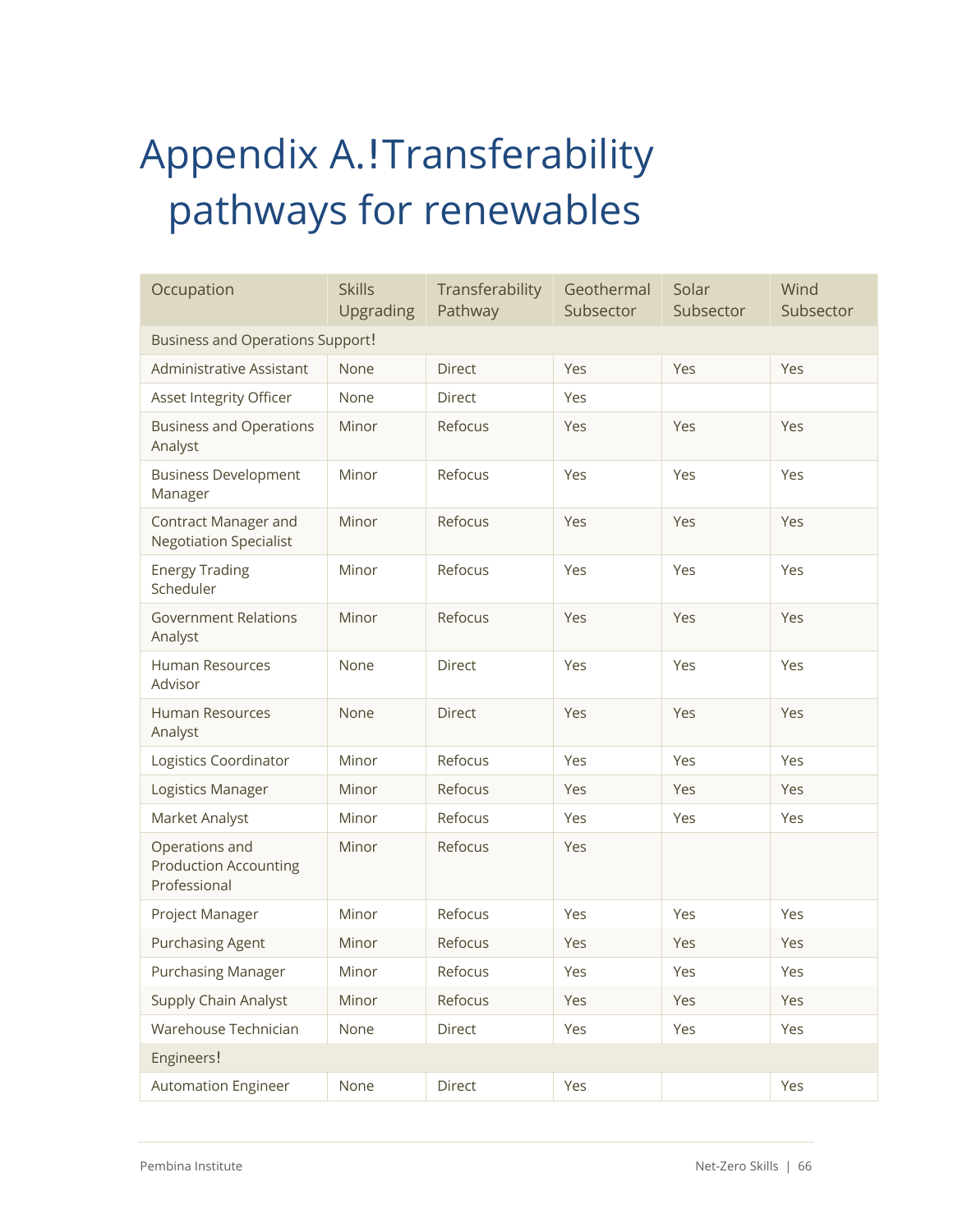# Appendix A.! Transferability pathways for renewables

| Occupation                                                     | <b>Skills</b><br>Upgrading | Transferability<br>Pathway | Geothermal<br>Subsector | Solar<br>Subsector | Wind<br>Subsector |  |  |  |
|----------------------------------------------------------------|----------------------------|----------------------------|-------------------------|--------------------|-------------------|--|--|--|
| <b>Business and Operations Support!</b>                        |                            |                            |                         |                    |                   |  |  |  |
| Administrative Assistant                                       | None                       | <b>Direct</b>              | Yes                     | Yes                | Yes               |  |  |  |
| Asset Integrity Officer                                        | None                       | <b>Direct</b>              | Yes                     |                    |                   |  |  |  |
| <b>Business and Operations</b><br>Analyst                      | Minor                      | Refocus                    | Yes                     | Yes                | Yes               |  |  |  |
| <b>Business Development</b><br>Manager                         | Minor                      | Refocus                    | Yes                     | Yes                | Yes               |  |  |  |
| Contract Manager and<br><b>Negotiation Specialist</b>          | Minor                      | Refocus                    | Yes                     | Yes                | Yes               |  |  |  |
| <b>Energy Trading</b><br>Scheduler                             | Minor                      | Refocus                    | Yes                     | Yes                | Yes               |  |  |  |
| <b>Government Relations</b><br>Analyst                         | Minor                      | Refocus                    | Yes                     | Yes                | Yes               |  |  |  |
| <b>Human Resources</b><br>Advisor                              | None                       | <b>Direct</b>              | Yes                     | Yes                | Yes               |  |  |  |
| Human Resources<br>Analyst                                     | None                       | <b>Direct</b>              | Yes                     | Yes                | Yes               |  |  |  |
| Logistics Coordinator                                          | Minor                      | Refocus                    | Yes                     | Yes                | Yes               |  |  |  |
| Logistics Manager                                              | Minor                      | Refocus                    | Yes                     | Yes                | Yes               |  |  |  |
| Market Analyst                                                 | Minor                      | Refocus                    | Yes                     | Yes                | Yes               |  |  |  |
| Operations and<br><b>Production Accounting</b><br>Professional | Minor                      | Refocus                    | Yes                     |                    |                   |  |  |  |
| Project Manager                                                | Minor                      | Refocus                    | Yes                     | Yes                | Yes               |  |  |  |
| <b>Purchasing Agent</b>                                        | Minor                      | Refocus                    | Yes                     | Yes                | Yes               |  |  |  |
| Purchasing Manager                                             | Minor                      | Refocus                    | Yes                     | Yes                | Yes               |  |  |  |
| <b>Supply Chain Analyst</b>                                    | Minor                      | Refocus                    | Yes                     | Yes                | Yes               |  |  |  |
| Warehouse Technician                                           | None                       | Direct                     | Yes                     | Yes                | Yes               |  |  |  |
| Engineers!                                                     |                            |                            |                         |                    |                   |  |  |  |
| <b>Automation Engineer</b>                                     | None                       | Direct                     | Yes                     |                    | Yes               |  |  |  |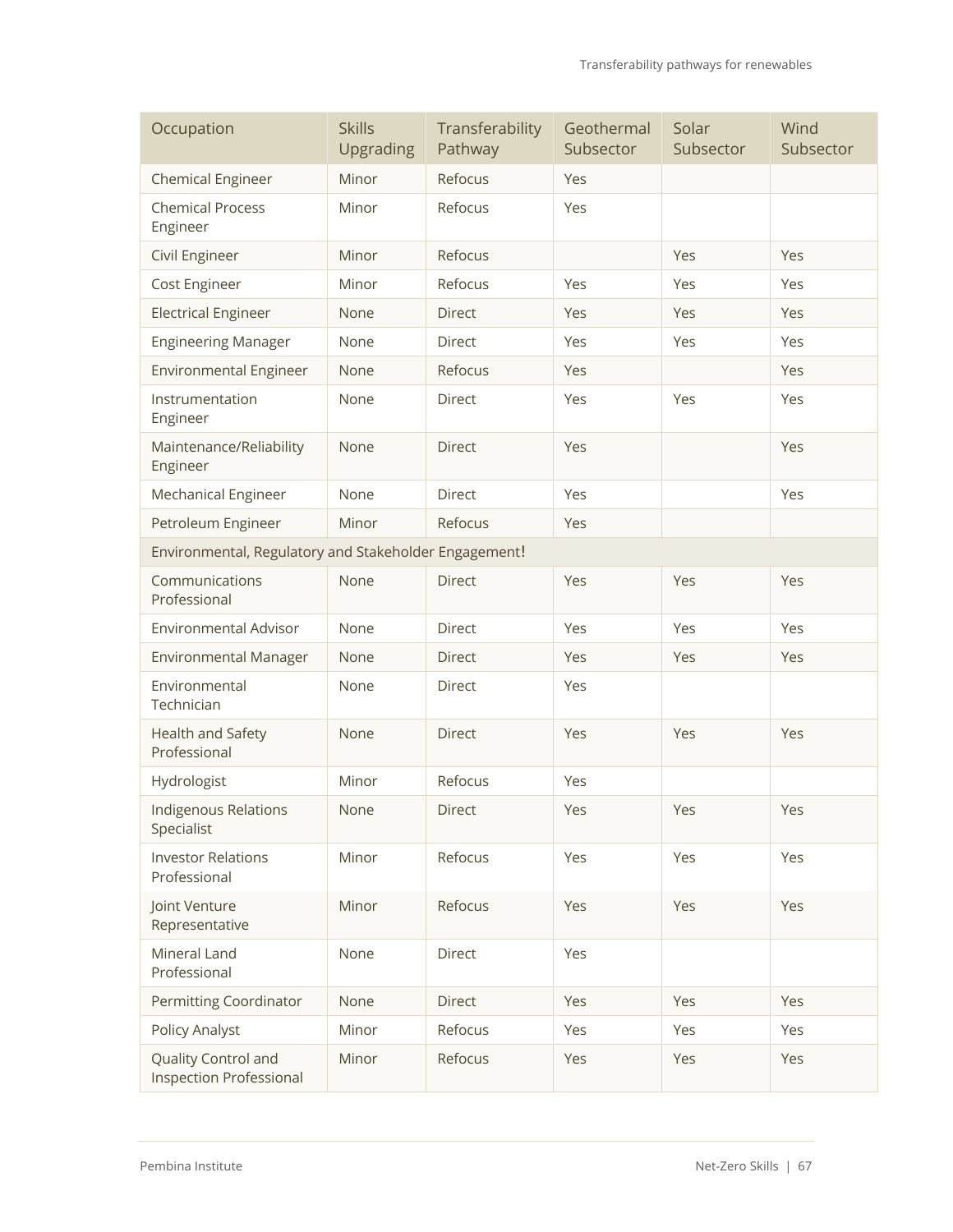| Occupation                                            | <b>Skills</b><br>Upgrading | Transferability<br>Pathway | Geothermal<br>Subsector | Solar<br>Subsector | Wind<br>Subsector |  |  |
|-------------------------------------------------------|----------------------------|----------------------------|-------------------------|--------------------|-------------------|--|--|
| <b>Chemical Engineer</b>                              | Minor                      | Refocus                    | Yes                     |                    |                   |  |  |
| <b>Chemical Process</b><br>Engineer                   | Minor                      | Refocus                    | Yes                     |                    |                   |  |  |
| Civil Engineer                                        | Minor                      | Refocus                    |                         | Yes                | Yes               |  |  |
| Cost Engineer                                         | Minor                      | Refocus                    | Yes                     | Yes                | Yes               |  |  |
| <b>Electrical Engineer</b>                            | None                       | <b>Direct</b>              | Yes                     | Yes                | Yes               |  |  |
| <b>Engineering Manager</b>                            | None                       | <b>Direct</b>              | Yes                     | Yes                | Yes               |  |  |
| <b>Environmental Engineer</b>                         | None                       | Refocus                    | Yes                     |                    | Yes               |  |  |
| Instrumentation<br>Engineer                           | None                       | <b>Direct</b>              | Yes                     | Yes                | Yes               |  |  |
| Maintenance/Reliability<br>Engineer                   | None                       | <b>Direct</b>              | Yes                     |                    | Yes               |  |  |
| <b>Mechanical Engineer</b>                            | None                       | <b>Direct</b>              | Yes                     |                    | Yes               |  |  |
| Petroleum Engineer                                    | Minor                      | Refocus                    | Yes                     |                    |                   |  |  |
| Environmental, Regulatory and Stakeholder Engagement! |                            |                            |                         |                    |                   |  |  |
| Communications<br>Professional                        | None                       | <b>Direct</b>              | Yes                     | Yes                | Yes               |  |  |
| <b>Environmental Advisor</b>                          | None                       | <b>Direct</b>              | Yes                     | Yes                | Yes               |  |  |
| <b>Environmental Manager</b>                          | None                       | <b>Direct</b>              | Yes                     | Yes                | Yes               |  |  |
| Environmental<br>Technician                           | None                       | <b>Direct</b>              | Yes                     |                    |                   |  |  |
| Health and Safety<br>Professional                     | None                       | <b>Direct</b>              | Yes                     | Yes                | Yes               |  |  |
| Hydrologist                                           | Minor                      | Refocus                    | Yes                     |                    |                   |  |  |
| Indigenous Relations<br>Specialist                    | None                       | Direct                     | Yes                     | Yes                | Yes               |  |  |
| <b>Investor Relations</b><br>Professional             | Minor                      | Refocus                    | Yes                     | Yes                | Yes               |  |  |
| Joint Venture<br>Representative                       | Minor                      | Refocus                    | Yes                     | Yes                | Yes               |  |  |
| Mineral Land<br>Professional                          | None                       | <b>Direct</b>              | Yes                     |                    |                   |  |  |
| <b>Permitting Coordinator</b>                         | None                       | <b>Direct</b>              | Yes                     | Yes                | Yes               |  |  |
| <b>Policy Analyst</b>                                 | Minor                      | Refocus                    | Yes                     | Yes                | Yes               |  |  |
| Quality Control and<br>Inspection Professional        | Minor                      | Refocus                    | Yes                     | Yes                | Yes               |  |  |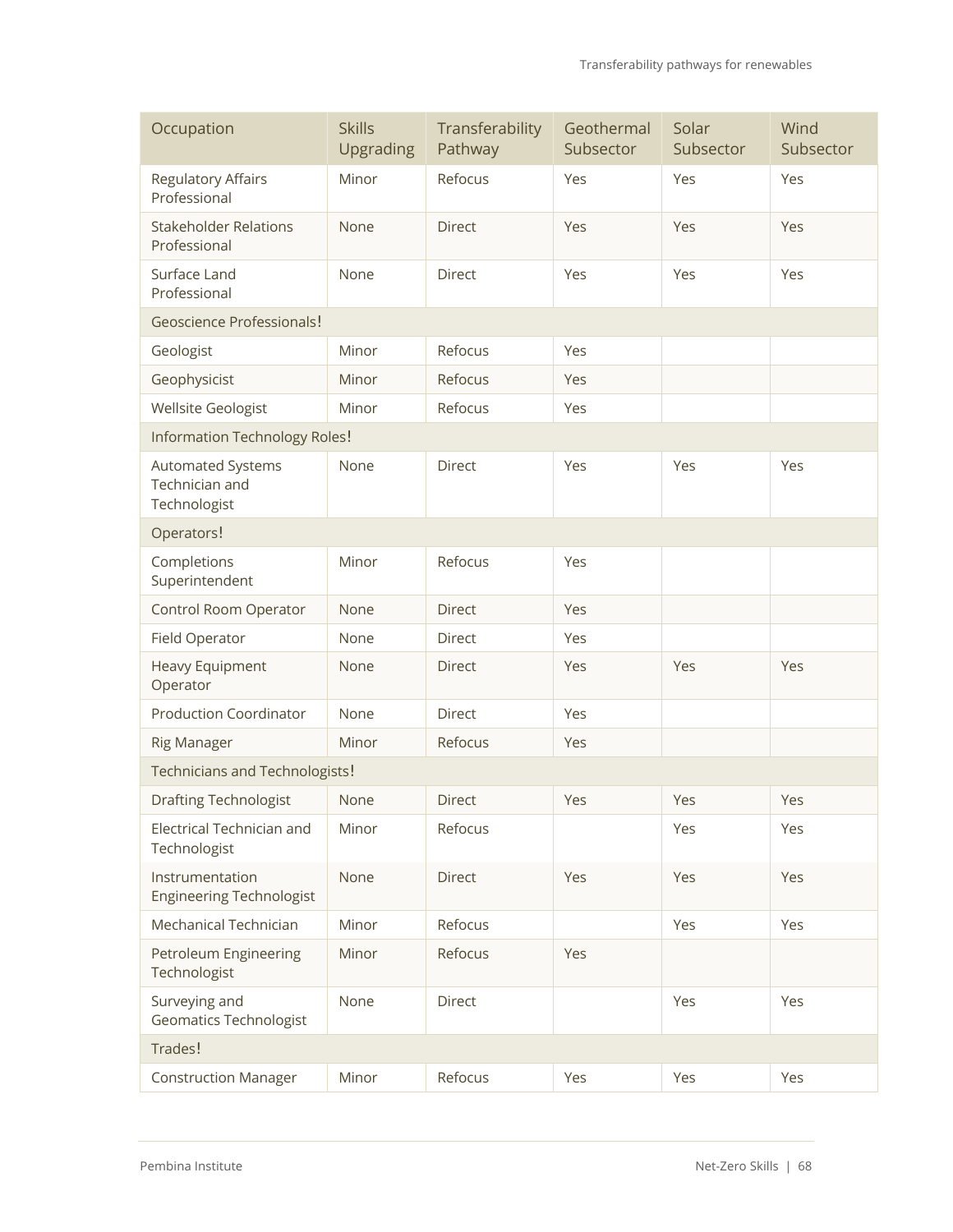| Occupation                                          | <b>Skills</b><br>Upgrading | Transferability<br>Pathway | Geothermal<br>Subsector | Solar<br>Subsector | Wind<br>Subsector |  |  |  |
|-----------------------------------------------------|----------------------------|----------------------------|-------------------------|--------------------|-------------------|--|--|--|
| <b>Regulatory Affairs</b><br>Professional           | Minor                      | Refocus                    | Yes                     | Yes                | Yes               |  |  |  |
| <b>Stakeholder Relations</b><br>Professional        | None                       | <b>Direct</b>              | Yes                     | Yes                | Yes               |  |  |  |
| Surface Land<br>Professional                        | None                       | <b>Direct</b>              | Yes                     | Yes                | Yes               |  |  |  |
| <b>Geoscience Professionals!</b>                    |                            |                            |                         |                    |                   |  |  |  |
| Geologist                                           | Minor                      | Refocus                    | Yes                     |                    |                   |  |  |  |
| Geophysicist                                        | Minor                      | Refocus                    | Yes                     |                    |                   |  |  |  |
| <b>Wellsite Geologist</b>                           | Minor                      | Refocus                    | Yes                     |                    |                   |  |  |  |
| Information Technology Roles!                       |                            |                            |                         |                    |                   |  |  |  |
| Automated Systems<br>Technician and<br>Technologist | None                       | <b>Direct</b>              | Yes                     | Yes                | Yes               |  |  |  |
| Operators!                                          |                            |                            |                         |                    |                   |  |  |  |
| Completions<br>Superintendent                       | Minor                      | Refocus                    | Yes                     |                    |                   |  |  |  |
| Control Room Operator                               | None                       | <b>Direct</b>              | Yes                     |                    |                   |  |  |  |
| Field Operator                                      | None                       | <b>Direct</b>              | Yes                     |                    |                   |  |  |  |
| Heavy Equipment<br>Operator                         | None                       | <b>Direct</b>              | Yes                     | Yes                | Yes               |  |  |  |
| <b>Production Coordinator</b>                       | None                       | <b>Direct</b>              | Yes                     |                    |                   |  |  |  |
| <b>Rig Manager</b>                                  | Minor                      | Refocus                    | Yes                     |                    |                   |  |  |  |
| <b>Technicians and Technologists!</b>               |                            |                            |                         |                    |                   |  |  |  |
| <b>Drafting Technologist</b>                        | None                       | <b>Direct</b>              | Yes                     | Yes                | Yes               |  |  |  |
| Electrical Technician and<br>Technologist           | Minor                      | Refocus                    |                         | Yes                | Yes               |  |  |  |
| Instrumentation<br><b>Engineering Technologist</b>  | None                       | <b>Direct</b>              | Yes                     | Yes                | Yes               |  |  |  |
| Mechanical Technician                               | Minor                      | Refocus                    |                         | Yes                | Yes               |  |  |  |
| Petroleum Engineering<br>Technologist               | Minor                      | Refocus                    | Yes                     |                    |                   |  |  |  |
| Surveying and<br><b>Geomatics Technologist</b>      | None                       | Direct                     |                         | Yes                | Yes               |  |  |  |
| Trades!                                             |                            |                            |                         |                    |                   |  |  |  |
| <b>Construction Manager</b>                         | Minor                      | Refocus                    | Yes                     | Yes                | Yes               |  |  |  |